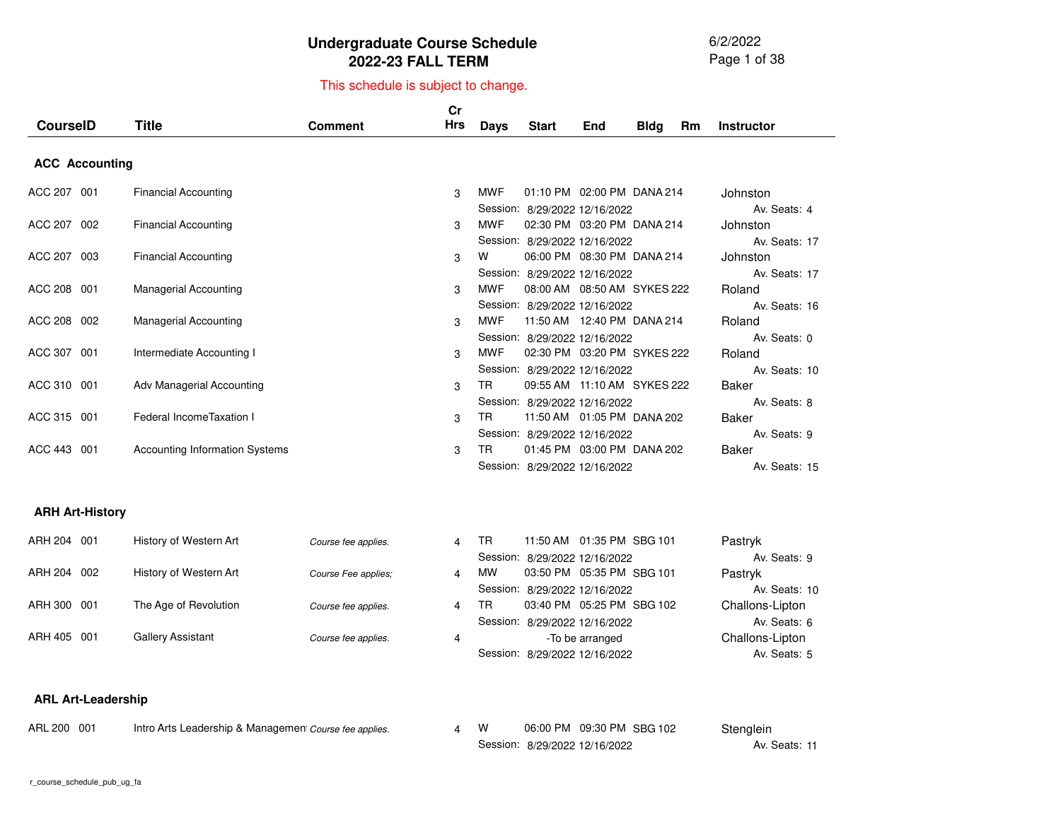6/2/2022 Page 1 of 38

# This schedule is subject to change.

| <b>CourselD</b>       | Title                                 | <b>Comment</b> | Cr<br>Hrs | Days       | <b>Start</b>                  | End | <b>Bldg</b> | Rm | <b>Instructor</b> |
|-----------------------|---------------------------------------|----------------|-----------|------------|-------------------------------|-----|-------------|----|-------------------|
| <b>ACC Accounting</b> |                                       |                |           |            |                               |     |             |    |                   |
| ACC 207 001           | <b>Financial Accounting</b>           |                | 3         | MWF        | 01:10 PM 02:00 PM DANA 214    |     |             |    | Johnston          |
|                       |                                       |                |           |            | Session: 8/29/2022 12/16/2022 |     |             |    | Av. Seats: 4      |
| ACC 207 002           | <b>Financial Accounting</b>           |                | 3         | <b>MWF</b> | 02:30 PM 03:20 PM DANA 214    |     |             |    | Johnston          |
|                       |                                       |                |           |            | Session: 8/29/2022 12/16/2022 |     |             |    | Av. Seats: 17     |
| ACC 207 003           | <b>Financial Accounting</b>           |                | 3         | W          | 06:00 PM 08:30 PM DANA 214    |     |             |    | Johnston          |
|                       |                                       |                |           |            | Session: 8/29/2022 12/16/2022 |     |             |    | Av. Seats: 17     |
| ACC 208 001           | <b>Managerial Accounting</b>          |                | 3         | MWF        | 08:00 AM  08:50 AM  SYKES 222 |     |             |    | Roland            |
|                       |                                       |                |           |            | Session: 8/29/2022 12/16/2022 |     |             |    | Av. Seats: 16     |
| ACC 208 002           | <b>Managerial Accounting</b>          |                | 3         | MWF        | 11:50 AM  12:40 PM  DANA  214 |     |             |    | Roland            |
|                       |                                       |                |           |            | Session: 8/29/2022 12/16/2022 |     |             |    | Av. Seats: 0      |
| ACC 307 001           | Intermediate Accounting I             |                | 3         | MWF        | 02:30 PM 03:20 PM SYKES 222   |     |             |    | Roland            |
|                       |                                       |                |           |            | Session: 8/29/2022 12/16/2022 |     |             |    | Av. Seats: 10     |
| ACC 310 001           | Adv Managerial Accounting             |                | 3         | TR.        | 09:55 AM 11:10 AM SYKES 222   |     |             |    | <b>Baker</b>      |
|                       |                                       |                |           |            | Session: 8/29/2022 12/16/2022 |     |             |    | Av. Seats: 8      |
| ACC 315 001           | Federal IncomeTaxation I              |                | 3         | TR.        | 11:50 AM  01:05 PM  DANA  202 |     |             |    | <b>Baker</b>      |
|                       |                                       |                |           |            | Session: 8/29/2022 12/16/2022 |     |             |    | Av. Seats: 9      |
| ACC 443<br>001        | <b>Accounting Information Systems</b> |                | 3         | TR.        | 01:45 PM 03:00 PM DANA 202    |     |             |    | Baker             |
|                       |                                       |                |           |            | Session: 8/29/2022 12/16/2022 |     |             |    | Av. Seats: 15     |
|                       |                                       |                |           |            |                               |     |             |    |                   |

#### **ARH Art-History**

| ARH 204 001 | History of Western Art | Course fee applies. | 4              | TR        | 11:50 AM  01:35 PM  SBG  101  | Pastryk         |
|-------------|------------------------|---------------------|----------------|-----------|-------------------------------|-----------------|
|             |                        |                     |                |           | Session: 8/29/2022 12/16/2022 | Av. Seats: 9    |
| ARH 204 002 | History of Western Art | Course Fee applies: | 4              | <b>MW</b> | 03:50 PM 05:35 PM SBG 101     | Pastryk         |
|             |                        |                     |                |           | Session: 8/29/2022 12/16/2022 | Av. Seats: 10   |
| ARH 300 001 | The Age of Revolution  | Course fee applies. | $\overline{4}$ | TR        | 03:40 PM 05:25 PM SBG 102     | Challons-Lipton |
|             |                        |                     |                |           | Session: 8/29/2022 12/16/2022 | Av. Seats: 6    |
| ARH 405 001 | Gallery Assistant      | Course fee applies. | 4              |           | -To be arranged               | Challons-Lipton |
|             |                        |                     |                |           | Session: 8/29/2022 12/16/2022 | Av. Seats: 5    |
|             |                        |                     |                |           |                               |                 |

#### **ARL Art-Leadership**

| ARL 200 001 | Intro Arts Leadership & Managemen Course fee applies. |  | 06:00 PM 09:30 PM SBG 102     | Stenglein     |
|-------------|-------------------------------------------------------|--|-------------------------------|---------------|
|             |                                                       |  | Session: 8/29/2022 12/16/2022 | Av. Seats: 11 |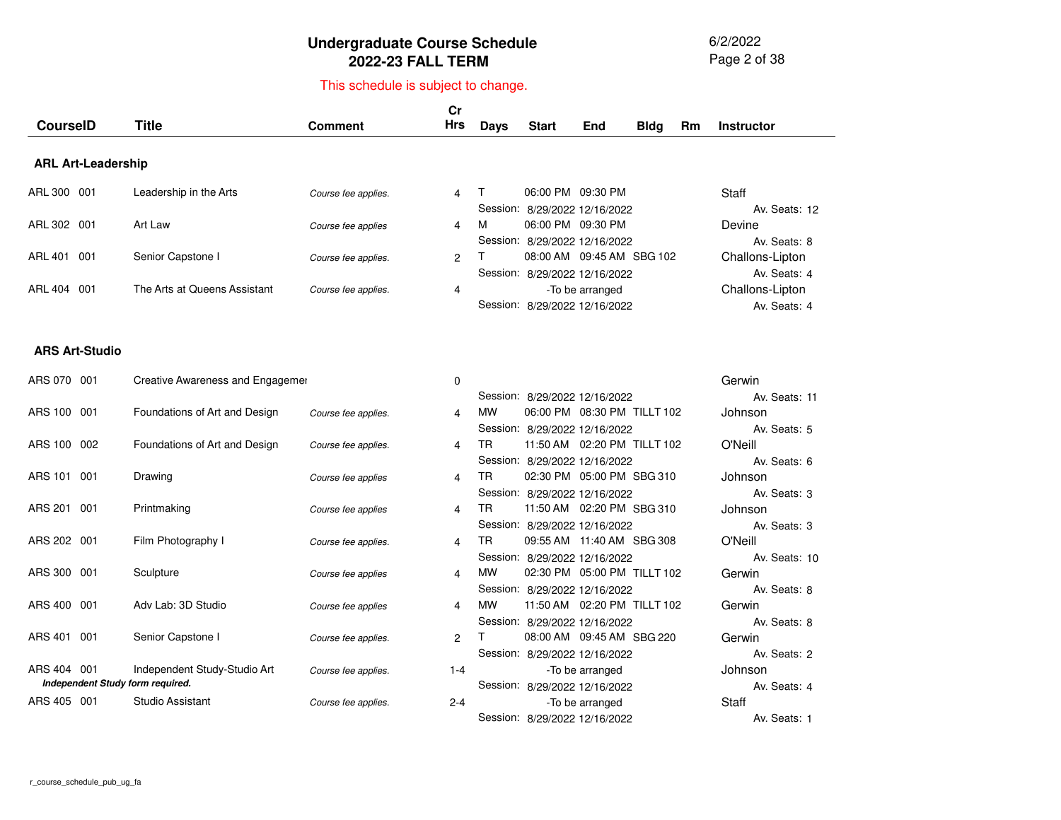6/2/2022 Page 2 of 38

# This schedule is subject to change.

| <b>CourselD</b>           | <b>Title</b>                     | <b>Comment</b>      | cr<br><b>Hrs</b> | <b>Days</b> | <b>Start</b>                                       | End                         | <b>Bldg</b> | Rm | <b>Instructor</b>               |
|---------------------------|----------------------------------|---------------------|------------------|-------------|----------------------------------------------------|-----------------------------|-------------|----|---------------------------------|
| <b>ARL Art-Leadership</b> |                                  |                     |                  |             |                                                    |                             |             |    |                                 |
| ARL 300 001               | Leadership in the Arts           | Course fee applies. | 4                | т           | 06:00 PM 09:30 PM<br>Session: 8/29/2022 12/16/2022 |                             |             |    | Staff<br>Av. Seats: 12          |
| ARL 302 001               | Art Law                          | Course fee applies  | 4                | M           | 06:00 PM 09:30 PM<br>Session: 8/29/2022 12/16/2022 |                             |             |    | Devine<br>Av. Seats: 8          |
| ARL 401 001               | Senior Capstone I                | Course fee applies. | 2                |             | Session: 8/29/2022 12/16/2022                      | 08:00 AM 09:45 AM SBG 102   |             |    | Challons-Lipton<br>Av. Seats: 4 |
| ARL 404 001               | The Arts at Queens Assistant     | Course fee applies. | 4                |             | Session: 8/29/2022 12/16/2022                      | -To be arranged             |             |    | Challons-Lipton<br>Av. Seats: 4 |
| <b>ARS Art-Studio</b>     |                                  |                     |                  |             |                                                    |                             |             |    |                                 |
| ARS 070 001               | Creative Awareness and Engagemer |                     | 0                |             |                                                    |                             |             |    | Gerwin<br>Av. Seats: 11         |
| ARS 100 001               | Foundations of Art and Design    | Course fee applies. | 4                | <b>MW</b>   | Session: 8/29/2022 12/16/2022                      | 06:00 PM 08:30 PM TILLT 102 |             |    | Johnson                         |
| ARS 100<br>002            | Foundations of Art and Design    | Course fee applies. | 4                | <b>TR</b>   | Session: 8/29/2022 12/16/2022                      | 11:50 AM 02:20 PM TILLT 102 |             |    | Av. Seats: 5<br>O'Neill         |
| ARS 101<br>001            | Drawing                          | Course fee applies  | 4                | TR.         | Session: 8/29/2022 12/16/2022                      | 02:30 PM 05:00 PM SBG 310   |             |    | Av. Seats: 6<br>Johnson         |

|             |     |                                  |                     |         |           | <b>UILJILULL ILIUILULL</b>     |                 |  |
|-------------|-----|----------------------------------|---------------------|---------|-----------|--------------------------------|-----------------|--|
| ARS 100 002 |     | Foundations of Art and Design    | Course fee applies. | 4       | TR        | 11:50 AM  02:20 PM  TILLT  102 |                 |  |
|             |     |                                  |                     |         |           | Session: 8/29/2022 12/16/2022  |                 |  |
| ARS 101     | 001 | Drawing                          | Course fee applies  | 4       | TR        | 02:30 PM 05:00 PM SBG 310      |                 |  |
|             |     |                                  |                     |         |           | Session: 8/29/2022 12/16/2022  |                 |  |
| ARS 201     | 001 | Printmaking                      | Course fee applies  | 4       | TR        | 11:50 AM  02:20 PM  SBG 310    |                 |  |
|             |     |                                  |                     |         |           | Session: 8/29/2022 12/16/2022  |                 |  |
| ARS 202 001 |     | Film Photography I               | Course fee applies. | 4       | TR        | 09:55 AM 11:40 AM SBG 308      |                 |  |
|             |     |                                  |                     |         |           | Session: 8/29/2022 12/16/2022  |                 |  |
| ARS 300 001 |     | Sculpture                        | Course fee applies  | 4       | MW        | 02:30 PM 05:00 PM TILLT 102    |                 |  |
|             |     |                                  |                     |         |           | Session: 8/29/2022 12/16/2022  |                 |  |
| ARS 400     | 001 | Adv Lab: 3D Studio               | Course fee applies  | 4       | <b>MW</b> | 11:50 AM  02:20 PM  TILLT  102 |                 |  |
|             |     |                                  |                     |         |           | Session: 8/29/2022 12/16/2022  |                 |  |
| ARS 401     | 001 | Senior Capstone I                | Course fee applies. | 2       |           | 08:00 AM 09:45 AM SBG 220      |                 |  |
|             |     |                                  |                     |         |           | Session: 8/29/2022 12/16/2022  |                 |  |
| ARS 404     | 001 | Independent Study-Studio Art     | Course fee applies. | $1 - 4$ |           |                                | -To be arranged |  |
|             |     | Independent Study form required. |                     |         |           | Session: 8/29/2022 12/16/2022  |                 |  |
| ARS 405     | 001 | Studio Assistant                 | Course fee applies. | $2 - 4$ |           |                                | -To be arranged |  |
|             |     |                                  |                     |         |           | Session: 8/29/2022 12/16/2022  |                 |  |
|             |     |                                  |                     |         |           |                                |                 |  |

|                      | Gerwin        |  |
|----------------------|---------------|--|
| $\overline{c}$       | Av. Seats: 11 |  |
| TILLT 102            | Johnson       |  |
| 2                    | Av. Seats: 5  |  |
| TILLT <sub>102</sub> | O'Neill       |  |
| 2                    | Av. Seats: 6  |  |
| SBG 310              | Johnson       |  |
| 2                    | Av. Seats: 3  |  |
| <b>SBG 310</b>       | Johnson       |  |
| 2                    | Av. Seats: 3  |  |
| <b>SBG 308</b>       | O'Neill       |  |
| 2                    | Av. Seats: 10 |  |
| <b>TILLT 102</b>     | Gerwin        |  |
| 2                    | Av. Seats: 8  |  |
| TILLT 102            | Gerwin        |  |
| 2                    | Av. Seats: 8  |  |
| <b>SBG 220</b>       | Gerwin        |  |
| 2                    | Av. Seats: 2  |  |
|                      | Johnson       |  |
| 2                    | Av. Seats: 4  |  |
|                      | Staff         |  |
| $\overline{c}$       | Av. Seats: 1  |  |
|                      |               |  |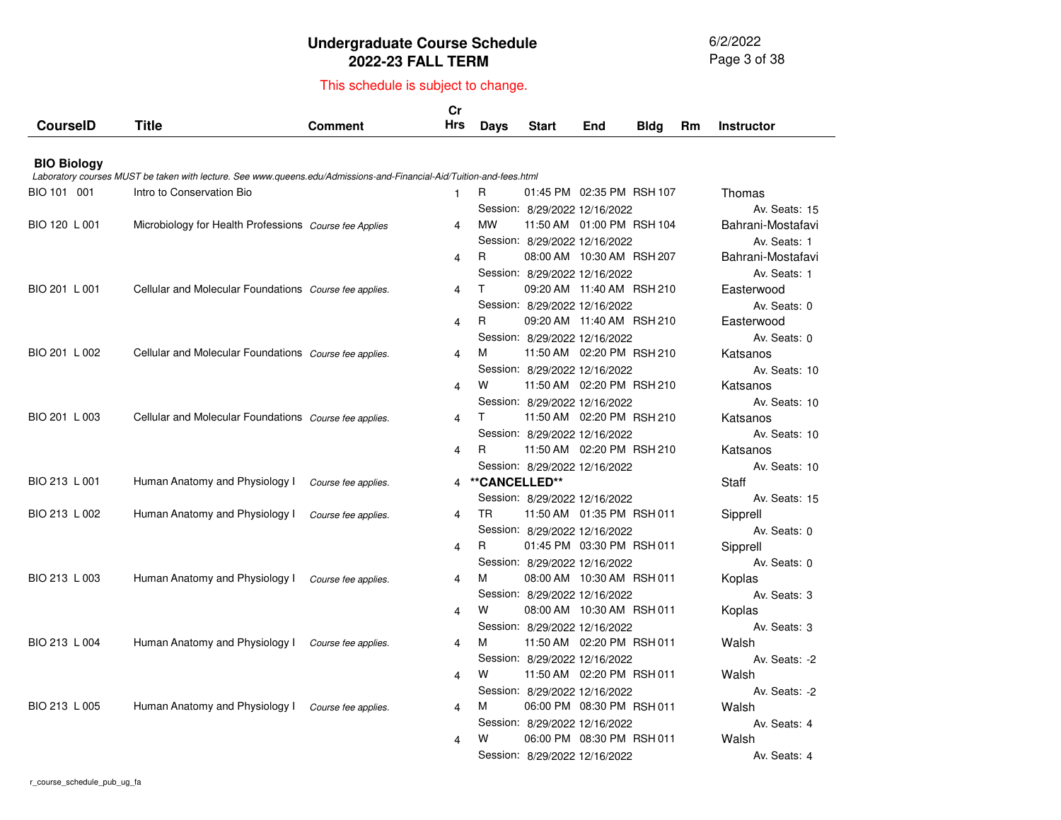6/2/2022 Page 3 of 38

|                    |                                                                                                                      |                     | Cr<br>Hrs      |               |                               |                              |             |    |                   |
|--------------------|----------------------------------------------------------------------------------------------------------------------|---------------------|----------------|---------------|-------------------------------|------------------------------|-------------|----|-------------------|
| <b>CourseID</b>    | <b>Title</b>                                                                                                         | <b>Comment</b>      |                | <b>Days</b>   | <b>Start</b>                  | End                          | <b>Bldg</b> | Rm | <b>Instructor</b> |
| <b>BIO Biology</b> |                                                                                                                      |                     |                |               |                               |                              |             |    |                   |
|                    | Laboratory courses MUST be taken with lecture. See www.queens.edu/Admissions-and-Financial-Aid/Tuition-and-fees.html |                     |                |               |                               |                              |             |    |                   |
| BIO 101 001        | Intro to Conservation Bio                                                                                            |                     | 1              | R             |                               | 01:45 PM 02:35 PM RSH 107    |             |    | Thomas            |
|                    |                                                                                                                      |                     |                |               | Session: 8/29/2022 12/16/2022 |                              |             |    | Av. Seats: 15     |
| BIO 120 L 001      | Microbiology for Health Professions Course fee Applies                                                               |                     | 4              | <b>MW</b>     |                               | 11:50 AM  01:00 PM  RSH  104 |             |    | Bahrani-Mostafavi |
|                    |                                                                                                                      |                     |                |               | Session: 8/29/2022 12/16/2022 |                              |             |    | Av. Seats: 1      |
|                    |                                                                                                                      |                     | 4              | R             |                               | 08:00 AM 10:30 AM RSH 207    |             |    | Bahrani-Mostafavi |
|                    |                                                                                                                      |                     |                |               | Session: 8/29/2022 12/16/2022 |                              |             |    | Av. Seats: 1      |
| BIO 201 L 001      | Cellular and Molecular Foundations Course fee applies.                                                               |                     | 4              | Τ             |                               | 09:20 AM 11:40 AM RSH 210    |             |    | Easterwood        |
|                    |                                                                                                                      |                     |                |               | Session: 8/29/2022 12/16/2022 |                              |             |    | Av. Seats: 0      |
|                    |                                                                                                                      |                     | 4              | R             |                               | 09:20 AM 11:40 AM RSH 210    |             |    | Easterwood        |
|                    |                                                                                                                      |                     |                |               | Session: 8/29/2022 12/16/2022 |                              |             |    | Av. Seats: 0      |
| BIO 201 L 002      | Cellular and Molecular Foundations Course fee applies.                                                               |                     | 4              | м             |                               | 11:50 AM  02:20 PM  RSH  210 |             |    | Katsanos          |
|                    |                                                                                                                      |                     |                |               | Session: 8/29/2022 12/16/2022 |                              |             |    | Av. Seats: 10     |
|                    |                                                                                                                      |                     | 4              | W             |                               | 11:50 AM 02:20 PM RSH 210    |             |    | Katsanos          |
|                    |                                                                                                                      |                     |                |               | Session: 8/29/2022 12/16/2022 |                              |             |    | Av. Seats: 10     |
| BIO 201 L 003      | Cellular and Molecular Foundations Course fee applies.                                                               |                     | 4              | Τ             |                               | 11:50 AM 02:20 PM RSH 210    |             |    | Katsanos          |
|                    |                                                                                                                      |                     |                |               | Session: 8/29/2022 12/16/2022 |                              |             |    | Av. Seats: 10     |
|                    |                                                                                                                      |                     | 4              | R.            |                               | 11:50 AM 02:20 PM RSH 210    |             |    | Katsanos          |
|                    |                                                                                                                      |                     |                |               | Session: 8/29/2022 12/16/2022 |                              |             |    | Av. Seats: 10     |
| BIO 213 L 001      | Human Anatomy and Physiology I                                                                                       | Course fee applies. | 4              | **CANCELLED** |                               |                              |             |    | Staff             |
|                    |                                                                                                                      |                     |                |               | Session: 8/29/2022 12/16/2022 |                              |             |    | Av. Seats: 15     |
| BIO 213 L 002      | Human Anatomy and Physiology I                                                                                       | Course fee applies. | 4              | <b>TR</b>     |                               | 11:50 AM  01:35 PM  RSH 011  |             |    | Sipprell          |
|                    |                                                                                                                      |                     |                |               | Session: 8/29/2022 12/16/2022 |                              |             |    | Av. Seats: 0      |
|                    |                                                                                                                      |                     | 4              | R             |                               | 01:45 PM 03:30 PM RSH 011    |             |    | Sipprell          |
|                    |                                                                                                                      |                     |                |               | Session: 8/29/2022 12/16/2022 |                              |             |    | Av. Seats: 0      |
| BIO 213 L 003      | Human Anatomy and Physiology I                                                                                       | Course fee applies. | 4              | м             |                               | 08:00 AM 10:30 AM RSH 011    |             |    | Koplas            |
|                    |                                                                                                                      |                     |                |               | Session: 8/29/2022 12/16/2022 |                              |             |    | Av. Seats: 3      |
|                    |                                                                                                                      |                     | 4              | w             |                               | 08:00 AM 10:30 AM RSH 011    |             |    | Koplas            |
|                    |                                                                                                                      |                     |                |               | Session: 8/29/2022 12/16/2022 |                              |             |    | Av. Seats: 3      |
| BIO 213 L 004      | Human Anatomy and Physiology I                                                                                       | Course fee applies. | $\overline{4}$ | м             |                               | 11:50 AM 02:20 PM RSH 011    |             |    | Walsh             |
|                    |                                                                                                                      |                     |                |               | Session: 8/29/2022 12/16/2022 |                              |             |    | Av. Seats: -2     |
|                    |                                                                                                                      |                     | 4              | W             |                               | 11:50 AM 02:20 PM RSH 011    |             |    | Walsh             |
|                    |                                                                                                                      |                     |                |               | Session: 8/29/2022 12/16/2022 |                              |             |    | Av. Seats: -2     |
| BIO 213 L 005      | Human Anatomy and Physiology I                                                                                       | Course fee applies. | 4              | м             |                               | 06:00 PM 08:30 PM RSH 011    |             |    | Walsh             |
|                    |                                                                                                                      |                     |                |               | Session: 8/29/2022 12/16/2022 |                              |             |    | Av. Seats: 4      |
|                    |                                                                                                                      |                     | 4              | w             |                               | 06:00 PM 08:30 PM RSH 011    |             |    | Walsh             |
|                    |                                                                                                                      |                     |                |               | Session: 8/29/2022 12/16/2022 |                              |             |    | Av. Seats: 4      |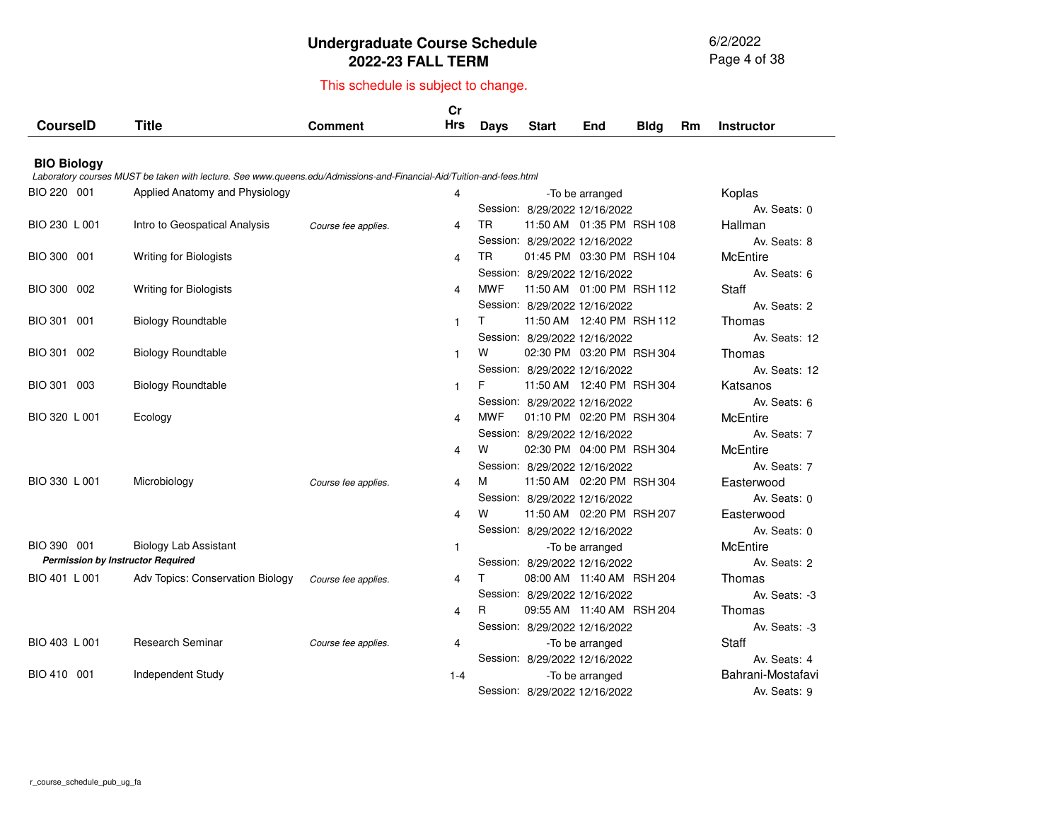6/2/2022 Page 4 of 38

|                       |                                                                                                                      |                     | cr           |            |                               |                              |             |           |                   |  |  |  |  |  |  |  |
|-----------------------|----------------------------------------------------------------------------------------------------------------------|---------------------|--------------|------------|-------------------------------|------------------------------|-------------|-----------|-------------------|--|--|--|--|--|--|--|
| <b>CourseID</b>       | <b>Title</b>                                                                                                         | <b>Comment</b>      | <b>Hrs</b>   | Days       | <b>Start</b>                  | End                          | <b>Bldg</b> | <b>Rm</b> | <b>Instructor</b> |  |  |  |  |  |  |  |
|                       |                                                                                                                      |                     |              |            |                               |                              |             |           |                   |  |  |  |  |  |  |  |
| <b>BIO Biology</b>    | Laboratory courses MUST be taken with lecture. See www.queens.edu/Admissions-and-Financial-Aid/Tuition-and-fees.html |                     |              |            |                               |                              |             |           |                   |  |  |  |  |  |  |  |
| BIO 220 001           | Applied Anatomy and Physiology                                                                                       |                     | 4            |            |                               | -To be arranged              |             |           | Koplas            |  |  |  |  |  |  |  |
|                       |                                                                                                                      |                     |              |            | Session: 8/29/2022 12/16/2022 |                              |             |           | Av. Seats: 0      |  |  |  |  |  |  |  |
| BIO 230 L 001         | Intro to Geospatical Analysis                                                                                        | Course fee applies. | 4            | TR         |                               | 11:50 AM  01:35 PM  RSH  108 |             |           | Hallman           |  |  |  |  |  |  |  |
|                       |                                                                                                                      |                     |              |            | Session: 8/29/2022 12/16/2022 |                              |             |           | Av. Seats: 8      |  |  |  |  |  |  |  |
| BIO 300 001           | <b>Writing for Biologists</b>                                                                                        |                     | 4            | <b>TR</b>  |                               | 01:45 PM 03:30 PM RSH 104    |             |           | <b>McEntire</b>   |  |  |  |  |  |  |  |
|                       |                                                                                                                      |                     |              |            | Session: 8/29/2022 12/16/2022 |                              |             |           | Av. Seats: 6      |  |  |  |  |  |  |  |
| BIO 300 002           | Writing for Biologists                                                                                               |                     | 4            | <b>MWF</b> |                               | 11:50 AM  01:00 PM  RSH  112 |             |           | Staff             |  |  |  |  |  |  |  |
|                       |                                                                                                                      |                     |              |            | Session: 8/29/2022 12/16/2022 |                              |             |           | Av. Seats: 2      |  |  |  |  |  |  |  |
| <b>BIO 301</b><br>001 | <b>Biology Roundtable</b>                                                                                            |                     | $\mathbf{1}$ | T.         |                               | 11:50 AM  12:40 PM  RSH  112 |             |           | Thomas            |  |  |  |  |  |  |  |
|                       |                                                                                                                      |                     |              |            | Session: 8/29/2022 12/16/2022 |                              |             |           | Av. Seats: 12     |  |  |  |  |  |  |  |
| BIO 301 002           | <b>Biology Roundtable</b>                                                                                            |                     | $\mathbf{1}$ | w          |                               | 02:30 PM 03:20 PM RSH 304    |             |           | Thomas            |  |  |  |  |  |  |  |
|                       |                                                                                                                      |                     |              |            | Session: 8/29/2022 12/16/2022 |                              |             |           | Av. Seats: 12     |  |  |  |  |  |  |  |
| BIO 301 003           | <b>Biology Roundtable</b>                                                                                            |                     | $\mathbf{1}$ | F          |                               | 11:50 AM  12:40 PM  RSH  304 |             |           | Katsanos          |  |  |  |  |  |  |  |
|                       |                                                                                                                      |                     |              |            | Session: 8/29/2022 12/16/2022 |                              |             |           | Av. Seats: 6      |  |  |  |  |  |  |  |
| BIO 320 L 001         | Ecology                                                                                                              |                     | 4            | <b>MWF</b> |                               | 01:10 PM 02:20 PM RSH 304    |             |           | McEntire          |  |  |  |  |  |  |  |
|                       |                                                                                                                      |                     |              |            | Session: 8/29/2022 12/16/2022 |                              |             |           | Av. Seats: 7      |  |  |  |  |  |  |  |
|                       |                                                                                                                      |                     | 4            | W          |                               | 02:30 PM 04:00 PM RSH 304    |             |           | <b>McEntire</b>   |  |  |  |  |  |  |  |
|                       |                                                                                                                      |                     |              |            | Session: 8/29/2022 12/16/2022 |                              |             |           | Av. Seats: 7      |  |  |  |  |  |  |  |
| BIO 330 L 001         | Microbiology                                                                                                         | Course fee applies. | 4            | м          |                               | 11:50 AM 02:20 PM RSH 304    |             |           | Easterwood        |  |  |  |  |  |  |  |
|                       |                                                                                                                      |                     |              |            | Session: 8/29/2022 12/16/2022 |                              |             |           | Av. Seats: 0      |  |  |  |  |  |  |  |
|                       |                                                                                                                      |                     | 4            | w          |                               | 11:50 AM 02:20 PM RSH 207    |             |           | Easterwood        |  |  |  |  |  |  |  |
|                       |                                                                                                                      |                     |              |            | Session: 8/29/2022 12/16/2022 |                              |             |           | Av. Seats: 0      |  |  |  |  |  |  |  |
| BIO 390 001           | <b>Biology Lab Assistant</b>                                                                                         |                     | $\mathbf{1}$ |            |                               | -To be arranged              |             |           | <b>McEntire</b>   |  |  |  |  |  |  |  |
|                       | <b>Permission by Instructor Required</b>                                                                             |                     |              |            | Session: 8/29/2022 12/16/2022 |                              |             |           | Av. Seats: 2      |  |  |  |  |  |  |  |
| BIO 401 L 001         | Adv Topics: Conservation Biology                                                                                     | Course fee applies. | 4            | т          |                               | 08:00 AM 11:40 AM RSH 204    |             |           | Thomas            |  |  |  |  |  |  |  |
|                       |                                                                                                                      |                     |              |            | Session: 8/29/2022 12/16/2022 |                              |             |           | Av. Seats: -3     |  |  |  |  |  |  |  |
|                       |                                                                                                                      |                     | 4            | R          |                               | 09:55 AM 11:40 AM RSH 204    |             |           | Thomas            |  |  |  |  |  |  |  |
|                       |                                                                                                                      |                     |              |            | Session: 8/29/2022 12/16/2022 |                              |             |           | Av. Seats: -3     |  |  |  |  |  |  |  |
| BIO 403 L 001         | <b>Research Seminar</b>                                                                                              | Course fee applies. | 4            |            |                               | -To be arranged              |             |           | Staff             |  |  |  |  |  |  |  |
|                       |                                                                                                                      |                     |              |            | Session: 8/29/2022 12/16/2022 |                              |             |           | Av. Seats: 4      |  |  |  |  |  |  |  |
| BIO 410 001           | Independent Study                                                                                                    |                     | $1 - 4$      |            |                               | -To be arranged              |             |           | Bahrani-Mostafavi |  |  |  |  |  |  |  |
|                       |                                                                                                                      |                     |              |            | Session: 8/29/2022 12/16/2022 |                              |             |           | Av. Seats: 9      |  |  |  |  |  |  |  |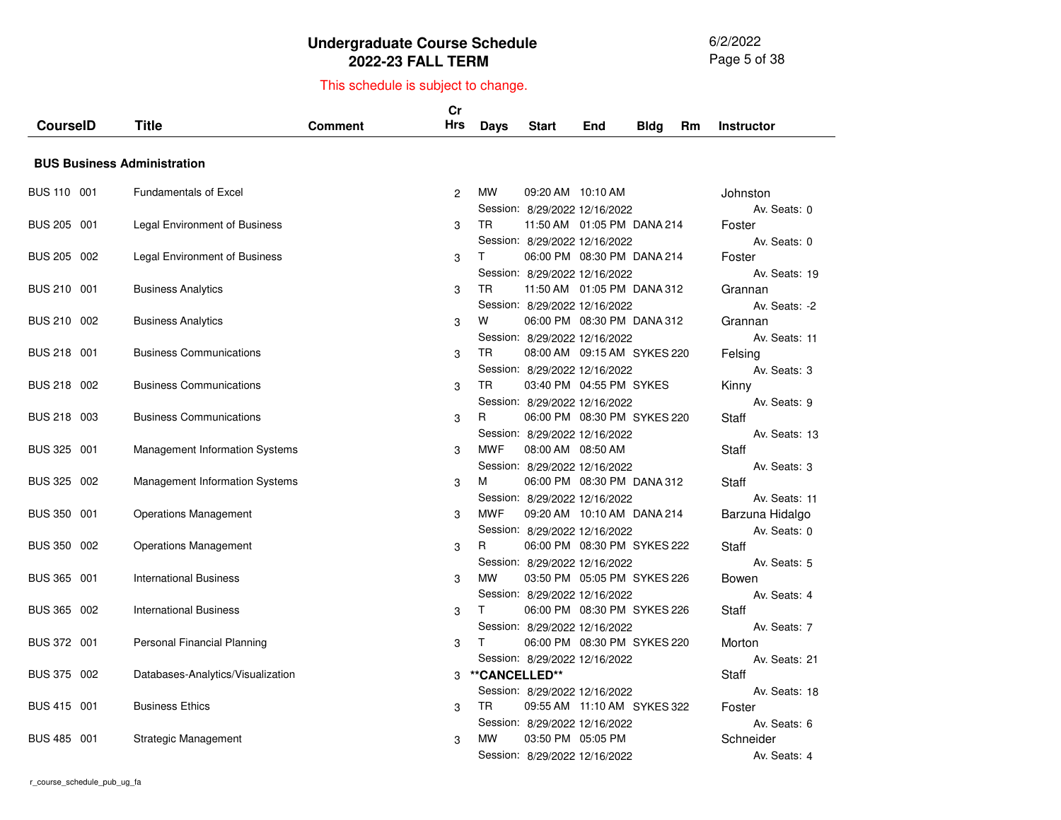6/2/2022 Page 5 of 38

|                 |     |                                       |                | Cr         |               |                               |                               |             |           |                         |
|-----------------|-----|---------------------------------------|----------------|------------|---------------|-------------------------------|-------------------------------|-------------|-----------|-------------------------|
| <b>CourseID</b> |     | Title                                 | <b>Comment</b> | <b>Hrs</b> | <b>Days</b>   | Start                         | End                           | <b>Bldg</b> | <b>Rm</b> | <b>Instructor</b>       |
|                 |     |                                       |                |            |               |                               |                               |             |           |                         |
|                 |     | <b>BUS Business Administration</b>    |                |            |               |                               |                               |             |           |                         |
| BUS 110 001     |     | <b>Fundamentals of Excel</b>          |                | 2          | <b>MW</b>     | 09:20 AM 10:10 AM             |                               |             |           | Johnston                |
|                 |     |                                       |                |            |               | Session: 8/29/2022 12/16/2022 |                               |             |           | Av. Seats: 0            |
| BUS 205 001     |     | Legal Environment of Business         |                | 3          | <b>TR</b>     |                               | 11:50 AM  01:05 PM  DANA  214 |             |           | Foster                  |
|                 |     |                                       |                |            |               | Session: 8/29/2022 12/16/2022 |                               |             |           | Av. Seats: 0            |
| BUS 205 002     |     | Legal Environment of Business         |                | 3          | T.            |                               | 06:00 PM 08:30 PM DANA 214    |             |           | Foster                  |
|                 |     |                                       |                |            |               | Session: 8/29/2022 12/16/2022 |                               |             |           | Av. Seats: 19           |
| BUS 210 001     |     | <b>Business Analytics</b>             |                | 3          | <b>TR</b>     |                               | 11:50 AM  01:05 PM  DANA  312 |             |           | Grannan                 |
|                 |     |                                       |                |            |               | Session: 8/29/2022 12/16/2022 |                               |             |           | Av. Seats: -2           |
| BUS 210 002     |     | <b>Business Analytics</b>             |                | 3          | W             |                               | 06:00 PM 08:30 PM DANA 312    |             |           | Grannan                 |
| BUS 218 001     |     | <b>Business Communications</b>        |                |            | TR.           | Session: 8/29/2022 12/16/2022 | 08:00 AM 09:15 AM SYKES 220   |             |           | Av. Seats: 11           |
|                 |     |                                       |                | 3          |               | Session: 8/29/2022 12/16/2022 |                               |             |           | Felsing<br>Av. Seats: 3 |
| <b>BUS 218</b>  | 002 | <b>Business Communications</b>        |                | 3          | TR            |                               | 03:40 PM 04:55 PM SYKES       |             |           | Kinny                   |
|                 |     |                                       |                |            |               | Session: 8/29/2022 12/16/2022 |                               |             |           | Av. Seats: 9            |
| <b>BUS 218</b>  | 003 | <b>Business Communications</b>        |                | 3          | R.            |                               | 06:00 PM 08:30 PM SYKES 220   |             |           | Staff                   |
|                 |     |                                       |                |            |               | Session: 8/29/2022 12/16/2022 |                               |             |           | Av. Seats: 13           |
| BUS 325 001     |     | Management Information Systems        |                | 3          | <b>MWF</b>    | 08:00 AM 08:50 AM             |                               |             |           | Staff                   |
|                 |     |                                       |                |            |               | Session: 8/29/2022 12/16/2022 |                               |             |           | Av. Seats: 3            |
| BUS 325 002     |     | <b>Management Information Systems</b> |                | 3          | м             |                               | 06:00 PM 08:30 PM DANA 312    |             |           | <b>Staff</b>            |
|                 |     |                                       |                |            |               | Session: 8/29/2022 12/16/2022 |                               |             |           | Av. Seats: 11           |
| BUS 350 001     |     | <b>Operations Management</b>          |                | 3          | <b>MWF</b>    |                               | 09:20 AM  10:10 AM  DANA  214 |             |           | Barzuna Hidalgo         |
|                 |     |                                       |                |            |               | Session: 8/29/2022 12/16/2022 |                               |             |           | Av. Seats: 0            |
| BUS 350 002     |     | <b>Operations Management</b>          |                | 3          | R             |                               | 06:00 PM 08:30 PM SYKES 222   |             |           | Staff                   |
|                 |     |                                       |                |            |               | Session: 8/29/2022 12/16/2022 |                               |             |           | Av. Seats: 5            |
| BUS 365 001     |     | <b>International Business</b>         |                | 3          | <b>MW</b>     |                               | 03:50 PM 05:05 PM SYKES 226   |             |           | Bowen                   |
|                 |     |                                       |                |            |               | Session: 8/29/2022 12/16/2022 |                               |             |           | Av. Seats: 4            |
| BUS 365 002     |     | <b>International Business</b>         |                | 3          | T.            |                               | 06:00 PM 08:30 PM SYKES 226   |             |           | Staff                   |
| BUS 372 001     |     | Personal Financial Planning           |                | 3          | T.            | Session: 8/29/2022 12/16/2022 | 06:00 PM 08:30 PM SYKES 220   |             |           | Av. Seats: 7<br>Morton  |
|                 |     |                                       |                |            |               | Session: 8/29/2022 12/16/2022 |                               |             |           | Av. Seats: 21           |
| BUS 375 002     |     | Databases-Analytics/Visualization     |                | 3          | **CANCELLED** |                               |                               |             |           | <b>Staff</b>            |
|                 |     |                                       |                |            |               | Session: 8/29/2022 12/16/2022 |                               |             |           | Av. Seats: 18           |
| BUS 415 001     |     | <b>Business Ethics</b>                |                | 3          | TR.           |                               | 09:55 AM 11:10 AM SYKES 322   |             |           | Foster                  |
|                 |     |                                       |                |            |               | Session: 8/29/2022 12/16/2022 |                               |             |           | Av. Seats: 6            |
| BUS 485 001     |     | Strategic Management                  |                | 3          | <b>MW</b>     | 03:50 PM 05:05 PM             |                               |             |           | Schneider               |
|                 |     |                                       |                |            |               | Session: 8/29/2022 12/16/2022 |                               |             |           | Av. Seats: 4            |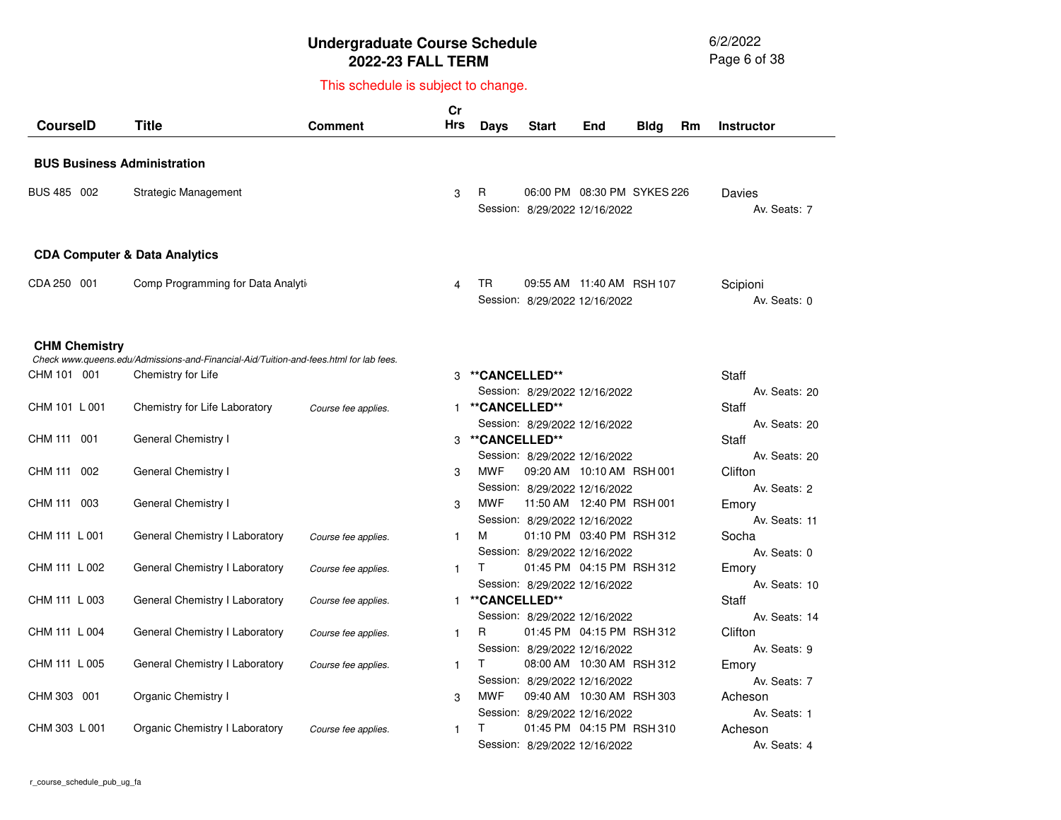6/2/2022 Page 6 of 38

| <b>CourseID</b>      | <b>Title</b>                                                                          | Comment             | Cr<br><b>Hrs</b> | <b>Days</b>   | <b>Start</b>                                                 | End | <b>Bldg</b> | Rm | <b>Instructor</b>             |
|----------------------|---------------------------------------------------------------------------------------|---------------------|------------------|---------------|--------------------------------------------------------------|-----|-------------|----|-------------------------------|
|                      | <b>BUS Business Administration</b>                                                    |                     |                  |               |                                                              |     |             |    |                               |
| BUS 485 002          | Strategic Management                                                                  |                     | 3                | R             | 06:00 PM 08:30 PM SYKES 226<br>Session: 8/29/2022 12/16/2022 |     |             |    | Davies<br>Av. Seats: 7        |
|                      | <b>CDA Computer &amp; Data Analytics</b>                                              |                     |                  |               |                                                              |     |             |    |                               |
| CDA 250 001          | Comp Programming for Data Analyti                                                     |                     | 4                | TR            | 09:55 AM 11:40 AM RSH 107<br>Session: 8/29/2022 12/16/2022   |     |             |    | Scipioni<br>Av. Seats: 0      |
| <b>CHM Chemistry</b> | Check www.queens.edu/Admissions-and-Financial-Aid/Tuition-and-fees.html for lab fees. |                     |                  |               |                                                              |     |             |    |                               |
| CHM 101 001          | Chemistry for Life                                                                    |                     | 3                | **CANCELLED** | Session: 8/29/2022 12/16/2022                                |     |             |    | <b>Staff</b><br>Av. Seats: 20 |
| CHM 101 L 001        | Chemistry for Life Laboratory                                                         | Course fee applies. | 1                | **CANCELLED** |                                                              |     |             |    | Staff                         |
| CHM 111 001          | General Chemistry I                                                                   |                     | 3                | **CANCELLED** | Session: 8/29/2022 12/16/2022                                |     |             |    | Av. Seats: 20<br><b>Staff</b> |
| CHM 111 002          | General Chemistry I                                                                   |                     | 3                | <b>MWF</b>    | Session: 8/29/2022 12/16/2022<br>09:20 AM 10:10 AM RSH 001   |     |             |    | Av. Seats: 20<br>Clifton      |
| CHM 111 003          | General Chemistry I                                                                   |                     | 3                | <b>MWF</b>    | Session: 8/29/2022 12/16/2022<br>11:50 AM  12:40 PM  RSH 001 |     |             |    | Av. Seats: 2<br>Emory         |
| CHM 111 L 001        | General Chemistry I Laboratory                                                        | Course fee applies. | $\mathbf{1}$     | м             | Session: 8/29/2022 12/16/2022<br>01:10 PM 03:40 PM RSH 312   |     |             |    | Av. Seats: 11<br>Socha        |
| CHM 111 L 002        | General Chemistry I Laboratory                                                        | Course fee applies. | 1                | T.            | Session: 8/29/2022 12/16/2022<br>01:45 PM 04:15 PM RSH 312   |     |             |    | Av. Seats: 0<br>Emory         |
| CHM 111 L 003        | General Chemistry I Laboratory                                                        | Course fee applies. | 1                | **CANCELLED** | Session: 8/29/2022 12/16/2022                                |     |             |    | Av. Seats: 10<br>Staff        |
| CHM 111 L 004        | General Chemistry I Laboratory                                                        | Course fee applies. | $\mathbf{1}$     | R             | Session: 8/29/2022 12/16/2022<br>01:45 PM 04:15 PM RSH 312   |     |             |    | Av. Seats: 14<br>Clifton      |
| CHM 111 L 005        | General Chemistry I Laboratory                                                        | Course fee applies. | 1                | T.            | Session: 8/29/2022 12/16/2022<br>08:00 AM 10:30 AM RSH 312   |     |             |    | Av. Seats: 9<br>Emory         |
| CHM 303 001          | Organic Chemistry I                                                                   |                     | 3                | <b>MWF</b>    | Session: 8/29/2022 12/16/2022<br>09:40 AM 10:30 AM RSH 303   |     |             |    | Av. Seats: 7<br>Acheson       |
| CHM 303 L 001        | Organic Chemistry I Laboratory                                                        | Course fee applies. | $\mathbf{1}$     | т             | Session: 8/29/2022 12/16/2022<br>01:45 PM 04:15 PM RSH 310   |     |             |    | Av. Seats: 1<br>Acheson       |
|                      |                                                                                       |                     |                  |               | Session: 8/29/2022 12/16/2022                                |     |             |    | Av. Seats: 4                  |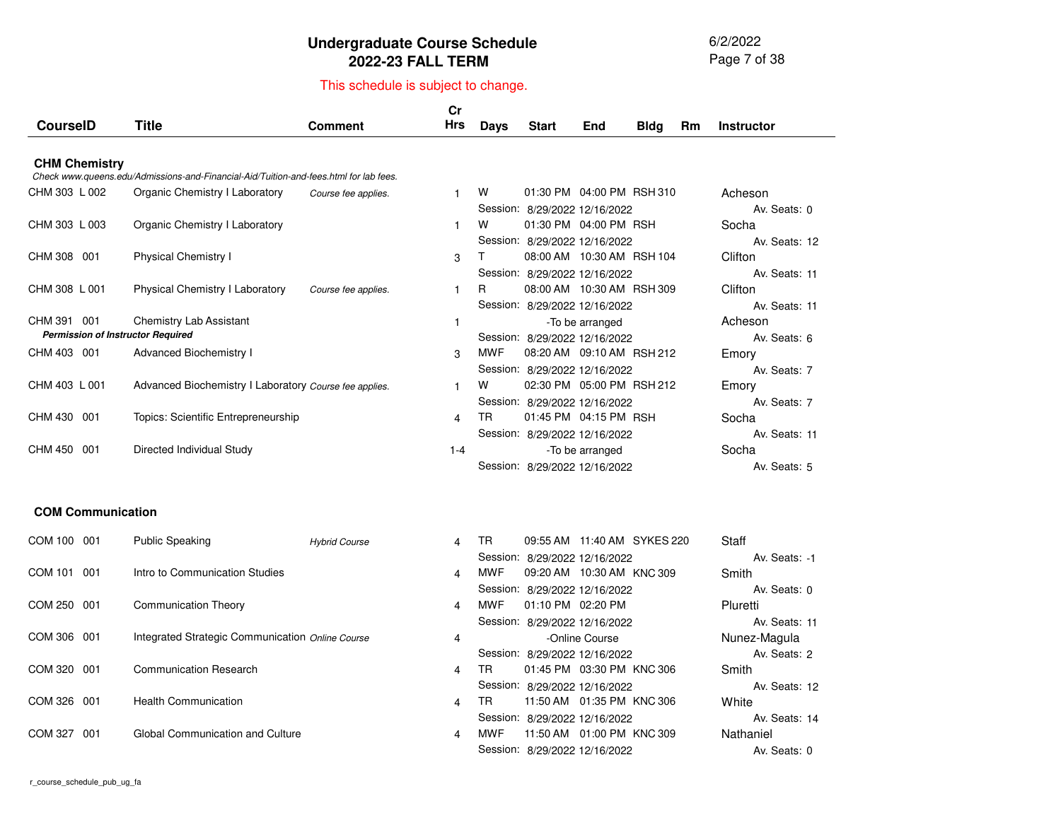6/2/2022 Page 7 of 38

| <b>CourseID</b>          | Title                                                                                 | Comment              | Cr<br><b>Hrs</b>        | <b>Days</b> | <b>Start</b>                                                   | End                          | <b>Bldg</b> | Rm | <b>Instructor</b>                          |
|--------------------------|---------------------------------------------------------------------------------------|----------------------|-------------------------|-------------|----------------------------------------------------------------|------------------------------|-------------|----|--------------------------------------------|
|                          |                                                                                       |                      |                         |             |                                                                |                              |             |    |                                            |
| <b>CHM Chemistry</b>     | Check www.queens.edu/Admissions-and-Financial-Aid/Tuition-and-fees.html for lab fees. |                      |                         |             |                                                                |                              |             |    |                                            |
| CHM 303 L 002            | Organic Chemistry I Laboratory                                                        | Course fee applies.  | 1                       | w           | Session: 8/29/2022 12/16/2022                                  | 01:30 PM 04:00 PM RSH 310    |             |    | Acheson<br>Av. Seats: 0                    |
| CHM 303 L 003            | Organic Chemistry I Laboratory                                                        |                      | 1                       | W           |                                                                | 01:30 PM 04:00 PM RSH        |             |    | Socha<br>Av. Seats: 12                     |
| CHM 308 001              | <b>Physical Chemistry I</b>                                                           |                      | 3                       | Τ           | Session: 8/29/2022 12/16/2022<br>Session: 8/29/2022 12/16/2022 | 08:00 AM 10:30 AM RSH 104    |             |    | Clifton<br>Av. Seats: 11                   |
| CHM 308 L 001            | <b>Physical Chemistry I Laboratory</b>                                                | Course fee applies.  | $\mathbf{1}$            | R           |                                                                | 08:00 AM 10:30 AM RSH 309    |             |    | Clifton                                    |
| CHM 391<br>001           | <b>Chemistry Lab Assistant</b><br><b>Permission of Instructor Required</b>            |                      | $\mathbf{1}$            |             | Session: 8/29/2022 12/16/2022                                  | -To be arranged              |             |    | Av. Seats: 11<br>Acheson                   |
| CHM 403 001              | <b>Advanced Biochemistry I</b>                                                        |                      | 3                       | <b>MWF</b>  | Session: 8/29/2022 12/16/2022                                  | 08:20 AM 09:10 AM RSH 212    |             |    | Av. Seats: 6<br>Emory                      |
| CHM 403 L 001            | Advanced Biochemistry I Laboratory Course fee applies.                                |                      | 1                       | w           | Session: 8/29/2022 12/16/2022                                  | 02:30 PM 05:00 PM RSH 212    |             |    | Av. Seats: 7<br>Emory                      |
| CHM 430<br>-001          | Topics: Scientific Entrepreneurship                                                   |                      | 4                       | TR.         | Session: 8/29/2022 12/16/2022                                  | 01:45 PM 04:15 PM RSH        |             |    | Av. Seats: 7<br>Socha                      |
| CHM 450 001              | Directed Individual Study                                                             |                      | $1 - 4$                 |             | Session: 8/29/2022 12/16/2022<br>Session: 8/29/2022 12/16/2022 | -To be arranged              |             |    | Av. Seats: 11<br>Socha<br>Av. Seats: 5     |
| <b>COM Communication</b> |                                                                                       |                      |                         |             |                                                                |                              |             |    |                                            |
| COM 100 001              | <b>Public Speaking</b>                                                                | <b>Hybrid Course</b> | 4                       | TR.         |                                                                | 09:55 AM 11:40 AM SYKES 220  |             |    | <b>Staff</b>                               |
| COM 101 001              | Intro to Communication Studies                                                        |                      | 4                       | <b>MWF</b>  | Session: 8/29/2022 12/16/2022                                  | 09:20 AM 10:30 AM KNC 309    |             |    | Av. Seats: -1<br>Smith                     |
| COM 250 001              | <b>Communication Theory</b>                                                           |                      | 4                       | <b>MWF</b>  | Session: 8/29/2022 12/16/2022                                  | 01:10 PM 02:20 PM            |             |    | Av. Seats: 0<br>Pluretti                   |
| COM 306<br>001           | Integrated Strategic Communication Online Course                                      |                      | 4                       |             | Session: 8/29/2022 12/16/2022                                  | -Online Course               |             |    | Av. Seats: 11<br>Nunez-Magula              |
| COM 320 001              | <b>Communication Research</b>                                                         |                      | $\overline{\mathbf{4}}$ | TR.         | Session: 8/29/2022 12/16/2022                                  | 01:45 PM 03:30 PM KNC 306    |             |    | Av. Seats: 2<br>Smith                      |
| <b>COM 326</b><br>001    | <b>Health Communication</b>                                                           |                      | 4                       | <b>TR</b>   | Session: 8/29/2022 12/16/2022                                  | 11:50 AM  01:35 PM  KNC  306 |             |    | Av. Seats: 12<br>White                     |
| COM 327<br>001           | Global Communication and Culture                                                      |                      | $\overline{\mathbf{4}}$ | MWF         | Session: 8/29/2022 12/16/2022<br>Session: 8/29/2022 12/16/2022 | 11:50 AM  01:00 PM  KNC  309 |             |    | Av. Seats: 14<br>Nathaniel<br>Av. Seats: 0 |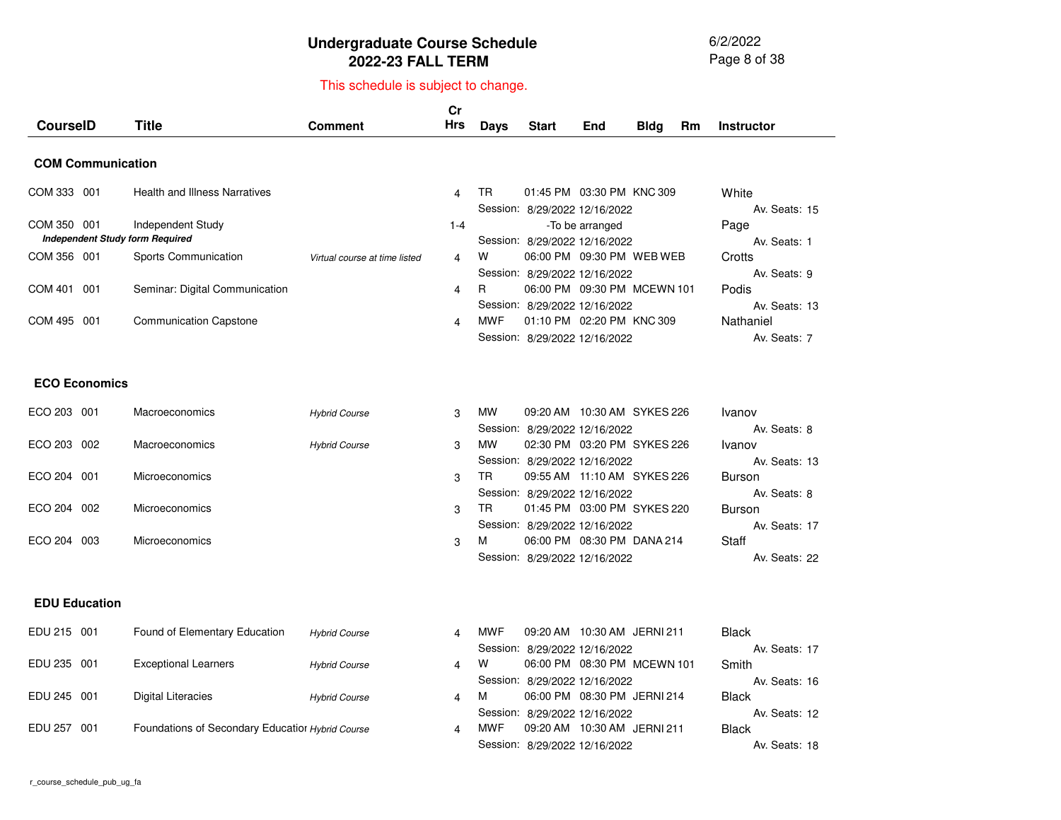6/2/2022 Page 8 of 38

**Staff** 

Av. Seats: <sup>22</sup>

## This schedule is subject to change.

| <b>CourseID</b>                                       | <b>Title</b>                         | <b>Comment</b>                | Cr<br><b>Hrs</b> | Days       | <b>Start</b>                  | End                         | <b>Bldg</b> | Rm | <b>Instructor</b>              |
|-------------------------------------------------------|--------------------------------------|-------------------------------|------------------|------------|-------------------------------|-----------------------------|-------------|----|--------------------------------|
| <b>COM Communication</b>                              |                                      |                               |                  |            |                               |                             |             |    |                                |
| COM 333 001                                           | <b>Health and Illness Narratives</b> |                               | 4                | TR.        | Session: 8/29/2022 12/16/2022 | 01:45 PM 03:30 PM KNC 309   |             |    | White<br>Av. Seats: 15         |
| COM 350 001<br><b>Independent Study form Required</b> | Independent Study                    |                               | $1 - 4$          |            | Session: 8/29/2022 12/16/2022 | -To be arranged             |             |    | Page<br>Av. Seats: 1           |
| COM 356 001                                           | Sports Communication                 | Virtual course at time listed | 4                | W          | Session: 8/29/2022 12/16/2022 | 06:00 PM 09:30 PM WEB WEB   |             |    | Crotts<br>Av. Seats: 9         |
| COM 401 001                                           | Seminar: Digital Communication       |                               | 4                | R.         | Session: 8/29/2022 12/16/2022 | 06:00 PM 09:30 PM MCEWN 101 |             |    | Podis<br>Av. Seats: 13         |
| COM 495 001                                           | <b>Communication Capstone</b>        |                               | 4                | <b>MWF</b> | Session: 8/29/2022 12/16/2022 | 01:10 PM 02:20 PM KNC 309   |             |    | Nathaniel<br>Av. Seats: 7      |
| <b>ECO Economics</b>                                  |                                      |                               |                  |            |                               |                             |             |    |                                |
| ECO 203 001                                           | Macroeconomics                       | <b>Hybrid Course</b>          | 3                | <b>MW</b>  | Session: 8/29/2022 12/16/2022 | 09:20 AM 10:30 AM SYKES 226 |             |    | Ivanov<br>Av. Seats: 8         |
| ECO 203 002                                           | Macroeconomics                       | <b>Hybrid Course</b>          | 3                | <b>MW</b>  | Session: 8/29/2022 12/16/2022 | 02:30 PM 03:20 PM SYKES 226 |             |    | Ivanov<br>Av. Seats: 13        |
| ECO 204 001                                           | <b>Microeconomics</b>                |                               | 3                | TR.        | Session: 8/29/2022 12/16/2022 | 09:55 AM 11:10 AM SYKES 226 |             |    | <b>Burson</b><br>Av. Seats: 8  |
| ECO 204 002                                           | Microeconomics                       |                               | 3                | TR.        | Session: 8/29/2022 12/16/2022 | 01:45 PM 03:00 PM SYKES 220 |             |    | <b>Burson</b><br>Av. Seats: 17 |

ECO 204 003 Microeconomics

#### **EDU Education**

| EDU 215 001    |     | Found of Elementary Education                    | <b>Hybrid Course</b> | 4 | <b>MWF</b> |                               | 09:20 AM 10:30 AM JERNI 211 |                             | <b>Black</b>  |
|----------------|-----|--------------------------------------------------|----------------------|---|------------|-------------------------------|-----------------------------|-----------------------------|---------------|
|                |     |                                                  |                      |   |            | Session: 8/29/2022 12/16/2022 |                             |                             | Av. Seats: 17 |
| EDU 235 001    |     | <b>Exceptional Learners</b>                      | <b>Hybrid Course</b> | 4 | W          |                               |                             | 06:00 PM 08:30 PM MCEWN 101 | Smith         |
|                |     |                                                  |                      |   |            | Session: 8/29/2022 12/16/2022 |                             |                             | Av. Seats: 16 |
| EDU 245 001    |     | Digital Literacies                               | <b>Hybrid Course</b> | 4 | M          |                               |                             | 06:00 PM 08:30 PM JERNI 214 | <b>Black</b>  |
|                |     |                                                  |                      |   |            | Session: 8/29/2022 12/16/2022 |                             |                             | Av. Seats: 12 |
| <b>EDU 257</b> | 001 | Foundations of Secondary Educatior Hybrid Course |                      | 4 | <b>MWF</b> |                               | 09:20 AM 10:30 AM JERNI 211 |                             | <b>Black</b>  |
|                |     |                                                  |                      |   |            | Session: 8/29/2022 12/16/2022 |                             |                             | Av. Seats: 18 |

3 M 06:00 PM 08:30 PM DANA 214 Session: 8/29/2022 12/16/2022

 $\sim$  3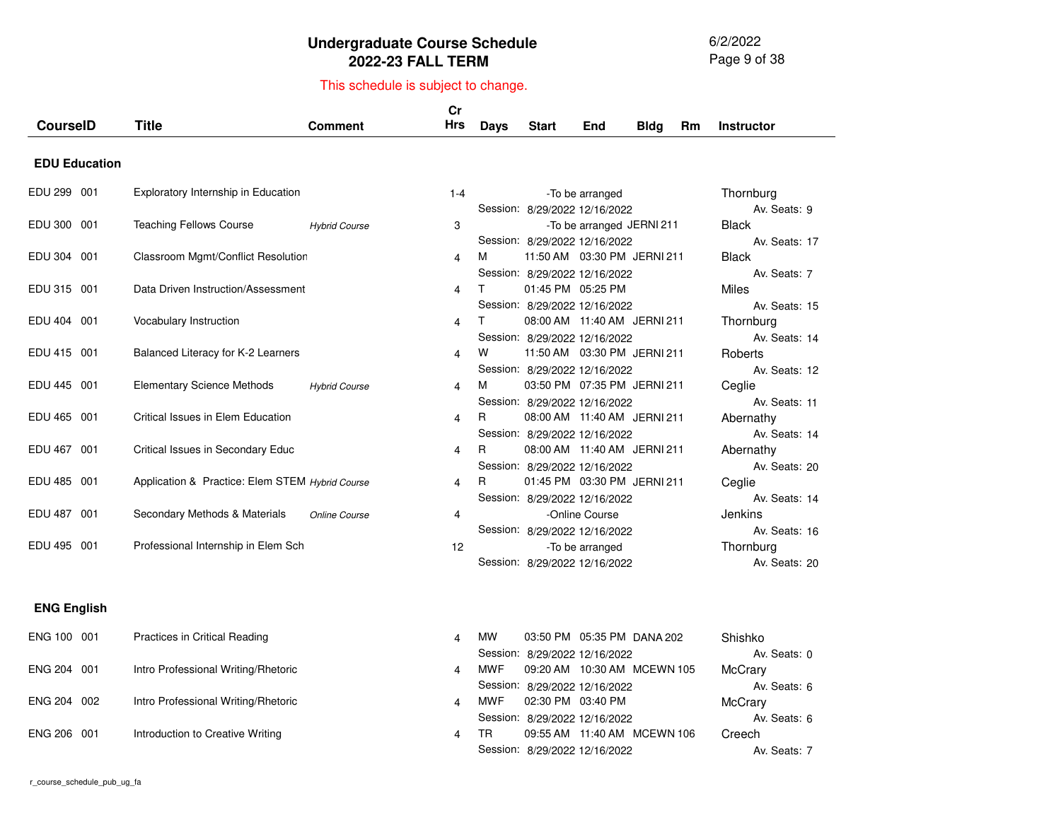6/2/2022 Page 9 of 38

| <b>CourseID</b>      | <b>Title</b>                                    | <b>Comment</b>       | cr<br><b>Hrs</b> | <b>Days</b> | <b>Start</b>                                                   | End                            | <b>Bldg</b> | Rm | <b>Instructor</b>             |
|----------------------|-------------------------------------------------|----------------------|------------------|-------------|----------------------------------------------------------------|--------------------------------|-------------|----|-------------------------------|
| <b>EDU Education</b> |                                                 |                      |                  |             |                                                                |                                |             |    |                               |
| EDU 299 001          | Exploratory Internship in Education             |                      | $1 - 4$          |             |                                                                | -To be arranged                |             |    | Thornburg<br>Av. Seats: 9     |
| EDU 300 001          | <b>Teaching Fellows Course</b>                  | <b>Hybrid Course</b> | 3                |             | Session: 8/29/2022 12/16/2022<br>Session: 8/29/2022 12/16/2022 | -To be arranged JERNI 211      |             |    | <b>Black</b><br>Av. Seats: 17 |
| EDU 304 001          | Classroom Mgmt/Conflict Resolution              |                      | 4                | м           | Session: 8/29/2022 12/16/2022                                  | 11:50 AM  03:30 PM  JERNI  211 |             |    | <b>Black</b><br>Av. Seats: 7  |
| EDU 315 001          | Data Driven Instruction/Assessment              |                      | 4                | T           | 01:45 PM 05:25 PM<br>Session: 8/29/2022 12/16/2022             |                                |             |    | Miles<br>Av. Seats: 15        |
| EDU 404 001          | Vocabulary Instruction                          |                      | 4                | $\top$      | Session: 8/29/2022 12/16/2022                                  | 08:00 AM 11:40 AM JERNI 211    |             |    | Thornburg<br>Av. Seats: 14    |
| EDU 415 001          | Balanced Literacy for K-2 Learners              |                      | 4                | W           | Session: 8/29/2022 12/16/2022                                  | 11:50 AM  03:30 PM  JERNI  211 |             |    | Roberts<br>Av. Seats: 12      |
| EDU 445 001          | <b>Elementary Science Methods</b>               | <b>Hybrid Course</b> | 4                | М           | Session: 8/29/2022 12/16/2022                                  | 03:50 PM 07:35 PM JERNI 211    |             |    | Ceglie<br>Av. Seats: 11       |
| EDU 465 001          | Critical Issues in Elem Education               |                      | 4                | R           | Session: 8/29/2022 12/16/2022                                  | 08:00 AM 11:40 AM JERNI 211    |             |    | Abernathy<br>Av. Seats: 14    |
| EDU 467 001          | Critical Issues in Secondary Educ               |                      | 4                | R           | Session: 8/29/2022 12/16/2022                                  | 08:00 AM 11:40 AM JERNI 211    |             |    | Abernathy<br>Av. Seats: 20    |
| EDU 485 001          | Application & Practice: Elem STEM Hybrid Course |                      | 4                | R           | Session: 8/29/2022 12/16/2022                                  | 01:45 PM 03:30 PM JERNI 211    |             |    | Ceglie<br>Av. Seats: 14       |
| EDU 487 001          | Secondary Methods & Materials                   | Online Course        | 4                |             | Session: 8/29/2022 12/16/2022                                  | -Online Course                 |             |    | Jenkins<br>Av. Seats: 16      |
| EDU 495 001          | Professional Internship in Elem Sch             |                      | 12               |             | Session: 8/29/2022 12/16/2022                                  | -To be arranged                |             |    | Thornburg<br>Av. Seats: 20    |
| <b>ENG English</b>   |                                                 |                      |                  |             |                                                                |                                |             |    |                               |
| ENG 100 001          | Practices in Critical Reading                   |                      | 4                | <b>MW</b>   | Session: 8/29/2022 12/16/2022                                  | 03:50 PM 05:35 PM DANA 202     |             |    | Shishko<br>Av. Seats: 0       |
| ENG 204 001          | Intro Professional Writing/Rhetoric             |                      | 4                | <b>MWF</b>  | Session: 8/29/2022 12/16/2022                                  | 09:20 AM 10:30 AM MCEWN 105    |             |    | McCrary<br>Av. Seats: 6       |
| ENG 204 002          | Intro Professional Writing/Rhetoric             |                      | 4                | <b>MWF</b>  | 02:30 PM 03:40 PM<br>Session: 8/29/2022 12/16/2022             |                                |             |    | McCrary<br>Av. Seats: 6       |
| ENG 206 001          | Introduction to Creative Writing                |                      | 4                | <b>TR</b>   | Session: 8/29/2022 12/16/2022                                  | 09:55 AM  11:40 AM  MCEWN 106  |             |    | Creech<br>Av. Seats: 7        |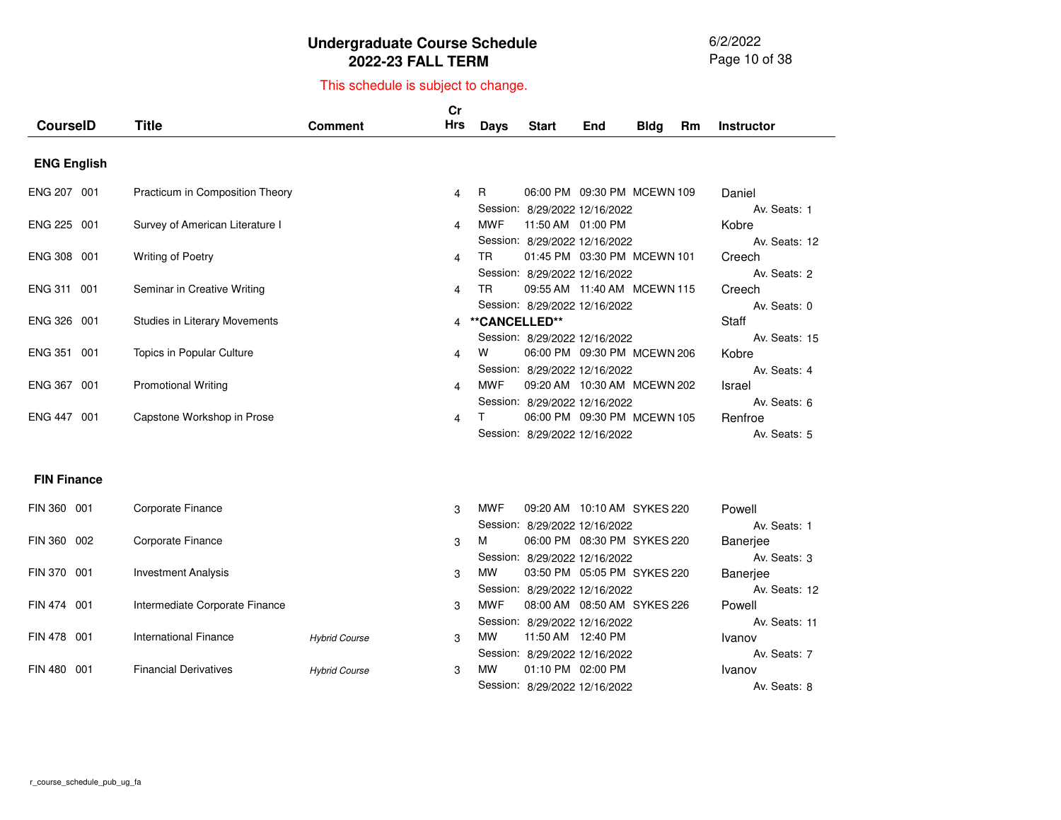6/2/2022 Page 10 of 38

|                       |                                      |                      | Cr         |               |                                                              |     |             |    |                              |
|-----------------------|--------------------------------------|----------------------|------------|---------------|--------------------------------------------------------------|-----|-------------|----|------------------------------|
| <b>CourseID</b>       | <b>Title</b>                         | Comment              | <b>Hrs</b> | <b>Days</b>   | <b>Start</b>                                                 | End | <b>Bldg</b> | Rm | <b>Instructor</b>            |
| <b>ENG English</b>    |                                      |                      |            |               |                                                              |     |             |    |                              |
| ENG 207 001           | Practicum in Composition Theory      |                      | 4          | R             | 06:00 PM 09:30 PM MCEWN 109<br>Session: 8/29/2022 12/16/2022 |     |             |    | Daniel<br>Av. Seats: 1       |
| ENG 225 001           | Survey of American Literature I      |                      | 4          | <b>MWF</b>    | 11:50 AM 01:00 PM                                            |     |             |    | Kobre                        |
| ENG 308 001           | <b>Writing of Poetry</b>             |                      | 4          | TR.           | Session: 8/29/2022 12/16/2022<br>01:45 PM 03:30 PM MCEWN 101 |     |             |    | Av. Seats: 12<br>Creech      |
| ENG 311 001           | Seminar in Creative Writing          |                      | 4          | TR.           | Session: 8/29/2022 12/16/2022<br>09:55 AM 11:40 AM MCEWN 115 |     |             |    | Av. Seats: 2<br>Creech       |
| <b>ENG 326</b><br>001 | <b>Studies in Literary Movements</b> |                      | 4          | **CANCELLED** | Session: 8/29/2022 12/16/2022                                |     |             |    | Av. Seats: 0<br><b>Staff</b> |
| <b>ENG 351</b><br>001 | Topics in Popular Culture            |                      | 4          | W             | Session: 8/29/2022 12/16/2022<br>06:00 PM 09:30 PM MCEWN 206 |     |             |    | Av. Seats: 15<br>Kobre       |
| ENG 367 001           | <b>Promotional Writing</b>           |                      | 4          | <b>MWF</b>    | Session: 8/29/2022 12/16/2022<br>09:20 AM 10:30 AM MCEWN 202 |     |             |    | Av. Seats: 4<br>Israel       |
| ENG 447 001           | Capstone Workshop in Prose           |                      | 4          | T.            | Session: 8/29/2022 12/16/2022<br>06:00 PM 09:30 PM MCEWN 105 |     |             |    | Av. Seats: 6<br>Renfroe      |
|                       |                                      |                      |            |               | Session: 8/29/2022 12/16/2022                                |     |             |    | Av. Seats: 5                 |
| <b>FIN Finance</b>    |                                      |                      |            |               |                                                              |     |             |    |                              |
| FIN 360 001           | Corporate Finance                    |                      | 3          | <b>MWF</b>    | 09:20 AM 10:10 AM SYKES 220                                  |     |             |    | Powell<br>Av. Seats: 1       |
| FIN 360 002           | Corporate Finance                    |                      | 3          | м             | Session: 8/29/2022 12/16/2022<br>06:00 PM 08:30 PM SYKES 220 |     |             |    | Banerjee                     |
| FIN 370 001           | <b>Investment Analysis</b>           |                      | 3          | <b>MW</b>     | Session: 8/29/2022 12/16/2022<br>03:50 PM 05:05 PM SYKES 220 |     |             |    | Av. Seats: 3<br>Banerjee     |
| FIN 474 001           | Intermediate Corporate Finance       |                      | 3          | <b>MWF</b>    | Session: 8/29/2022 12/16/2022<br>08:00 AM 08:50 AM SYKES 226 |     |             |    | Av. Seats: 12<br>Powell      |
| FIN 478 001           | <b>International Finance</b>         | <b>Hybrid Course</b> | 3          | <b>MW</b>     | Session: 8/29/2022 12/16/2022<br>11:50 AM 12:40 PM           |     |             |    | Av. Seats: 11<br>Ivanov      |
| FIN 480<br>001        | <b>Financial Derivatives</b>         | <b>Hybrid Course</b> | 3          | <b>MW</b>     | Session: 8/29/2022 12/16/2022<br>01:10 PM 02:00 PM           |     |             |    | Av. Seats: 7<br>Ivanov       |
|                       |                                      |                      |            |               | Session: 8/29/2022 12/16/2022                                |     |             |    | Av. Seats: 8                 |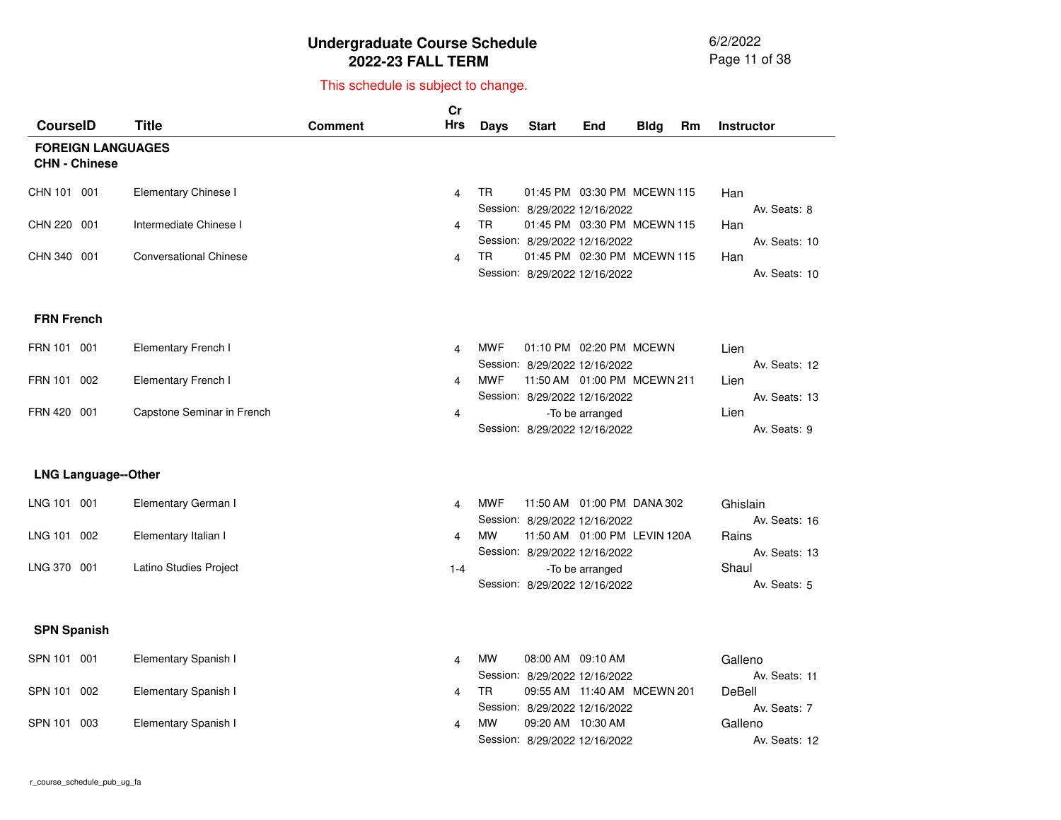6/2/2022 Page 11 of 38

| <b>CourseID</b>      |                            | <b>Title</b>                  | <b>Comment</b> | cr<br><b>Hrs</b>      | Days       | <b>Start</b>                                                    | End                            | <b>Bldg</b> | Rm | <b>Instructor</b>         |
|----------------------|----------------------------|-------------------------------|----------------|-----------------------|------------|-----------------------------------------------------------------|--------------------------------|-------------|----|---------------------------|
| <b>CHN - Chinese</b> | <b>FOREIGN LANGUAGES</b>   |                               |                |                       |            |                                                                 |                                |             |    |                           |
| CHN 101 001          |                            | Elementary Chinese I          |                | 4                     | TR         | 01:45 PM 03:30 PM MCEWN 115<br>Session: 8/29/2022 12/16/2022    |                                |             |    | Han<br>Av. Seats: 8       |
| CHN 220 001          |                            | Intermediate Chinese I        |                | 4                     | TR.        | 01:45 PM 03:30 PM MCEWN 115<br>Session: 8/29/2022 12/16/2022    |                                |             |    | Han<br>Av. Seats: 10      |
| CHN 340 001          |                            | <b>Conversational Chinese</b> |                | 4                     | TR         | 01:45 PM 02:30 PM MCEWN 115<br>Session: 8/29/2022 12/16/2022    |                                |             |    | Han<br>Av. Seats: 10      |
| <b>FRN French</b>    |                            |                               |                |                       |            |                                                                 |                                |             |    |                           |
| FRN 101 001          |                            | <b>Elementary French I</b>    |                | 4                     | <b>MWF</b> | 01:10 PM 02:20 PM MCEWN<br>Session: 8/29/2022 12/16/2022        |                                |             |    | Lien<br>Av. Seats: 12     |
| FRN 101              | 002                        | <b>Elementary French I</b>    |                | 4                     | <b>MWF</b> | 11:50 AM  01:00 PM  MCEWN  211<br>Session: 8/29/2022 12/16/2022 |                                |             |    | Lien<br>Av. Seats: 13     |
| FRN 420 001          |                            | Capstone Seminar in French    |                | 4                     |            | Session: 8/29/2022 12/16/2022                                   | -To be arranged                |             |    | Lien<br>Av. Seats: 9      |
|                      | <b>LNG Language--Other</b> |                               |                |                       |            |                                                                 |                                |             |    |                           |
| LNG 101 001          |                            | Elementary German I           |                | 4                     | <b>MWF</b> | 11:50 AM  01:00 PM  DANA  302<br>Session: 8/29/2022 12/16/2022  |                                |             |    | Ghislain<br>Av. Seats: 16 |
| LNG 101 002          |                            | Elementary Italian I          |                | 4                     | <b>MW</b>  | 11:50 AM  01:00 PM  LEVIN 120A<br>Session: 8/29/2022 12/16/2022 |                                |             |    | Rains<br>Av. Seats: 13    |
| LNG 370 001          |                            | Latino Studies Project        |                | $1 - 4$               |            | Session: 8/29/2022 12/16/2022                                   | -To be arranged                |             |    | Shaul<br>Av. Seats: 5     |
| <b>SPN Spanish</b>   |                            |                               |                |                       |            |                                                                 |                                |             |    |                           |
| SPN 101 001          |                            | Elementary Spanish I          |                | 4                     | <b>MW</b>  | 08:00 AM 09:10 AM<br>Session: 8/29/2022 12/16/2022              |                                |             |    | Galleno<br>Av. Seats: 11  |
| SPN 101 002          |                            | Elementary Spanish I          |                | 4                     | TR.        | Session: 8/29/2022 12/16/2022                                   | 09:55 AM  11:40 AM  MCEWN  201 |             |    | DeBell<br>Av. Seats: 7    |
| SPN 101 003          |                            | Elementary Spanish I          |                | $\boldsymbol{\Delta}$ | <b>MW</b>  | 09:20 AM 10:30 AM<br>Session: 8/29/2022 12/16/2022              |                                |             |    | Galleno<br>Av. Seats: 12  |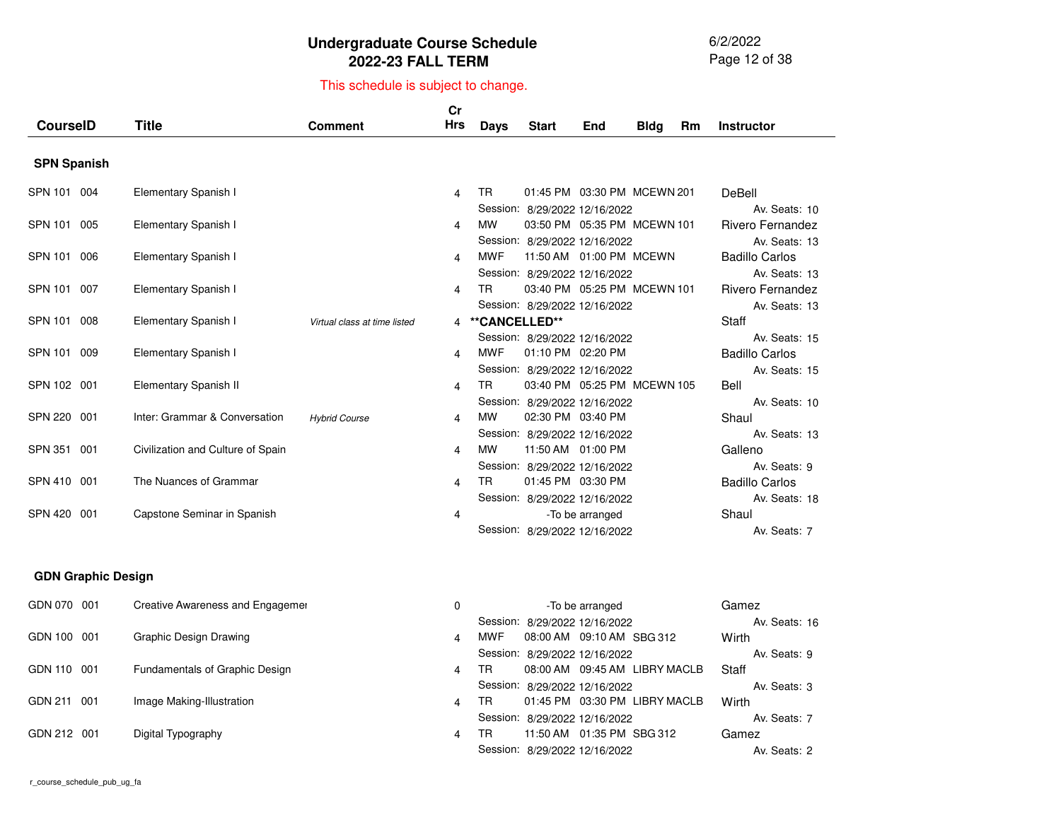6/2/2022 Page 12 of 38

**Wirth** 

**Staff** 

Wirth

Gamez

Av. Seats: <sup>2</sup>

Av. Seats: <sup>9</sup>

Av. Seats: <sup>3</sup>

Av. Seats: <sup>7</sup>

#### This schedule is subject to change.

| <b>CourseID</b>           | <b>Title</b>                      | <b>Comment</b>               | Cr<br>Hrs | <b>Days</b>   | <b>Start</b>                                                 | End             | <b>Bldg</b> | <b>Rm</b> | <b>Instructor</b>                      |
|---------------------------|-----------------------------------|------------------------------|-----------|---------------|--------------------------------------------------------------|-----------------|-------------|-----------|----------------------------------------|
|                           |                                   |                              |           |               |                                                              |                 |             |           |                                        |
| <b>SPN Spanish</b>        |                                   |                              |           |               |                                                              |                 |             |           |                                        |
| SPN 101 004               | Elementary Spanish I              |                              | 4         | <b>TR</b>     | 01:45 PM 03:30 PM MCEWN 201                                  |                 |             |           | DeBell                                 |
| SPN 101 005               | Elementary Spanish I              |                              | 4         | <b>MW</b>     | Session: 8/29/2022 12/16/2022<br>03:50 PM 05:35 PM MCEWN 101 |                 |             |           | Av. Seats: 10<br>Rivero Fernandez      |
| <b>SPN 101</b><br>006     | Elementary Spanish I              |                              | 4         | <b>MWF</b>    | Session: 8/29/2022 12/16/2022<br>11:50 AM  01:00 PM  MCEWN   |                 |             |           | Av. Seats: 13<br><b>Badillo Carlos</b> |
| SPN 101 007               | Elementary Spanish I              |                              | 4         | <b>TR</b>     | Session: 8/29/2022 12/16/2022<br>03:40 PM 05:25 PM MCEWN 101 |                 |             |           | Av. Seats: 13<br>Rivero Fernandez      |
| SPN 101<br>008            | Elementary Spanish I              | Virtual class at time listed | 4         | **CANCELLED** | Session: 8/29/2022 12/16/2022                                |                 |             |           | Av. Seats: 13<br><b>Staff</b>          |
| SPN 101 009               | Elementary Spanish I              |                              | 4         | <b>MWF</b>    | Session: 8/29/2022 12/16/2022<br>01:10 PM 02:20 PM           |                 |             |           | Av. Seats: 15<br><b>Badillo Carlos</b> |
| SPN 102 001               | Elementary Spanish II             |                              | 4         | <b>TR</b>     | Session: 8/29/2022 12/16/2022<br>03:40 PM 05:25 PM MCEWN 105 |                 |             |           | Av. Seats: 15<br>Bell                  |
| SPN 220 001               | Inter: Grammar & Conversation     | <b>Hybrid Course</b>         | 4         | <b>MW</b>     | Session: 8/29/2022 12/16/2022<br>02:30 PM 03:40 PM           |                 |             |           | Av. Seats: 10<br>Shaul                 |
| SPN 351<br>001            | Civilization and Culture of Spain |                              | 4         | <b>MW</b>     | Session: 8/29/2022 12/16/2022<br>11:50 AM 01:00 PM           |                 |             |           | Av. Seats: 13<br>Galleno               |
| SPN 410 001               | The Nuances of Grammar            |                              | 4         | <b>TR</b>     | Session: 8/29/2022 12/16/2022<br>01:45 PM 03:30 PM           |                 |             |           | Av. Seats: 9<br><b>Badillo Carlos</b>  |
| <b>SPN 420</b><br>001     | Capstone Seminar in Spanish       |                              | 4         |               | Session: 8/29/2022 12/16/2022                                | -To be arranged |             |           | Av. Seats: 18<br>Shaul                 |
|                           |                                   |                              |           |               | Session: 8/29/2022 12/16/2022                                |                 |             |           | Av. Seats: 7                           |
| <b>GDN Graphic Design</b> |                                   |                              |           |               |                                                              |                 |             |           |                                        |
| GDN 070 001               | Creative Awareness and Engagemer  |                              | $\Omega$  |               | Session: 8/29/2022 12/16/2022                                | -To be arranged |             |           | Gamez<br>Av. Seats: 16                 |

4 MWF 08:00 AM 09:10 AM SBG 312 Session:8/29/2022 12/16/2022

Session: 8/29/2022 12/16/2022

Session: 8/29/2022 12/16/2022

 11:50 AM 01:35 PMTRSBG 312Session: 8/29/2022 12/16/2022

08:00 AM 09:45 AMTRLIBRY MACLB

01:45 PM 03:30 PMTRLIBRY MACLB

g and  $\overline{a}$  and  $\overline{a}$  and  $\overline{a}$  and  $\overline{a}$  and  $\overline{a}$  and  $\overline{a}$  and  $\overline{a}$  and  $\overline{a}$  and  $\overline{a}$  and  $\overline{a}$  and  $\overline{a}$  and  $\overline{a}$  and  $\overline{a}$  and  $\overline{a}$  and  $\overline{a}$  and  $\overline{a}$  and  $\overline{a}$ 

 $n \hspace{2.5cm} 4$ 

 $\mathsf y$  4

n  $\sim$  4

GDN 100 001 Graphic Design Drawing

GDN 211 001 Image Making-Illustration

GDN 212 001 Digital Typography

GDN 110 001 Fundamentals of Graphic Design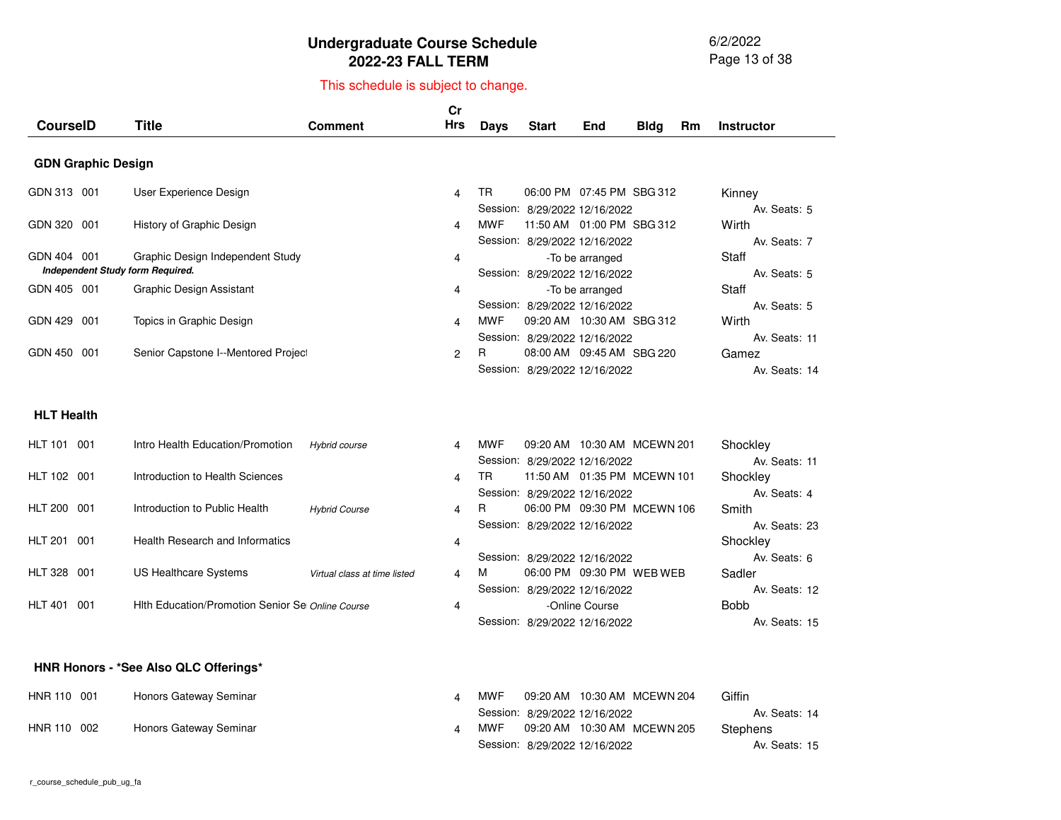6/2/2022 Page 13 of 38

#### This schedule is subject to change.

| <b>CourselD</b>                  | Title                               | <b>Comment</b> | Cr<br>Hrs      | Days | <b>Start</b>                  | End                         | <b>Bldg</b> | Rm | <b>Instructor</b>     |
|----------------------------------|-------------------------------------|----------------|----------------|------|-------------------------------|-----------------------------|-------------|----|-----------------------|
|                                  |                                     |                |                |      |                               |                             |             |    |                       |
| <b>GDN Graphic Design</b>        |                                     |                |                |      |                               |                             |             |    |                       |
| GDN 313 001                      | User Experience Design              |                | 4              | TR   |                               | 06:00 PM 07:45 PM SBG 312   |             |    | Kinney                |
| GDN 320 001                      | History of Graphic Design           |                | 4              | MWF  | Session: 8/29/2022 12/16/2022 | 11:50 AM  01:00 PM  SBG 312 |             |    | Av. Seats: 5<br>Wirth |
|                                  |                                     |                |                |      | Session: 8/29/2022 12/16/2022 |                             |             |    | Av. Seats: 7          |
| GDN 404 001                      | Graphic Design Independent Study    |                | 4              |      |                               | -To be arranged             |             |    | Staff                 |
| Independent Study form Required. |                                     |                |                |      | Session: 8/29/2022 12/16/2022 |                             |             |    | Av. Seats: 5          |
| GDN 405 001                      | Graphic Design Assistant            |                | 4              |      |                               | -To be arranged             |             |    | Staff                 |
|                                  |                                     |                |                |      | Session: 8/29/2022 12/16/2022 |                             |             |    | Av. Seats: 5          |
| <b>GDN 429</b><br>001            | Topics in Graphic Design            |                | 4              | MWF  |                               | 09:20 AM 10:30 AM SBG 312   |             |    | Wirth                 |
|                                  |                                     |                |                |      | Session: 8/29/2022 12/16/2022 |                             |             |    | Av. Seats: 11         |
| GDN 450<br>001                   | Senior Capstone I--Mentored Project |                | $\overline{2}$ | R.   |                               | 08:00 AM 09:45 AM SBG 220   |             |    | Gamez                 |
|                                  |                                     |                |                |      | Session: 8/29/2022 12/16/2022 |                             |             |    | Av. Seats: 14         |

#### **HLT Health**

| <b>HLT 101</b> | 001 | Intro Health Education/Promotion                 | Hybrid course                | 4              | MWF | 09:20 AM  10:30 AM  MCEWN  201 | Shockley      |
|----------------|-----|--------------------------------------------------|------------------------------|----------------|-----|--------------------------------|---------------|
|                |     |                                                  |                              |                |     | Session: 8/29/2022 12/16/2022  | Av. Seats: 11 |
| HLT 102 001    |     | Introduction to Health Sciences                  |                              | $\overline{4}$ | TR  | 11:50 AM  01:35 PM  MCEWN 101  | Shockley      |
|                |     |                                                  |                              |                |     | Session: 8/29/2022 12/16/2022  | Av. Seats: 4  |
| <b>HLT 200</b> | 001 | Introduction to Public Health                    | <b>Hybrid Course</b>         | $\overline{4}$ | R.  | 06:00 PM 09:30 PM MCEWN 106    | Smith         |
|                |     |                                                  |                              |                |     | Session: 8/29/2022 12/16/2022  | Av. Seats: 23 |
| <b>HLT 201</b> | 001 | Health Research and Informatics                  |                              | 4              |     |                                | Shockley      |
|                |     |                                                  |                              |                |     | Session: 8/29/2022 12/16/2022  | Av. Seats: 6  |
| <b>HLT 328</b> | 001 | US Healthcare Systems                            | Virtual class at time listed | 4              | M   | 06:00 PM 09:30 PM WEB WEB      | Sadler        |
|                |     |                                                  |                              |                |     | Session: 8/29/2022 12/16/2022  | Av. Seats: 12 |
| <b>HLT 401</b> | 001 | Hith Education/Promotion Senior Se Online Course |                              | 4              |     | -Online Course                 | <b>Bobb</b>   |
|                |     |                                                  |                              |                |     | Session: 8/29/2022 12/16/2022  | Av. Seats: 15 |

#### **HNR Honors - \*See Also QLC Offerings\***

| HNR 110 001 | Honors Gateway Seminar | <b>MWF</b> |                               | 09:20 AM  10:30 AM  MCEWN  204 | Giffin        |  |
|-------------|------------------------|------------|-------------------------------|--------------------------------|---------------|--|
|             |                        |            | Session: 8/29/2022 12/16/2022 |                                | Av. Seats: 14 |  |
| HNR 110 002 | Honors Gateway Seminar | MWF        |                               | 09:20 AM  10:30 AM  MCEWN  205 | Stephens      |  |
|             |                        |            | Session: 8/29/2022 12/16/2022 |                                | Av. Seats: 15 |  |
|             |                        |            |                               |                                |               |  |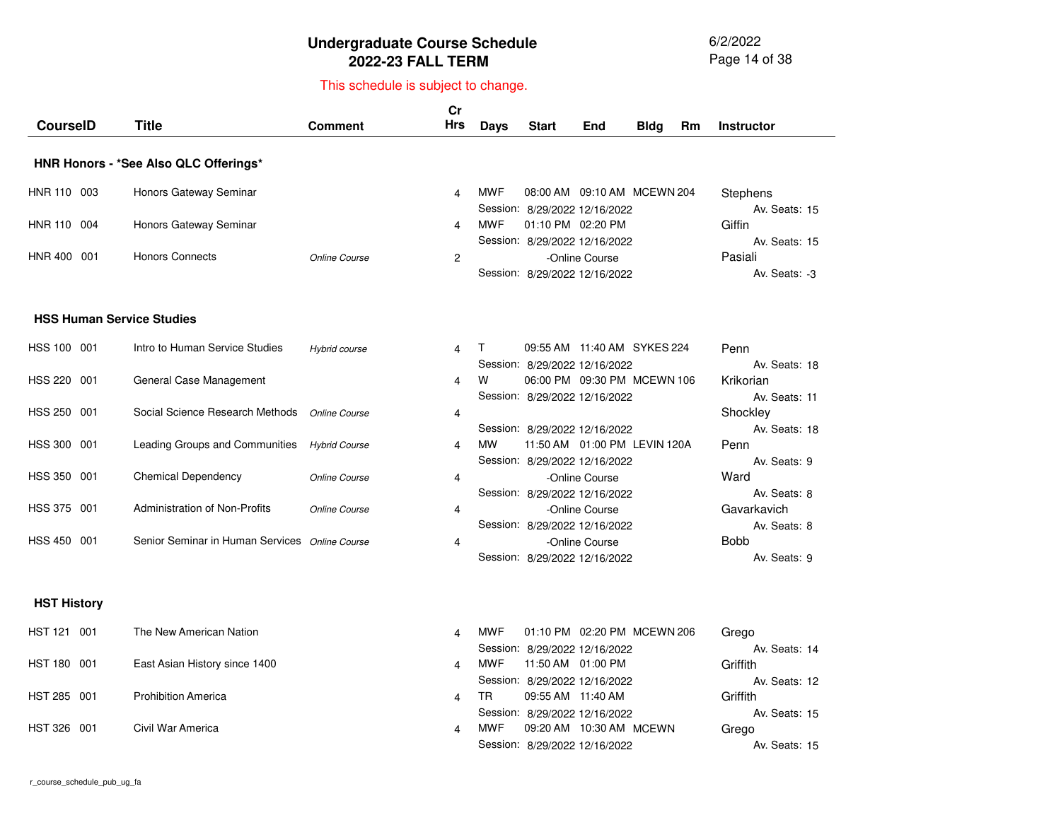6/2/2022 Page 14 of 38

| <b>CourseID</b>    |     | <b>Title</b>                                   | <b>Comment</b>       | Cr<br>Hrs | <b>Days</b> | <b>Start</b>                                                    | End            | <b>Bldg</b> | Rm | <b>Instructor</b>           |
|--------------------|-----|------------------------------------------------|----------------------|-----------|-------------|-----------------------------------------------------------------|----------------|-------------|----|-----------------------------|
|                    |     | HNR Honors - *See Also QLC Offerings*          |                      |           |             |                                                                 |                |             |    |                             |
| HNR 110 003        |     | Honors Gateway Seminar                         |                      | 4         | <b>MWF</b>  | 08:00 AM 09:10 AM MCEWN 204<br>Session: 8/29/2022 12/16/2022    |                |             |    | Stephens<br>Av. Seats: 15   |
| HNR 110 004        |     | Honors Gateway Seminar                         |                      | 4         | <b>MWF</b>  | 01:10 PM 02:20 PM<br>Session: 8/29/2022 12/16/2022              |                |             |    | Giffin<br>Av. Seats: 15     |
| HNR 400 001        |     | <b>Honors Connects</b>                         | Online Course        | 2         |             | Session: 8/29/2022 12/16/2022                                   | -Online Course |             |    | Pasiali<br>Av. Seats: -3    |
|                    |     | <b>HSS Human Service Studies</b>               |                      |           |             |                                                                 |                |             |    |                             |
| HSS 100 001        |     | Intro to Human Service Studies                 | Hybrid course        | 4         | T           | 09:55 AM 11:40 AM SYKES 224<br>Session: 8/29/2022 12/16/2022    |                |             |    | Penn<br>Av. Seats: 18       |
| <b>HSS 220</b>     | 001 | General Case Management                        |                      | 4         | W           | 06:00 PM 09:30 PM MCEWN 106<br>Session: 8/29/2022 12/16/2022    |                |             |    | Krikorian<br>Av. Seats: 11  |
| HSS 250 001        |     | Social Science Research Methods                | Online Course        | 4         |             | Session: 8/29/2022 12/16/2022                                   |                |             |    | Shockley<br>Av. Seats: 18   |
| HSS 300            | 001 | Leading Groups and Communities                 | <b>Hybrid Course</b> | 4         | <b>MW</b>   | 11:50 AM  01:00 PM  LEVIN 120A<br>Session: 8/29/2022 12/16/2022 |                |             |    | Penn<br>Av. Seats: 9        |
| HSS 350 001        |     | <b>Chemical Dependency</b>                     | <b>Online Course</b> | 4         |             | Session: 8/29/2022 12/16/2022                                   | -Online Course |             |    | Ward<br>Av. Seats: 8        |
| HSS 375 001        |     | <b>Administration of Non-Profits</b>           | Online Course        | 4         |             | Session: 8/29/2022 12/16/2022                                   | -Online Course |             |    | Gavarkavich<br>Av. Seats: 8 |
| HSS 450            | 001 | Senior Seminar in Human Services Online Course |                      | 4         |             | Session: 8/29/2022 12/16/2022                                   | -Online Course |             |    | <b>Bobb</b><br>Av. Seats: 9 |
| <b>HST History</b> |     |                                                |                      |           |             |                                                                 |                |             |    |                             |
| HST 121 001        |     | The New American Nation                        |                      | 4         | <b>MWF</b>  | 01:10 PM 02:20 PM MCEWN 206<br>Session: 8/29/2022 12/16/2022    |                |             |    | Grego<br>Av. Seats: 14      |
| HST 180 001        |     | East Asian History since 1400                  |                      | 4         | <b>MWF</b>  | 11:50 AM 01:00 PM<br>Session: 8/29/2022 12/16/2022              |                |             |    | Griffith<br>Av. Seats: 12   |
| <b>HST 285</b>     | 001 | <b>Prohibition America</b>                     |                      | 4         | <b>TR</b>   | 09:55 AM 11:40 AM<br>Session: 8/29/2022 12/16/2022              |                |             |    | Griffith<br>Av. Seats: 15   |
| <b>HST 326</b>     | 001 | Civil War America                              |                      | 4         | MWF         | Session: 8/29/2022 12/16/2022                                   |                |             |    | Grego<br>Av. Seats: 15      |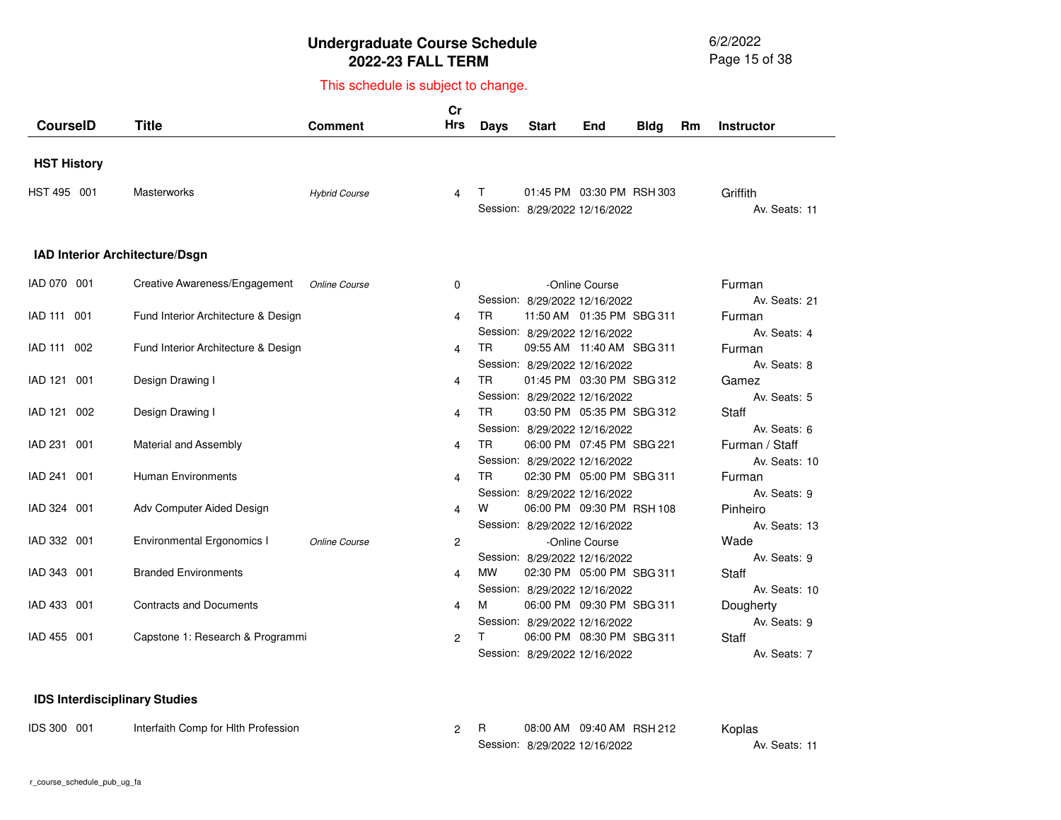6/2/2022 Page 15 of 38

# This schedule is subject to change.

| <b>CourselD</b>                | <b>Title</b>                        | <b>Comment</b>       | cr<br><b>Hrs</b> | <b>Days</b> | <b>Start</b>                                                                                | End            | <b>Bldg</b> | <b>Rm</b> | Instructor                            |
|--------------------------------|-------------------------------------|----------------------|------------------|-------------|---------------------------------------------------------------------------------------------|----------------|-------------|-----------|---------------------------------------|
| <b>HST History</b>             |                                     |                      |                  |             |                                                                                             |                |             |           |                                       |
| HST 495 001                    | <b>Masterworks</b>                  | <b>Hybrid Course</b> | 4                | Т           | 01:45 PM 03:30 PM RSH 303<br>Session: 8/29/2022 12/16/2022                                  |                |             |           | Griffith<br>Av. Seats: 11             |
| IAD Interior Architecture/Dsgn |                                     |                      |                  |             |                                                                                             |                |             |           |                                       |
| IAD 070 001                    | Creative Awareness/Engagement       | Online Course        | 0                |             | Session: 8/29/2022 12/16/2022                                                               | -Online Course |             |           | Furman<br>Av. Seats: 21               |
| IAD 111 001                    | Fund Interior Architecture & Design |                      | 4                | TR.         | 11:50 AM  01:35 PM  SBG 311<br>Session: 8/29/2022 12/16/2022                                |                |             |           | Furman<br>Av. Seats: 4                |
| IAD 111 002                    | Fund Interior Architecture & Design |                      | 4                | <b>TR</b>   | 09:55 AM 11:40 AM SBG 311                                                                   |                |             |           | Furman<br>Av. Seats: 8                |
| IAD 121 001                    | Design Drawing I                    |                      | 4                | TR.         | Session: 8/29/2022 12/16/2022<br>01:45 PM 03:30 PM SBG 312                                  |                |             |           | Gamez                                 |
| IAD 121 002                    | Design Drawing I                    |                      | 4                | TR.         | Session: 8/29/2022 12/16/2022<br>03:50 PM 05:35 PM SBG 312                                  |                |             |           | Av. Seats: 5<br><b>Staff</b>          |
| IAD 231 001                    | Material and Assembly               |                      | 4                | <b>TR</b>   | Session: 8/29/2022 12/16/2022<br>06:00 PM 07:45 PM SBG 221                                  |                |             |           | Av. Seats: 6<br>Furman / Staff        |
| <b>IAD 241</b><br>001          | <b>Human Environments</b>           |                      | 4                | <b>TR</b>   | Session: 8/29/2022 12/16/2022<br>02:30 PM 05:00 PM SBG 311                                  |                |             |           | Av. Seats: 10<br>Furman               |
| IAD 324 001                    | Adv Computer Aided Design           |                      | 4                | w           | Session: 8/29/2022 12/16/2022<br>06:00 PM 09:30 PM RSH 108                                  |                |             |           | Av. Seats: 9<br>Pinheiro              |
| IAD 332 001                    | <b>Environmental Ergonomics I</b>   | Online Course        | 2                |             | Session: 8/29/2022 12/16/2022                                                               | -Online Course |             |           | Av. Seats: 13<br>Wade                 |
| IAD 343 001                    | <b>Branded Environments</b>         |                      | 4                | <b>MW</b>   | Session: 8/29/2022 12/16/2022<br>02:30 PM 05:00 PM SBG 311                                  |                |             |           | Av. Seats: 9<br>Staff                 |
| IAD 433 001                    | <b>Contracts and Documents</b>      |                      | 4                | м           | Session: 8/29/2022 12/16/2022<br>06:00 PM 09:30 PM SBG 311                                  |                |             |           | Av. Seats: 10<br>Dougherty            |
| <b>IAD 455</b><br>001          | Capstone 1: Research & Programmi    |                      | 2                |             | Session: 8/29/2022 12/16/2022<br>06:00 PM 08:30 PM SBG 311<br>Session: 8/29/2022 12/16/2022 |                |             |           | Av. Seats: 9<br>Staff<br>Av. Seats: 7 |

#### **IDS Interdisciplinary Studies**

| IDS 300 001 | Interfaith Comp for HIth Profession |  | 08:00 AM  09:40 AM  RSH  212  | Koplas        |
|-------------|-------------------------------------|--|-------------------------------|---------------|
|             |                                     |  | Session: 8/29/2022 12/16/2022 | Av. Seats: 11 |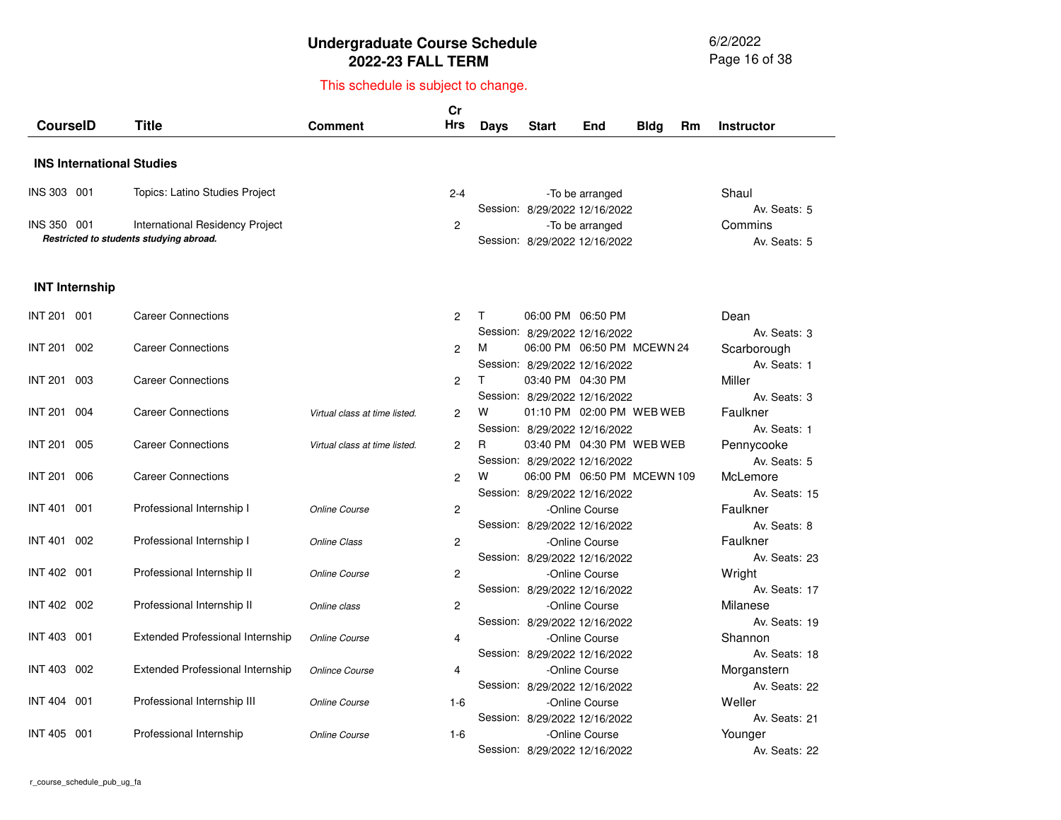6/2/2022 Page 16 of 38

| <b>CourselD</b>                  | Title                                                                      | <b>Comment</b>                | Cr<br><b>Hrs</b> | <b>Days</b> | <b>Start</b>                                                   | End                         | <b>Bldg</b> | Rm | <b>Instructor</b>                         |
|----------------------------------|----------------------------------------------------------------------------|-------------------------------|------------------|-------------|----------------------------------------------------------------|-----------------------------|-------------|----|-------------------------------------------|
| <b>INS International Studies</b> |                                                                            |                               |                  |             |                                                                |                             |             |    |                                           |
| INS 303 001                      | Topics: Latino Studies Project                                             |                               | $2 - 4$          |             |                                                                | -To be arranged             |             |    | Shaul                                     |
| INS 350 001                      | International Residency Project<br>Restricted to students studying abroad. |                               | 2                |             | Session: 8/29/2022 12/16/2022<br>Session: 8/29/2022 12/16/2022 | -To be arranged             |             |    | Av. Seats: 5<br>Commins<br>Av. Seats: 5   |
| <b>INT Internship</b>            |                                                                            |                               |                  |             |                                                                |                             |             |    |                                           |
| INT 201 001                      | <b>Career Connections</b>                                                  |                               | $\overline{c}$   | Τ           | 06:00 PM 06:50 PM                                              |                             |             |    | Dean                                      |
| <b>INT 201</b><br>002            | <b>Career Connections</b>                                                  |                               | $\overline{c}$   | м           | Session: 8/29/2022 12/16/2022                                  | 06:00 PM 06:50 PM MCEWN 24  |             |    | Av. Seats: 3<br>Scarborough               |
| <b>INT 201</b><br>003            | <b>Career Connections</b>                                                  |                               | $\overline{c}$   | T.          | Session: 8/29/2022 12/16/2022<br>03:40 PM 04:30 PM             |                             |             |    | Av. Seats: 1<br>Miller                    |
| <b>INT 201</b><br>004            | <b>Career Connections</b>                                                  | Virtual class at time listed. | $\overline{2}$   | W           | Session: 8/29/2022 12/16/2022                                  | 01:10 PM 02:00 PM WEB WEB   |             |    | Av. Seats: 3<br>Faulkner                  |
| INT 201<br>005                   | <b>Career Connections</b>                                                  | Virtual class at time listed. | $\overline{c}$   | R           | Session: 8/29/2022 12/16/2022                                  | 03:40 PM 04:30 PM WEB WEB   |             |    | Av. Seats: 1<br>Pennycooke                |
| <b>INT 201</b><br>006            | <b>Career Connections</b>                                                  |                               | $\overline{2}$   | W           | Session: 8/29/2022 12/16/2022                                  | 06:00 PM 06:50 PM MCEWN 109 |             |    | Av. Seats: 5<br>McLemore                  |
| INT 401 001                      | Professional Internship I                                                  | Online Course                 | $\overline{2}$   |             | Session: 8/29/2022 12/16/2022                                  | -Online Course              |             |    | Av. Seats: 15<br>Faulkner                 |
| <b>INT 401</b><br>002            | Professional Internship I                                                  | <b>Online Class</b>           | $\overline{c}$   |             | Session: 8/29/2022 12/16/2022                                  | -Online Course              |             |    | Av. Seats: 8<br>Faulkner                  |
| INT 402 001                      | Professional Internship II                                                 | Online Course                 | $\overline{c}$   |             | Session: 8/29/2022 12/16/2022                                  | -Online Course              |             |    | Av. Seats: 23<br>Wright                   |
| INT 402 002                      | Professional Internship II                                                 | Online class                  | $\overline{c}$   |             | Session: 8/29/2022 12/16/2022                                  | -Online Course              |             |    | Av. Seats: 17<br>Milanese                 |
| <b>INT 403</b><br>001            | Extended Professional Internship                                           | Online Course                 | 4                |             | Session: 8/29/2022 12/16/2022                                  | -Online Course              |             |    | Av. Seats: 19<br>Shannon                  |
| INT 403 002                      | <b>Extended Professional Internship</b>                                    | <b>Onlince Course</b>         | 4                |             | Session: 8/29/2022 12/16/2022                                  | -Online Course              |             |    | Av. Seats: 18<br>Morganstern              |
| INT 404 001                      | Professional Internship III                                                | Online Course                 | $1-6$            |             | Session: 8/29/2022 12/16/2022                                  | -Online Course              |             |    | Av. Seats: 22<br>Weller                   |
| INT 405<br>001                   | Professional Internship                                                    | Online Course                 | $1-6$            |             | Session: 8/29/2022 12/16/2022<br>Session: 8/29/2022 12/16/2022 | -Online Course              |             |    | Av. Seats: 21<br>Younger<br>Av. Seats: 22 |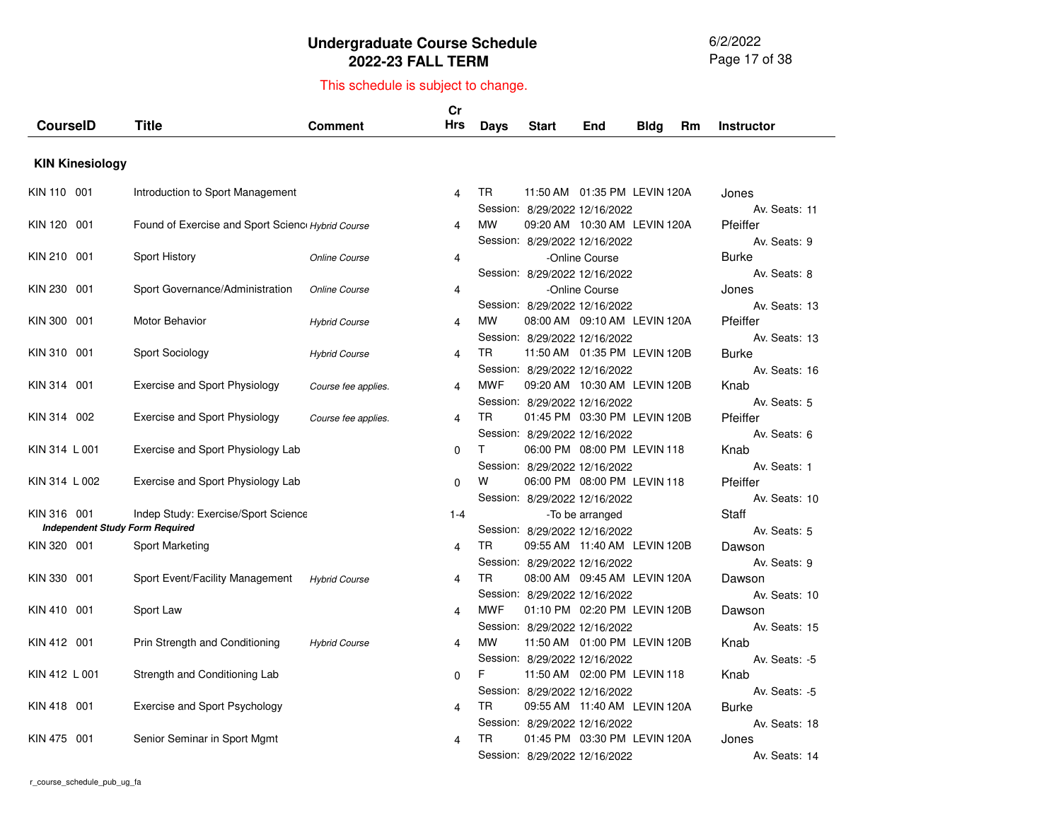6/2/2022 Page 17 of 38

| <b>CourseID</b>        | <b>Title</b>                                     | Comment              | cr<br>Hrs    | Days       | <b>Start</b>                  | End                            | Bldg | Rm | <b>Instructor</b>      |
|------------------------|--------------------------------------------------|----------------------|--------------|------------|-------------------------------|--------------------------------|------|----|------------------------|
| <b>KIN Kinesiology</b> |                                                  |                      |              |            |                               |                                |      |    |                        |
|                        |                                                  |                      |              | <b>TR</b>  |                               |                                |      |    |                        |
| KIN 110 001            | Introduction to Sport Management                 |                      | 4            |            | Session: 8/29/2022 12/16/2022 | 11:50 AM  01:35 PM  LEVIN 120A |      |    | Jones<br>Av. Seats: 11 |
| KIN 120<br>001         | Found of Exercise and Sport Scienc Hybrid Course |                      | 4            | <b>MW</b>  |                               | 09:20 AM 10:30 AM LEVIN 120A   |      |    | Pfeiffer               |
|                        |                                                  |                      |              |            | Session: 8/29/2022 12/16/2022 |                                |      |    | Av. Seats: 9           |
| KIN 210 001            | Sport History                                    | Online Course        | 4            |            |                               | -Online Course                 |      |    | Burke                  |
|                        |                                                  |                      |              |            | Session: 8/29/2022 12/16/2022 |                                |      |    | Av. Seats: 8           |
| KIN 230<br>001         | Sport Governance/Administration                  | Online Course        | 4            |            |                               | -Online Course                 |      |    | Jones                  |
|                        |                                                  |                      |              |            | Session: 8/29/2022 12/16/2022 |                                |      |    | Av. Seats: 13          |
| KIN 300<br>001         | Motor Behavior                                   | <b>Hybrid Course</b> | 4            | <b>MW</b>  |                               |                                |      |    | Pfeiffer               |
|                        |                                                  |                      |              |            | Session: 8/29/2022 12/16/2022 |                                |      |    | Av. Seats: 13          |
| KIN 310 001            | Sport Sociology                                  | <b>Hybrid Course</b> | 4            | <b>TR</b>  |                               | 11:50 AM  01:35 PM  LEVIN 120B |      |    | <b>Burke</b>           |
|                        |                                                  |                      |              |            | Session: 8/29/2022 12/16/2022 |                                |      |    | Av. Seats: 16          |
| KIN 314<br>001         | <b>Exercise and Sport Physiology</b>             | Course fee applies.  | 4            | <b>MWF</b> |                               | 09:20 AM 10:30 AM LEVIN 120B   |      |    | Knab<br>Av. Seats: 5   |
| KIN 314 002            | Exercise and Sport Physiology                    | Course fee applies.  | 4            | TR         | Session: 8/29/2022 12/16/2022 | 01:45 PM 03:30 PM LEVIN 120B   |      |    | Pfeiffer               |
|                        |                                                  |                      |              |            | Session: 8/29/2022 12/16/2022 |                                |      |    | Av. Seats: 6           |
| KIN 314 L 001          | Exercise and Sport Physiology Lab                |                      | $\Omega$     | T.         |                               | 06:00 PM 08:00 PM LEVIN 118    |      |    | Knab                   |
|                        |                                                  |                      |              |            | Session: 8/29/2022 12/16/2022 |                                |      |    | Av. Seats: 1           |
| KIN 314 L 002          | Exercise and Sport Physiology Lab                |                      | $\Omega$     | w          |                               | 06:00 PM 08:00 PM LEVIN 118    |      |    | Pfeiffer               |
|                        |                                                  |                      |              |            | Session: 8/29/2022 12/16/2022 |                                |      |    | Av. Seats: 10          |
| KIN 316 001            | Indep Study: Exercise/Sport Science              |                      | $1 - 4$      |            |                               | -To be arranged                |      |    | <b>Staff</b>           |
|                        | <b>Independent Study Form Required</b>           |                      |              |            | Session: 8/29/2022 12/16/2022 |                                |      |    | Av. Seats: 5           |
| KIN 320 001            | Sport Marketing                                  |                      | 4            | TR         |                               | 09:55 AM 11:40 AM LEVIN 120B   |      |    | Dawson                 |
|                        |                                                  |                      |              |            | Session: 8/29/2022 12/16/2022 |                                |      |    | Av. Seats: 9           |
| KIN 330<br>001         | Sport Event/Facility Management                  | <b>Hybrid Course</b> | 4            | TR         |                               | 08:00 AM  09:45 AM  LEVIN 120A |      |    | Dawson                 |
|                        |                                                  |                      |              |            | Session: 8/29/2022 12/16/2022 |                                |      |    | Av. Seats: 10          |
| KIN 410 001            | Sport Law                                        |                      | 4            | <b>MWF</b> |                               | 01:10 PM 02:20 PM LEVIN 120B   |      |    | Dawson                 |
| KIN 412 001            | Prin Strength and Conditioning                   |                      | 4            | <b>MW</b>  | Session: 8/29/2022 12/16/2022 | 11:50 AM  01:00 PM  LEVIN 120B |      |    | Av. Seats: 15<br>Knab  |
|                        |                                                  | <b>Hybrid Course</b> |              |            | Session: 8/29/2022 12/16/2022 |                                |      |    | Av. Seats: -5          |
| KIN 412 L 001          | Strength and Conditioning Lab                    |                      | $\mathbf{0}$ | F.         |                               | 11:50 AM  02:00 PM  LEVIN 118  |      |    | Knab                   |
|                        |                                                  |                      |              |            | Session: 8/29/2022 12/16/2022 |                                |      |    | Av. Seats: -5          |
| KIN 418 001            | Exercise and Sport Psychology                    |                      | 4            | TR.        |                               | 09:55 AM  11:40 AM  LEVIN 120A |      |    | <b>Burke</b>           |
|                        |                                                  |                      |              |            | Session: 8/29/2022 12/16/2022 |                                |      |    | Av. Seats: 18          |
| KIN 475 001            | Senior Seminar in Sport Mgmt                     |                      | 4            | <b>TR</b>  |                               | 01:45 PM 03:30 PM LEVIN 120A   |      |    | Jones                  |
|                        |                                                  |                      |              |            | Session: 8/29/2022 12/16/2022 |                                |      |    | Av. Seats: 14          |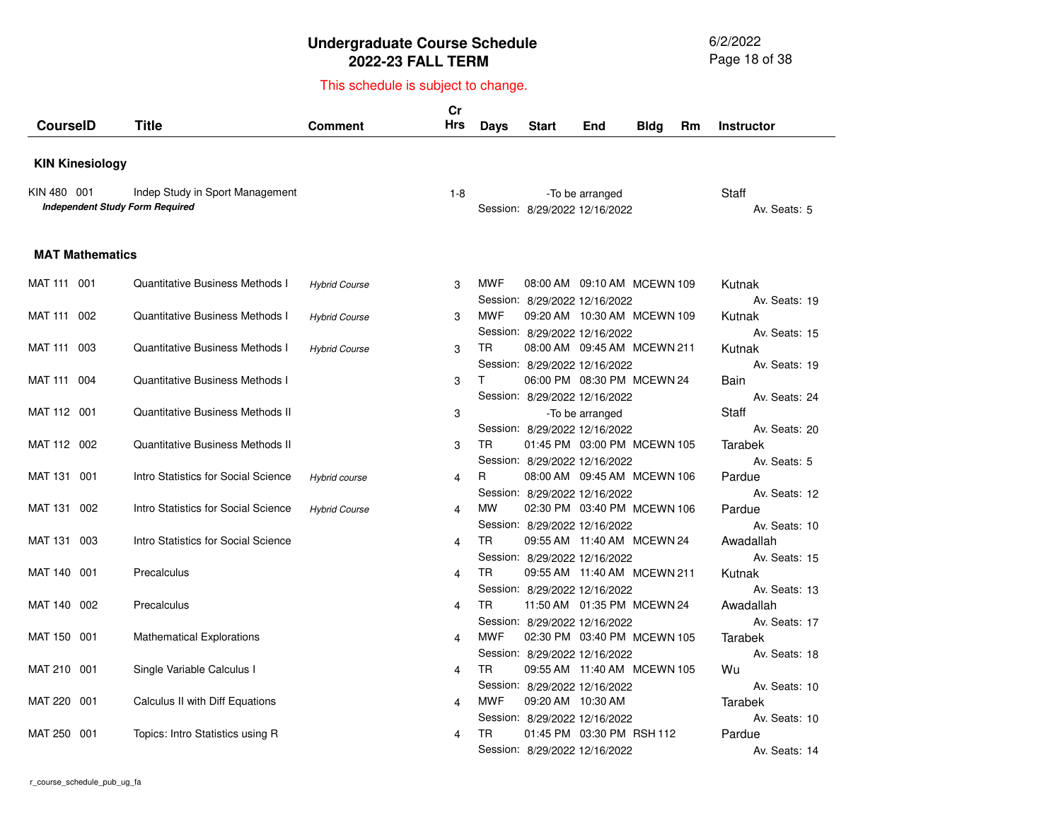6/2/2022 Page 18 of 38

| <b>CourseID</b>        | <b>Title</b>                                                              | <b>Comment</b>       | cr<br>Hrs | Days       | <b>Start</b>                                                   | End             | <b>Bldg</b> | Rm | <b>Instructor</b>          |
|------------------------|---------------------------------------------------------------------------|----------------------|-----------|------------|----------------------------------------------------------------|-----------------|-------------|----|----------------------------|
|                        |                                                                           |                      |           |            |                                                                |                 |             |    |                            |
| <b>KIN Kinesiology</b> |                                                                           |                      |           |            |                                                                |                 |             |    |                            |
| KIN 480 001            | Indep Study in Sport Management<br><b>Independent Study Form Required</b> |                      | $1-8$     |            | Session: 8/29/2022 12/16/2022                                  | -To be arranged |             |    | Staff<br>Av. Seats: 5      |
| <b>MAT Mathematics</b> |                                                                           |                      |           |            |                                                                |                 |             |    |                            |
| MAT 111 001            | <b>Quantitative Business Methods I</b>                                    | <b>Hybrid Course</b> | 3         | <b>MWF</b> | 08:00 AM  09:10 AM  MCEWN 109<br>Session: 8/29/2022 12/16/2022 |                 |             |    | Kutnak<br>Av. Seats: 19    |
| MAT 111 002            | <b>Quantitative Business Methods I</b>                                    | <b>Hybrid Course</b> | 3         | <b>MWF</b> | 09:20 AM 10:30 AM MCEWN 109<br>Session: 8/29/2022 12/16/2022   |                 |             |    | Kutnak<br>Av. Seats: 15    |
| MAT 111<br>003         | <b>Quantitative Business Methods I</b>                                    | <b>Hybrid Course</b> | 3         | <b>TR</b>  | 08:00 AM 09:45 AM MCEWN 211<br>Session: 8/29/2022 12/16/2022   |                 |             |    | Kutnak<br>Av. Seats: 19    |
| MAT 111 004            | <b>Quantitative Business Methods I</b>                                    |                      | 3         | T.         | 06:00 PM 08:30 PM MCEWN 24<br>Session: 8/29/2022 12/16/2022    |                 |             |    | Bain<br>Av. Seats: 24      |
| MAT 112 001            | Quantitative Business Methods II                                          |                      | 3         |            | Session: 8/29/2022 12/16/2022                                  | -To be arranged |             |    | Staff<br>Av. Seats: 20     |
| MAT 112 002            | <b>Quantitative Business Methods II</b>                                   |                      | 3         | TR.        | 01:45 PM 03:00 PM MCEWN 105<br>Session: 8/29/2022 12/16/2022   |                 |             |    | Tarabek<br>Av. Seats: 5    |
| MAT 131 001            | Intro Statistics for Social Science                                       | Hybrid course        | 4         | R.         | 08:00 AM  09:45 AM  MCEWN 106<br>Session: 8/29/2022 12/16/2022 |                 |             |    | Pardue<br>Av. Seats: 12    |
| MAT 131 002            | Intro Statistics for Social Science                                       | <b>Hybrid Course</b> | 4         | <b>MW</b>  | 02:30 PM 03:40 PM MCEWN 106<br>Session: 8/29/2022 12/16/2022   |                 |             |    | Pardue<br>Av. Seats: 10    |
| MAT 131 003            | Intro Statistics for Social Science                                       |                      | 4         | <b>TR</b>  | 09:55 AM  11:40 AM  MCEWN 24<br>Session: 8/29/2022 12/16/2022  |                 |             |    | Awadallah<br>Av. Seats: 15 |
| MAT 140 001            | Precalculus                                                               |                      | 4         | <b>TR</b>  | 09:55 AM 11:40 AM MCEWN 211<br>Session: 8/29/2022 12/16/2022   |                 |             |    | Kutnak<br>Av. Seats: 13    |
| MAT 140 002            | Precalculus                                                               |                      | 4         | TR.        | 11:50 AM  01:35 PM  MCEWN 24<br>Session: 8/29/2022 12/16/2022  |                 |             |    | Awadallah<br>Av. Seats: 17 |
| MAT 150 001            | <b>Mathematical Explorations</b>                                          |                      | 4         | <b>MWF</b> | 02:30 PM 03:40 PM MCEWN 105<br>Session: 8/29/2022 12/16/2022   |                 |             |    | Tarabek<br>Av. Seats: 18   |
| MAT 210 001            | Single Variable Calculus I                                                |                      | 4         | TR         | 09:55 AM 11:40 AM MCEWN 105<br>Session: 8/29/2022 12/16/2022   |                 |             |    | Wu<br>Av. Seats: 10        |
| MAT 220 001            | Calculus II with Diff Equations                                           |                      | 4         | <b>MWF</b> | 09:20 AM 10:30 AM<br>Session: 8/29/2022 12/16/2022             |                 |             |    | Tarabek<br>Av. Seats: 10   |
| MAT 250 001            | Topics: Intro Statistics using R                                          |                      | 4         | <b>TR</b>  | 01:45 PM 03:30 PM RSH 112<br>Session: 8/29/2022 12/16/2022     |                 |             |    | Pardue<br>Av. Seats: 14    |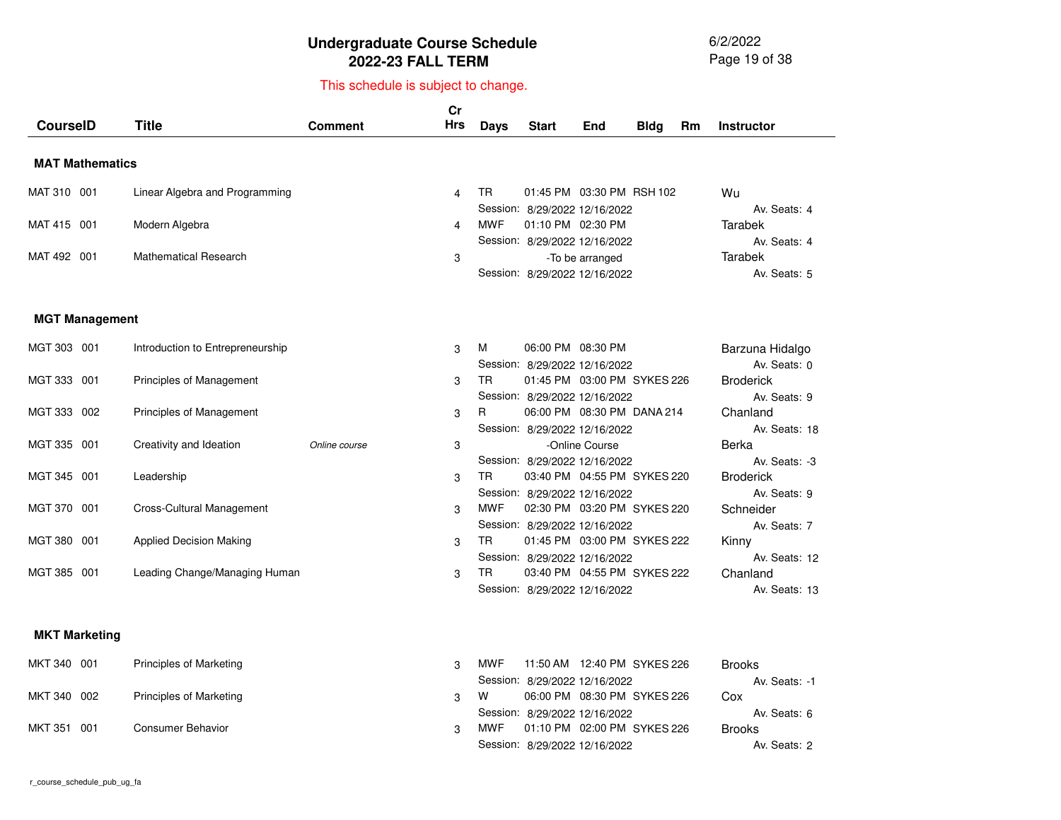6/2/2022 Page 19 of 38

| <b>CourseID</b>        |     | <b>Title</b>                     | Comment       | cr<br><b>Hrs</b> | Days       | <b>Start</b>                                                                        | End             | <b>Bldg</b> | Rm | <b>Instructor</b>                       |
|------------------------|-----|----------------------------------|---------------|------------------|------------|-------------------------------------------------------------------------------------|-----------------|-------------|----|-----------------------------------------|
| <b>MAT Mathematics</b> |     |                                  |               |                  |            |                                                                                     |                 |             |    |                                         |
| MAT 310 001            |     | Linear Algebra and Programming   |               | 4                | TR.        | 01:45 PM 03:30 PM RSH 102                                                           |                 |             |    | Wu                                      |
| MAT 415 001            |     | Modern Algebra                   |               | 4                | <b>MWF</b> | Session: 8/29/2022 12/16/2022<br>01:10 PM 02:30 PM<br>Session: 8/29/2022 12/16/2022 |                 |             |    | Av. Seats: 4<br>Tarabek<br>Av. Seats: 4 |
| MAT 492 001            |     | <b>Mathematical Research</b>     |               | 3                |            | Session: 8/29/2022 12/16/2022                                                       | -To be arranged |             |    | Tarabek<br>Av. Seats: 5                 |
| <b>MGT Management</b>  |     |                                  |               |                  |            |                                                                                     |                 |             |    |                                         |
| MGT 303 001            |     | Introduction to Entrepreneurship |               | 3                | м          | 06:00 PM 08:30 PM<br>Session: 8/29/2022 12/16/2022                                  |                 |             |    | Barzuna Hidalgo<br>Av. Seats: 0         |
| MGT 333 001            |     | Principles of Management         |               | 3                | TR.        | 01:45 PM 03:00 PM SYKES 226<br>Session: 8/29/2022 12/16/2022                        |                 |             |    | <b>Broderick</b><br>Av. Seats: 9        |
| MGT 333 002            |     | Principles of Management         |               | 3                | R          | 06:00 PM 08:30 PM DANA 214<br>Session: 8/29/2022 12/16/2022                         |                 |             |    | Chanland<br>Av. Seats: 18               |
| MGT 335 001            |     | Creativity and Ideation          | Online course | 3                |            | Session: 8/29/2022 12/16/2022                                                       | -Online Course  |             |    | Berka<br>Av. Seats: -3                  |
| MGT 345 001            |     | Leadership                       |               | 3                | TR.        | 03:40 PM 04:55 PM SYKES 220<br>Session: 8/29/2022 12/16/2022                        |                 |             |    | <b>Broderick</b><br>Av. Seats: 9        |
| MGT 370 001            |     | Cross-Cultural Management        |               | 3                | <b>MWF</b> | 02:30 PM 03:20 PM SYKES 220<br>Session: 8/29/2022 12/16/2022                        |                 |             |    | Schneider<br>Av. Seats: 7               |
| MGT 380 001            |     | <b>Applied Decision Making</b>   |               | 3                | TR.        | 01:45 PM 03:00 PM SYKES 222<br>Session: 8/29/2022 12/16/2022                        |                 |             |    | Kinny<br>Av. Seats: 12                  |
| MGT 385 001            |     | Leading Change/Managing Human    |               | 3                | <b>TR</b>  | 03:40 PM 04:55 PM SYKES 222<br>Session: 8/29/2022 12/16/2022                        |                 |             |    | Chanland<br>Av. Seats: 13               |
| <b>MKT Marketing</b>   |     |                                  |               |                  |            |                                                                                     |                 |             |    |                                         |
| MKT 340 001            |     | Principles of Marketing          |               | 3                | <b>MWF</b> | 11:50 AM  12:40 PM  SYKES 226<br>Session: 8/29/2022 12/16/2022                      |                 |             |    | <b>Brooks</b><br>Av. Seats: -1          |
| MKT 340 002            |     | <b>Principles of Marketing</b>   |               | 3                | W          | 06:00 PM 08:30 PM SYKES 226<br>Session: 8/29/2022 12/16/2022                        |                 |             |    | Cox<br>Av. Seats: 6                     |
| MKT 351                | 001 | <b>Consumer Behavior</b>         |               | 3                | <b>MWF</b> | 01:10 PM 02:00 PM SYKES 226<br>Session: 8/29/2022 12/16/2022                        |                 |             |    | <b>Brooks</b><br>Av. Seats: 2           |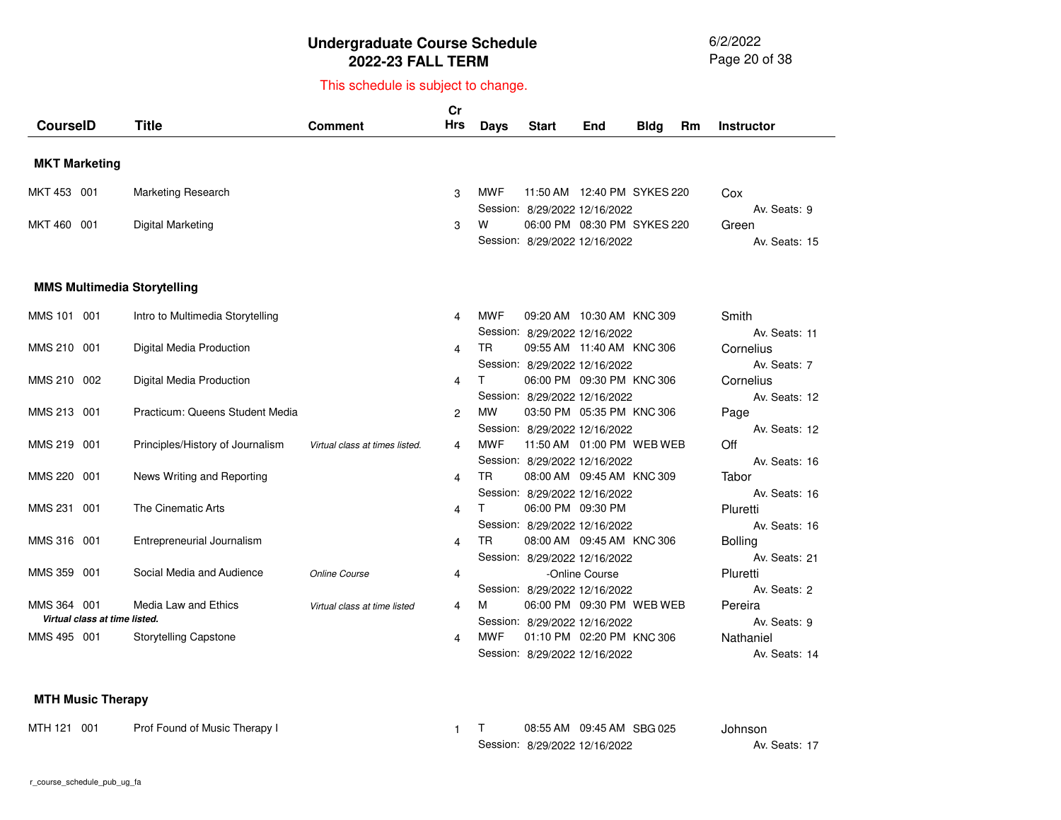6/2/2022 Page 20 of 38

## This schedule is subject to change.

|                                              |                                  |                                | Cr         |             |                               |                               |             |           |                   |
|----------------------------------------------|----------------------------------|--------------------------------|------------|-------------|-------------------------------|-------------------------------|-------------|-----------|-------------------|
| <b>CourselD</b>                              | <b>Title</b>                     | Comment                        | <b>Hrs</b> | <b>Days</b> | <b>Start</b>                  | End                           | <b>Bldg</b> | <b>Rm</b> | <b>Instructor</b> |
|                                              |                                  |                                |            |             |                               |                               |             |           |                   |
| <b>MKT Marketing</b>                         |                                  |                                |            |             |                               |                               |             |           |                   |
| MKT 453 001                                  | <b>Marketing Research</b>        |                                | 3          | <b>MWF</b>  |                               | 11:50 AM  12:40 PM  SYKES 220 |             |           | Cox               |
|                                              |                                  |                                |            |             | Session: 8/29/2022 12/16/2022 |                               |             |           | Av. Seats: 9      |
| MKT 460 001                                  | Digital Marketing                |                                | 3          | w           |                               | 06:00 PM 08:30 PM SYKES 220   |             |           | Green             |
|                                              |                                  |                                |            |             | Session: 8/29/2022 12/16/2022 |                               |             |           | Av. Seats: 15     |
|                                              |                                  |                                |            |             |                               |                               |             |           |                   |
| <b>MMS Multimedia Storytelling</b>           |                                  |                                |            |             |                               |                               |             |           |                   |
|                                              |                                  |                                |            |             |                               |                               |             |           |                   |
| MMS 101 001                                  | Intro to Multimedia Storytelling |                                | 4          | <b>MWF</b>  |                               | 09:20 AM 10:30 AM KNC 309     |             |           | Smith             |
|                                              |                                  |                                |            |             | Session: 8/29/2022 12/16/2022 |                               |             |           | Av. Seats: 11     |
| MMS 210 001                                  | Digital Media Production         |                                | 4          | <b>TR</b>   | 09:55 AM 11:40 AM KNC 306     |                               |             |           | Cornelius         |
|                                              |                                  |                                |            |             | Session: 8/29/2022 12/16/2022 |                               |             |           | Av. Seats: 7      |
| MMS 210 002                                  | Digital Media Production         |                                | 4          |             |                               | 06:00 PM 09:30 PM KNC 306     |             |           | Cornelius         |
|                                              |                                  |                                |            |             | Session: 8/29/2022 12/16/2022 |                               |             |           | Av. Seats: 12     |
| MMS 213 001                                  | Practicum: Queens Student Media  |                                | 2          | <b>MW</b>   |                               | 03:50 PM 05:35 PM KNC 306     |             |           | Page              |
|                                              |                                  |                                |            |             | Session: 8/29/2022 12/16/2022 |                               |             |           | Av. Seats: 12     |
| MMS 219 001                                  | Principles/History of Journalism | Virtual class at times listed. | 4          | <b>MWF</b>  | 11:50 AM  01:00 PM  WEB  WEB  |                               |             |           | Off               |
|                                              |                                  |                                |            |             | Session: 8/29/2022 12/16/2022 |                               |             |           | Av. Seats: 16     |
| MMS 220 001                                  | News Writing and Reporting       |                                | 4          | <b>TR</b>   |                               | 08:00 AM 09:45 AM KNC 309     |             |           | Tabor             |
|                                              |                                  |                                |            |             | Session: 8/29/2022 12/16/2022 |                               |             |           | Av. Seats: 16     |
| MMS 231 001                                  | The Cinematic Arts               |                                | 4          | т           | 06:00 PM 09:30 PM             |                               |             |           | Pluretti          |
|                                              |                                  |                                |            |             | Session: 8/29/2022 12/16/2022 |                               |             |           | Av. Seats: 16     |
| MMS 316 001                                  | Entrepreneurial Journalism       |                                | 4          | <b>TR</b>   | 08:00 AM 09:45 AM KNC 306     |                               |             |           | <b>Bolling</b>    |
|                                              |                                  |                                |            |             | Session: 8/29/2022 12/16/2022 |                               |             |           | Av. Seats: 21     |
| MMS 359 001                                  | Social Media and Audience        | Online Course                  | 4          |             |                               | -Online Course                |             |           | Pluretti          |
|                                              |                                  |                                |            |             | Session: 8/29/2022 12/16/2022 |                               |             |           | Av. Seats: 2      |
| MMS 364 001<br>Virtual class at time listed. | Media Law and Ethics             | Virtual class at time listed   | 4          | м           |                               | 06:00 PM 09:30 PM WEB WEB     |             |           | Pereira           |
|                                              |                                  |                                |            |             | Session: 8/29/2022 12/16/2022 |                               |             |           | Av. Seats: 9      |
| MMS 495 001                                  | <b>Storytelling Capstone</b>     |                                | 4          | <b>MWF</b>  |                               | 01:10 PM 02:20 PM KNC 306     |             |           | Nathaniel         |
|                                              |                                  |                                |            |             | Session: 8/29/2022 12/16/2022 |                               |             |           | Av. Seats: 14     |

#### **MTH Music Therapy**

| MTH 121 001 | Prof Found of Music Therapy I |  | 08:55 AM  09:45 AM  SBG 025   |  | Johnson       |
|-------------|-------------------------------|--|-------------------------------|--|---------------|
|             |                               |  | Session: 8/29/2022 12/16/2022 |  | Av. Seats: 17 |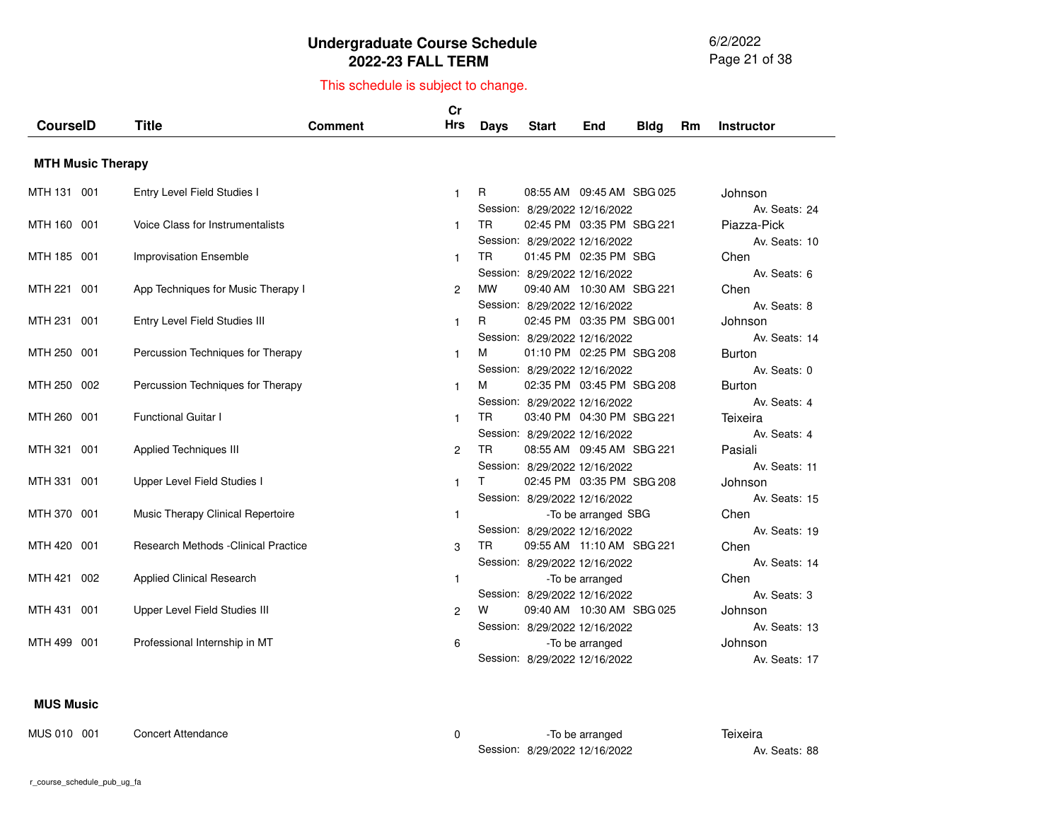6/2/2022 Page 21 of 38

# This schedule is subject to change.

| <b>CourseID</b> |                          | <b>Title</b>                                | Comment | cr<br><b>Hrs</b> | Days      | <b>Start</b>                                                                                | End                       | <b>Bldg</b> | Rm. | <b>Instructor</b>                              |
|-----------------|--------------------------|---------------------------------------------|---------|------------------|-----------|---------------------------------------------------------------------------------------------|---------------------------|-------------|-----|------------------------------------------------|
|                 |                          |                                             |         |                  |           |                                                                                             |                           |             |     |                                                |
|                 | <b>MTH Music Therapy</b> |                                             |         |                  |           |                                                                                             |                           |             |     |                                                |
| MTH 131 001     |                          | Entry Level Field Studies I                 |         | $\mathbf{1}$     | R.        | 08:55 AM 09:45 AM SBG 025                                                                   |                           |             |     | Johnson                                        |
| MTH 160 001     |                          | Voice Class for Instrumentalists            |         | 1                | TR.       | Session: 8/29/2022 12/16/2022<br>02:45 PM 03:35 PM SBG 221<br>Session: 8/29/2022 12/16/2022 |                           |             |     | Av. Seats: 24<br>Piazza-Pick<br>Av. Seats: 10  |
| MTH 185 001     |                          | <b>Improvisation Ensemble</b>               |         | $\mathbf{1}$     | TR.       | Session: 8/29/2022 12/16/2022                                                               | 01:45 PM 02:35 PM SBG     |             |     | Chen<br>Av. Seats: 6                           |
| MTH 221 001     |                          | App Techniques for Music Therapy I          |         | $\overline{2}$   | <b>MW</b> |                                                                                             | 09:40 AM 10:30 AM SBG 221 |             |     | Chen                                           |
| MTH 231 001     |                          | Entry Level Field Studies III               |         | $\mathbf{1}$     | R.        | Session: 8/29/2022 12/16/2022<br>02:45 PM 03:35 PM SBG 001                                  |                           |             |     | Av. Seats: 8<br>Johnson                        |
| MTH 250 001     |                          | Percussion Techniques for Therapy           |         | 1                | м         | Session: 8/29/2022 12/16/2022<br>01:10 PM 02:25 PM SBG 208                                  |                           |             |     | Av. Seats: 14<br><b>Burton</b><br>Av. Seats: 0 |
| MTH 250 002     |                          | Percussion Techniques for Therapy           |         | 1                | м         | Session: 8/29/2022 12/16/2022                                                               | 02:35 PM 03:45 PM SBG 208 |             |     | <b>Burton</b>                                  |
| MTH 260 001     |                          | <b>Functional Guitar I</b>                  |         | $\mathbf{1}$     | TR.       | Session: 8/29/2022 12/16/2022<br>03:40 PM 04:30 PM SBG 221                                  |                           |             |     | Av. Seats: 4<br>Teixeira                       |
| MTH 321 001     |                          | <b>Applied Techniques III</b>               |         | 2                | TR.       | Session: 8/29/2022 12/16/2022<br>08:55 AM 09:45 AM SBG 221                                  |                           |             |     | Av. Seats: 4<br>Pasiali                        |
| MTH 331 001     |                          | Upper Level Field Studies I                 |         | $\mathbf{1}$     | T.        | Session: 8/29/2022 12/16/2022<br>02:45 PM 03:35 PM SBG 208                                  |                           |             |     | Av. Seats: 11<br>Johnson                       |
| MTH 370 001     |                          | Music Therapy Clinical Repertoire           |         | $\mathbf{1}$     |           | Session: 8/29/2022 12/16/2022                                                               | -To be arranged SBG       |             |     | Av. Seats: 15<br>Chen                          |
| MTH 420 001     |                          | <b>Research Methods - Clinical Practice</b> |         | 3                | TR.       | Session: 8/29/2022 12/16/2022<br>09:55 AM 11:10 AM SBG 221                                  |                           |             |     | Av. Seats: 19<br>Chen                          |
| MTH 421 002     |                          | <b>Applied Clinical Research</b>            |         | $\mathbf{1}$     |           | Session: 8/29/2022 12/16/2022                                                               | -To be arranged           |             |     | Av. Seats: 14<br>Chen                          |
| MTH 431 001     |                          | Upper Level Field Studies III               |         | 2                | w         | Session: 8/29/2022 12/16/2022<br>09:40 AM 10:30 AM SBG 025                                  |                           |             |     | Av. Seats: 3<br>Johnson                        |
| MTH 499 001     |                          | Professional Internship in MT               |         | 6                |           | Session: 8/29/2022 12/16/2022<br>Session: 8/29/2022 12/16/2022                              | -To be arranged           |             |     | Av. Seats: 13<br>Johnson<br>Av. Seats: 17      |

#### **MUS Music**

MUS 010 001 Concert Attendance 0 -To be arranged **Teixeira** 

Session:8/29/2022 12/16/2022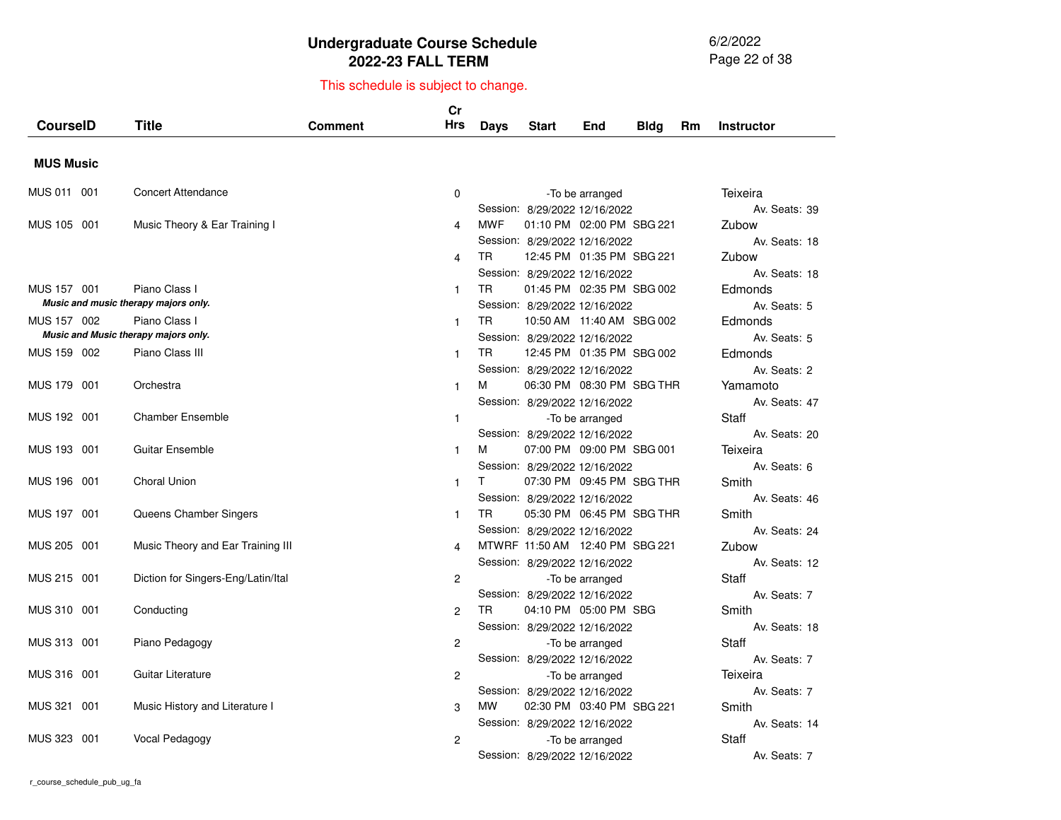6/2/2022 Page 22 of 38

|                  |                                      |                | Cr             |             |                                 |                 |             |    |                   |
|------------------|--------------------------------------|----------------|----------------|-------------|---------------------------------|-----------------|-------------|----|-------------------|
| <b>CourseID</b>  | <b>Title</b>                         | <b>Comment</b> | <b>Hrs</b>     | <b>Days</b> | <b>Start</b>                    | End             | <b>Bldg</b> | Rm | <b>Instructor</b> |
|                  |                                      |                |                |             |                                 |                 |             |    |                   |
| <b>MUS Music</b> |                                      |                |                |             |                                 |                 |             |    |                   |
| MUS 011 001      | <b>Concert Attendance</b>            |                | 0              |             |                                 | -To be arranged |             |    | Teixeira          |
|                  |                                      |                |                |             | Session: 8/29/2022 12/16/2022   |                 |             |    | Av. Seats: 39     |
| MUS 105 001      | Music Theory & Ear Training I        |                | 4              | <b>MWF</b>  | 01:10 PM 02:00 PM SBG 221       |                 |             |    | Zubow             |
|                  |                                      |                |                |             | Session: 8/29/2022 12/16/2022   |                 |             |    | Av. Seats: 18     |
|                  |                                      |                | 4              | TR          | 12:45 PM 01:35 PM SBG 221       |                 |             |    | Zubow             |
|                  |                                      |                |                |             | Session: 8/29/2022 12/16/2022   |                 |             |    | Av. Seats: 18     |
| MUS 157 001      | Piano Class I                        |                | $\mathbf{1}$   | <b>TR</b>   | 01:45 PM 02:35 PM SBG 002       |                 |             |    | Edmonds           |
|                  | Music and music therapy majors only. |                |                |             | Session: 8/29/2022 12/16/2022   |                 |             |    | Av. Seats: 5      |
| MUS 157 002      | Piano Class I                        |                | $\mathbf{1}$   | TR          | 10:50 AM 11:40 AM SBG 002       |                 |             |    | Edmonds           |
|                  | Music and Music therapy majors only. |                |                |             | Session: 8/29/2022 12/16/2022   |                 |             |    | Av. Seats: 5      |
| MUS 159 002      | Piano Class III                      |                | $\mathbf{1}$   | <b>TR</b>   | 12:45 PM 01:35 PM SBG 002       |                 |             |    | Edmonds           |
|                  |                                      |                |                |             | Session: 8/29/2022 12/16/2022   |                 |             |    | Av. Seats: 2      |
| MUS 179 001      | Orchestra                            |                | $\mathbf{1}$   | м           | 06:30 PM 08:30 PM SBG THR       |                 |             |    | Yamamoto          |
|                  |                                      |                |                |             | Session: 8/29/2022 12/16/2022   |                 |             |    | Av. Seats: 47     |
| MUS 192 001      | <b>Chamber Ensemble</b>              |                | $\mathbf{1}$   |             |                                 | -To be arranged |             |    | Staff             |
|                  |                                      |                |                |             | Session: 8/29/2022 12/16/2022   |                 |             |    | Av. Seats: 20     |
| MUS 193 001      | <b>Guitar Ensemble</b>               |                | 1              | м           | 07:00 PM 09:00 PM SBG 001       |                 |             |    | Teixeira          |
|                  |                                      |                |                |             | Session: 8/29/2022 12/16/2022   |                 |             |    | Av. Seats: 6      |
| MUS 196 001      | <b>Choral Union</b>                  |                | $\mathbf{1}$   | T.          | 07:30 PM 09:45 PM SBG THR       |                 |             |    | Smith             |
|                  |                                      |                |                |             | Session: 8/29/2022 12/16/2022   |                 |             |    | Av. Seats: 46     |
| MUS 197 001      | Queens Chamber Singers               |                | $\mathbf{1}$   | <b>TR</b>   | 05:30 PM 06:45 PM SBG THR       |                 |             |    | Smith             |
|                  |                                      |                |                |             | Session: 8/29/2022 12/16/2022   |                 |             |    | Av. Seats: 24     |
| MUS 205 001      | Music Theory and Ear Training III    |                | 4              |             | MTWRF 11:50 AM 12:40 PM SBG 221 |                 |             |    | Zubow             |
|                  |                                      |                |                |             | Session: 8/29/2022 12/16/2022   |                 |             |    | Av. Seats: 12     |
| MUS 215 001      | Diction for Singers-Eng/Latin/Ital   |                | $\overline{c}$ |             |                                 | -To be arranged |             |    | Staff             |
|                  |                                      |                |                |             | Session: 8/29/2022 12/16/2022   |                 |             |    | Av. Seats: 7      |
| MUS 310 001      | Conducting                           |                | 2              | TR          | 04:10 PM 05:00 PM SBG           |                 |             |    | Smith             |
|                  |                                      |                |                |             | Session: 8/29/2022 12/16/2022   |                 |             |    | Av. Seats: 18     |
| MUS 313 001      | Piano Pedagogy                       |                | 2              |             |                                 | -To be arranged |             |    | Staff             |
|                  |                                      |                |                |             | Session: 8/29/2022 12/16/2022   |                 |             |    | Av. Seats: 7      |
| MUS 316 001      | Guitar Literature                    |                | 2              |             |                                 | -To be arranged |             |    | Teixeira          |
|                  |                                      |                |                |             | Session: 8/29/2022 12/16/2022   |                 |             |    | Av. Seats: 7      |
| MUS 321 001      | Music History and Literature I       |                | 3              | <b>MW</b>   | 02:30 PM 03:40 PM SBG 221       |                 |             |    | Smith             |
|                  |                                      |                |                |             | Session: 8/29/2022 12/16/2022   |                 |             |    | Av. Seats: 14     |
| MUS 323 001      | Vocal Pedagogy                       |                | 2              |             |                                 | -To be arranged |             |    | Staff             |
|                  |                                      |                |                |             | Session: 8/29/2022 12/16/2022   |                 |             |    | Av. Seats: 7      |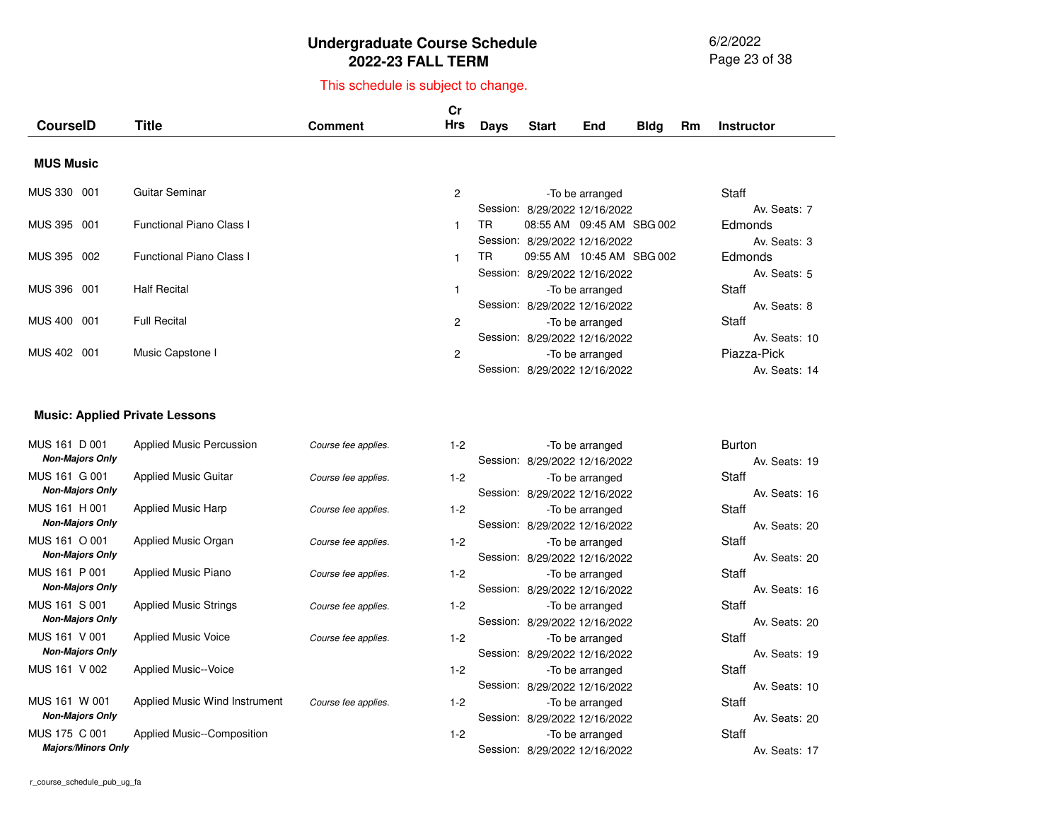6/2/2022 Page 23 of 38

# This schedule is subject to change.

| <b>CourseID</b>        | <b>Title</b>                    | <b>Comment</b> | Cr<br>Hrs | <b>Days</b> | <b>Start</b>                  | End             | Bldg | Rm | <b>Instructor</b> |
|------------------------|---------------------------------|----------------|-----------|-------------|-------------------------------|-----------------|------|----|-------------------|
|                        |                                 |                |           |             |                               |                 |      |    |                   |
| <b>MUS Music</b>       |                                 |                |           |             |                               |                 |      |    |                   |
| <b>MUS 330</b><br>-001 | Guitar Seminar                  |                | 2         |             |                               | -To be arranged |      |    | Staff             |
|                        |                                 |                |           |             | Session: 8/29/2022 12/16/2022 |                 |      |    | Av. Seats: 7      |
| MUS 395 001            | <b>Functional Piano Class I</b> |                |           | TR.         | 08:55 AM 09:45 AM SBG 002     |                 |      |    | <b>Edmonds</b>    |
|                        |                                 |                |           |             | Session: 8/29/2022 12/16/2022 |                 |      |    | Av. Seats: 3      |
| MUS 395 002            | <b>Functional Piano Class I</b> |                |           | TR.         | 09:55 AM 10:45 AM SBG 002     |                 |      |    | <b>Edmonds</b>    |
|                        |                                 |                |           |             | Session: 8/29/2022 12/16/2022 |                 |      |    | Av. Seats: 5      |
| MUS 396 001            | <b>Half Recital</b>             |                |           |             |                               | -To be arranged |      |    | Staff             |
|                        |                                 |                |           |             | Session: 8/29/2022 12/16/2022 |                 |      |    | Av. Seats: 8      |
| <b>MUS 400</b><br>001  | <b>Full Recital</b>             |                | 2         |             |                               | -To be arranged |      |    | Staff             |
|                        |                                 |                |           |             | Session: 8/29/2022 12/16/2022 |                 |      |    | Av. Seats: 10     |
| <b>MUS 402</b><br>001  | Music Capstone I                |                | 2         |             |                               | -To be arranged |      |    | Piazza-Pick       |
|                        |                                 |                |           |             | Session: 8/29/2022 12/16/2022 |                 |      |    | Av. Seats: 14     |
|                        |                                 |                |           |             |                               |                 |      |    |                   |

#### **Music: Applied Private Lessons**

| MUS 161 D 001             | <b>Applied Music Percussion</b> | Course fee applies. | $1 - 2$ | -To be arranged               | <b>Burton</b> |               |
|---------------------------|---------------------------------|---------------------|---------|-------------------------------|---------------|---------------|
| <b>Non-Majors Only</b>    |                                 |                     |         | Session: 8/29/2022 12/16/2022 |               | Av. Seats: 19 |
| MUS 161 G 001             | <b>Applied Music Guitar</b>     | Course fee applies. | $1 - 2$ | -To be arranged               | Staff         |               |
| <b>Non-Majors Only</b>    |                                 |                     |         | Session: 8/29/2022 12/16/2022 |               | Av. Seats: 16 |
| MUS 161 H 001             | Applied Music Harp              | Course fee applies. | $1 - 2$ | -To be arranged               | Staff         |               |
| <b>Non-Majors Only</b>    |                                 |                     |         | Session: 8/29/2022 12/16/2022 |               | Av. Seats: 20 |
| MUS 161 O 001             | Applied Music Organ             | Course fee applies. | $1 - 2$ | -To be arranged               | Staff         |               |
| <b>Non-Majors Only</b>    |                                 |                     |         | Session: 8/29/2022 12/16/2022 |               | Av. Seats: 20 |
| MUS 161 P 001             | Applied Music Piano             | Course fee applies. | $1 - 2$ | -To be arranged               | Staff         |               |
| <b>Non-Majors Only</b>    |                                 |                     |         | Session: 8/29/2022 12/16/2022 |               | Av. Seats: 16 |
| MUS 161 S 001             | <b>Applied Music Strings</b>    | Course fee applies. | $1 - 2$ | -To be arranged               | Staff         |               |
| <b>Non-Majors Only</b>    |                                 |                     |         | Session: 8/29/2022 12/16/2022 |               | Av. Seats: 20 |
| MUS 161 V 001             | <b>Applied Music Voice</b>      | Course fee applies. | $1 - 2$ | -To be arranged               | Staff         |               |
| <b>Non-Majors Only</b>    |                                 |                     |         | Session: 8/29/2022 12/16/2022 |               | Av. Seats: 19 |
| MUS 161 V 002             | <b>Applied Music--Voice</b>     |                     | $1 - 2$ | -To be arranged               | Staff         |               |
|                           |                                 |                     |         | Session: 8/29/2022 12/16/2022 |               | Av. Seats: 10 |
| MUS 161 W 001             | Applied Music Wind Instrument   | Course fee applies. | $1 - 2$ | -To be arranged               | Staff         |               |
| <b>Non-Majors Only</b>    |                                 |                     |         | Session: 8/29/2022 12/16/2022 |               | Av. Seats: 20 |
| MUS 175 C 001             | Applied Music--Composition      |                     | $1 - 2$ | -To be arranged               | Staff         |               |
| <b>Majors/Minors Only</b> |                                 |                     |         | Session: 8/29/2022 12/16/2022 |               | Av. Seats: 17 |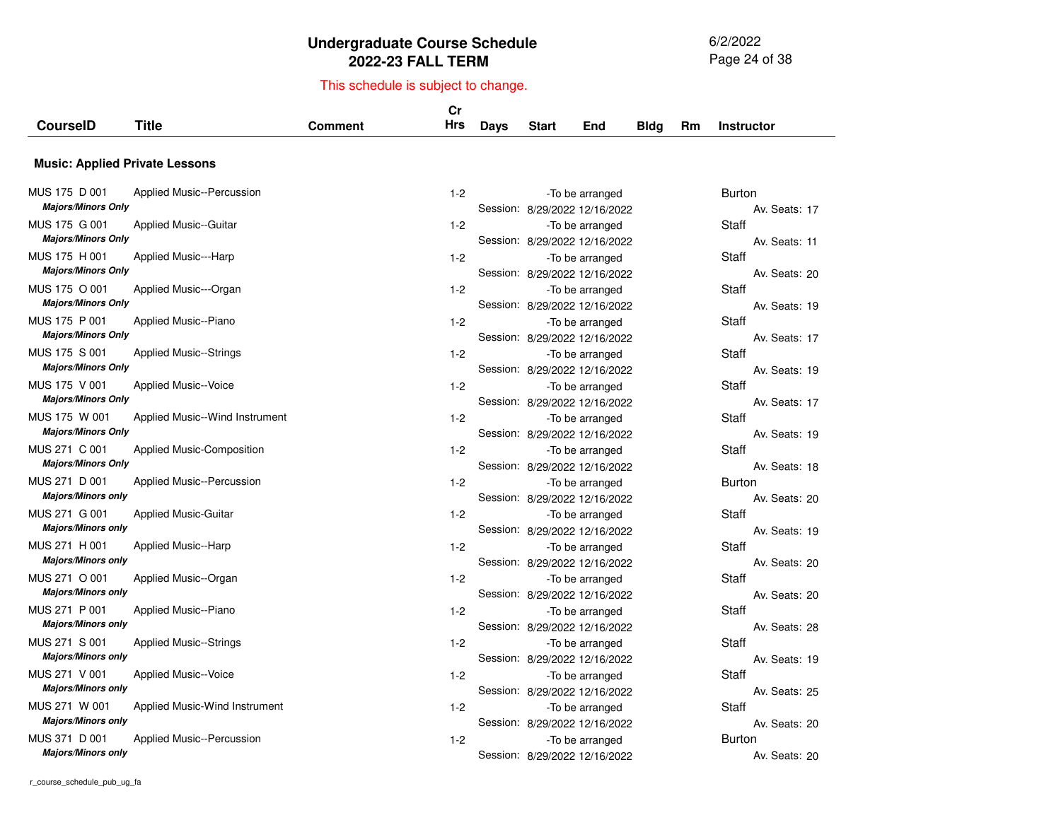6/2/2022 Page 24 of 38

| <b>CourseID</b>                            | <b>Title</b>                          | <b>Comment</b> | Cr<br><b>Hrs</b> | Days | <b>Start</b>                  | End             | <b>Bldg</b> | Rm | <b>Instructor</b>              |
|--------------------------------------------|---------------------------------------|----------------|------------------|------|-------------------------------|-----------------|-------------|----|--------------------------------|
|                                            |                                       |                |                  |      |                               |                 |             |    |                                |
|                                            | <b>Music: Applied Private Lessons</b> |                |                  |      |                               |                 |             |    |                                |
| MUS 175 D 001<br><b>Majors/Minors Only</b> | <b>Applied Music--Percussion</b>      |                | $1 - 2$          |      | Session: 8/29/2022 12/16/2022 | -To be arranged |             |    | <b>Burton</b><br>Av. Seats: 17 |
| MUS 175 G 001<br><b>Majors/Minors Only</b> | <b>Applied Music--Guitar</b>          |                | $1 - 2$          |      | Session: 8/29/2022 12/16/2022 | -To be arranged |             |    | Staff<br>Av. Seats: 11         |
| MUS 175 H 001<br><b>Majors/Minors Only</b> | Applied Music---Harp                  |                | $1 - 2$          |      | Session: 8/29/2022 12/16/2022 | -To be arranged |             |    | Staff<br>Av. Seats: 20         |
| MUS 175 O 001<br><b>Majors/Minors Only</b> | Applied Music---Organ                 |                | $1 - 2$          |      | Session: 8/29/2022 12/16/2022 | -To be arranged |             |    | Staff<br>Av. Seats: 19         |
| MUS 175 P 001<br><b>Majors/Minors Only</b> | Applied Music--Piano                  |                | $1 - 2$          |      | Session: 8/29/2022 12/16/2022 | -To be arranged |             |    | Staff<br>Av. Seats: 17         |
| MUS 175 S 001<br><b>Majors/Minors Only</b> | <b>Applied Music--Strings</b>         |                | $1 - 2$          |      | Session: 8/29/2022 12/16/2022 | -To be arranged |             |    | <b>Staff</b><br>Av. Seats: 19  |
| MUS 175 V 001<br><b>Majors/Minors Only</b> | <b>Applied Music--Voice</b>           |                | $1 - 2$          |      | Session: 8/29/2022 12/16/2022 | -To be arranged |             |    | <b>Staff</b><br>Av. Seats: 17  |
| MUS 175 W 001<br><b>Majors/Minors Only</b> | Applied Music--Wind Instrument        |                | $1 - 2$          |      | Session: 8/29/2022 12/16/2022 | -To be arranged |             |    | Staff<br>Av. Seats: 19         |
| MUS 271 C 001<br><b>Majors/Minors Only</b> | Applied Music-Composition             |                | $1 - 2$          |      | Session: 8/29/2022 12/16/2022 | -To be arranged |             |    | Staff<br>Av. Seats: 18         |
| MUS 271 D 001<br><b>Majors/Minors only</b> | <b>Applied Music--Percussion</b>      |                | $1 - 2$          |      | Session: 8/29/2022 12/16/2022 | -To be arranged |             |    | <b>Burton</b><br>Av. Seats: 20 |
| MUS 271 G 001<br><b>Majors/Minors only</b> | <b>Applied Music-Guitar</b>           |                | $1 - 2$          |      | Session: 8/29/2022 12/16/2022 | -To be arranged |             |    | Staff<br>Av. Seats: 19         |
| MUS 271 H 001<br><b>Majors/Minors only</b> | <b>Applied Music--Harp</b>            |                | $1 - 2$          |      | Session: 8/29/2022 12/16/2022 | -To be arranged |             |    | Staff<br>Av. Seats: 20         |
| MUS 271 O 001<br><b>Majors/Minors only</b> | Applied Music--Organ                  |                | $1 - 2$          |      | Session: 8/29/2022 12/16/2022 | -To be arranged |             |    | <b>Staff</b><br>Av. Seats: 20  |
| MUS 271 P 001<br><b>Majors/Minors only</b> | Applied Music--Piano                  |                | $1-2$            |      | Session: 8/29/2022 12/16/2022 | -To be arranged |             |    | Staff<br>Av. Seats: 28         |
| MUS 271 S 001<br><b>Majors/Minors only</b> | <b>Applied Music--Strings</b>         |                | $1 - 2$          |      | Session: 8/29/2022 12/16/2022 | -To be arranged |             |    | <b>Staff</b><br>Av. Seats: 19  |
| MUS 271 V 001<br><b>Majors/Minors only</b> | <b>Applied Music--Voice</b>           |                | $1-2$            |      | Session: 8/29/2022 12/16/2022 | -To be arranged |             |    | <b>Staff</b><br>Av. Seats: 25  |
| MUS 271 W 001<br><b>Majors/Minors only</b> | Applied Music-Wind Instrument         |                | $1-2$            |      | Session: 8/29/2022 12/16/2022 | -To be arranged |             |    | Staff<br>Av. Seats: 20         |
| MUS 371 D 001<br><b>Majors/Minors only</b> | Applied Music--Percussion             |                | $1 - 2$          |      | Session: 8/29/2022 12/16/2022 | -To be arranged |             |    | <b>Burton</b><br>Av. Seats: 20 |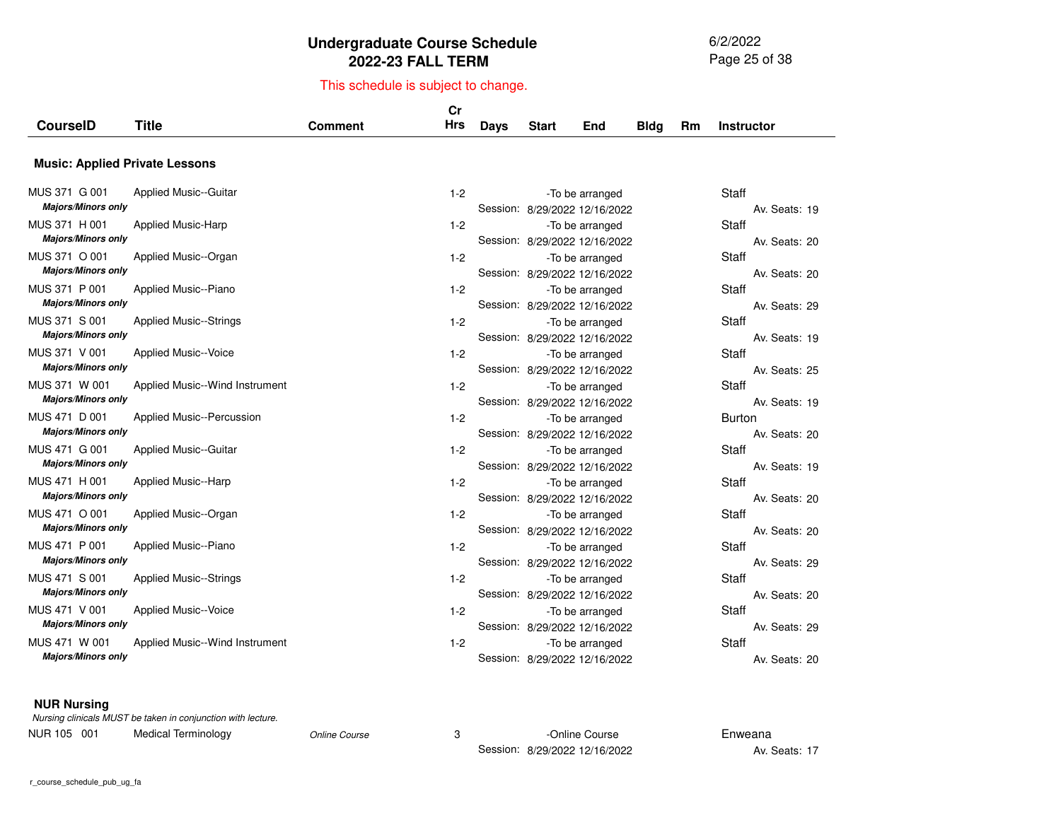6/2/2022 Page 25 of 38

## This schedule is subject to change.

|                                            |                                |                | Cr         |             |              |                                                  |             |    |                                |
|--------------------------------------------|--------------------------------|----------------|------------|-------------|--------------|--------------------------------------------------|-------------|----|--------------------------------|
| <b>CourseID</b>                            | <b>Title</b>                   | <b>Comment</b> | <b>Hrs</b> | <b>Days</b> | <b>Start</b> | End                                              | <b>Bldg</b> | Rm | <b>Instructor</b>              |
| <b>Music: Applied Private Lessons</b>      |                                |                |            |             |              |                                                  |             |    |                                |
| MUS 371 G 001<br><b>Majors/Minors only</b> | <b>Applied Music--Guitar</b>   |                | $1 - 2$    |             |              | -To be arranged<br>Session: 8/29/2022 12/16/2022 |             |    | <b>Staff</b><br>Av. Seats: 19  |
| MUS 371 H 001<br><b>Majors/Minors only</b> | <b>Applied Music-Harp</b>      |                | $1 - 2$    |             |              | -To be arranged<br>Session: 8/29/2022 12/16/2022 |             |    | Staff<br>Av. Seats: 20         |
| MUS 371 O 001<br><b>Majors/Minors only</b> | Applied Music--Organ           |                | $1 - 2$    |             |              | -To be arranged<br>Session: 8/29/2022 12/16/2022 |             |    | Staff<br>Av. Seats: 20         |
| MUS 371 P 001<br><b>Majors/Minors only</b> | Applied Music--Piano           |                | $1 - 2$    |             |              | -To be arranged<br>Session: 8/29/2022 12/16/2022 |             |    | Staff<br>Av. Seats: 29         |
| MUS 371 S 001<br><b>Majors/Minors only</b> | <b>Applied Music--Strings</b>  |                | $1 - 2$    |             |              | -To be arranged<br>Session: 8/29/2022 12/16/2022 |             |    | Staff<br>Av. Seats: 19         |
| MUS 371 V 001<br><b>Majors/Minors only</b> | <b>Applied Music--Voice</b>    |                | $1-2$      |             |              | -To be arranged<br>Session: 8/29/2022 12/16/2022 |             |    | Staff<br>Av. Seats: 25         |
| MUS 371 W 001<br><b>Majors/Minors only</b> | Applied Music--Wind Instrument |                | $1 - 2$    |             |              | -To be arranged<br>Session: 8/29/2022 12/16/2022 |             |    | Staff<br>Av. Seats: 19         |
| MUS 471 D 001<br><b>Majors/Minors only</b> | Applied Music--Percussion      |                | $1 - 2$    |             |              | -To be arranged<br>Session: 8/29/2022 12/16/2022 |             |    | <b>Burton</b><br>Av. Seats: 20 |
| MUS 471 G 001<br><b>Majors/Minors only</b> | <b>Applied Music--Guitar</b>   |                | $1 - 2$    |             |              | -To be arranged<br>Session: 8/29/2022 12/16/2022 |             |    | Staff<br>Av. Seats: 19         |
| MUS 471 H 001<br><b>Majors/Minors only</b> | <b>Applied Music--Harp</b>     |                | $1 - 2$    |             |              | -To be arranged<br>Session: 8/29/2022 12/16/2022 |             |    | Staff<br>Av. Seats: 20         |
| MUS 471 O 001<br><b>Majors/Minors only</b> | Applied Music--Organ           |                | $1 - 2$    |             |              | -To be arranged<br>Session: 8/29/2022 12/16/2022 |             |    | Staff<br>Av. Seats: 20         |
| MUS 471 P 001<br><b>Majors/Minors only</b> | Applied Music--Piano           |                | $1-2$      |             |              | -To be arranged<br>Session: 8/29/2022 12/16/2022 |             |    | Staff<br>Av. Seats: 29         |
| MUS 471 S 001<br><b>Majors/Minors only</b> | <b>Applied Music--Strings</b>  |                | $1 - 2$    |             |              | -To be arranged<br>Session: 8/29/2022 12/16/2022 |             |    | Staff<br>Av. Seats: 20         |
| MUS 471 V 001<br><b>Majors/Minors only</b> | <b>Applied Music--Voice</b>    |                | $1 - 2$    |             |              | -To be arranged<br>Session: 8/29/2022 12/16/2022 |             |    | Staff<br>Av. Seats: 29         |
| MUS 471 W 001<br><b>Majors/Minors only</b> | Applied Music--Wind Instrument |                | $1 - 2$    |             |              | -To be arranged<br>Session: 8/29/2022 12/16/2022 |             |    | Staff<br>Av. Seats: 20         |

#### **NUR Nursing**

|             | Nursing clinicals MUST be taken in conjunction with lecture. |               |                               |               |
|-------------|--------------------------------------------------------------|---------------|-------------------------------|---------------|
| NUR 105 001 | Medical Terminology                                          | Online Course | -Online Course                | Enweana       |
|             |                                                              |               | Session: 8/29/2022 12/16/2022 | Av. Seats: 17 |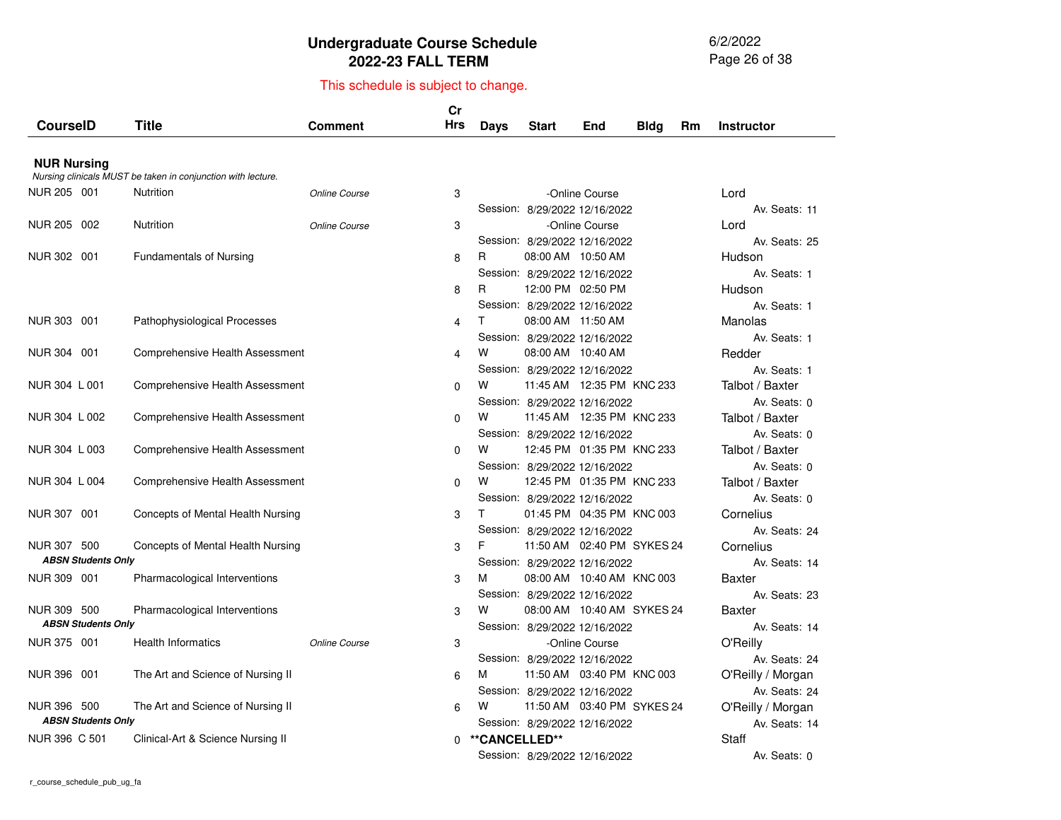6/2/2022 Page 26 of 38

| <b>CourseID</b>           | <b>Title</b>                                                 | <b>Comment</b> | Cr<br><b>Hrs</b> | Days          | <b>Start</b>                  | End            | <b>Bldg</b> | Rm | <b>Instructor</b> |
|---------------------------|--------------------------------------------------------------|----------------|------------------|---------------|-------------------------------|----------------|-------------|----|-------------------|
| <b>NUR Nursing</b>        |                                                              |                |                  |               |                               |                |             |    |                   |
|                           | Nursing clinicals MUST be taken in conjunction with lecture. |                |                  |               |                               |                |             |    |                   |
| NUR 205 001               | Nutrition                                                    | Online Course  | 3                |               |                               | -Online Course |             |    | Lord              |
|                           |                                                              |                |                  |               | Session: 8/29/2022 12/16/2022 |                |             |    | Av. Seats: 11     |
| NUR 205 002               | <b>Nutrition</b>                                             | Online Course  | 3                |               |                               | -Online Course |             |    | Lord              |
|                           |                                                              |                |                  |               | Session: 8/29/2022 12/16/2022 |                |             |    | Av. Seats: 25     |
| NUR 302 001               | <b>Fundamentals of Nursing</b>                               |                | 8                | R             | 08:00 AM 10:50 AM             |                |             |    | Hudson            |
|                           |                                                              |                |                  |               | Session: 8/29/2022 12/16/2022 |                |             |    | Av. Seats: 1      |
|                           |                                                              |                | 8                | R             | 12:00 PM 02:50 PM             |                |             |    | Hudson            |
|                           |                                                              |                |                  |               | Session: 8/29/2022 12/16/2022 |                |             |    | Av. Seats: 1      |
| NUR 303 001               | Pathophysiological Processes                                 |                | 4                | T.            | 08:00 AM 11:50 AM             |                |             |    | Manolas           |
|                           |                                                              |                |                  |               | Session: 8/29/2022 12/16/2022 |                |             |    | Av. Seats: 1      |
| NUR 304 001               | Comprehensive Health Assessment                              |                | 4                | W             | 08:00 AM 10:40 AM             |                |             |    | Redder            |
|                           |                                                              |                |                  |               | Session: 8/29/2022 12/16/2022 |                |             |    | Av. Seats: 1      |
| NUR 304 L 001             | Comprehensive Health Assessment                              |                | $\Omega$         | W             | 11:45 AM 12:35 PM KNC 233     |                |             |    | Talbot / Baxter   |
|                           |                                                              |                |                  |               | Session: 8/29/2022 12/16/2022 |                |             |    | Av. Seats: 0      |
| NUR 304 L 002             | Comprehensive Health Assessment                              |                | $\Omega$         | W             | 11:45 AM 12:35 PM KNC 233     |                |             |    | Talbot / Baxter   |
|                           |                                                              |                |                  |               | Session: 8/29/2022 12/16/2022 |                |             |    | Av. Seats: 0      |
| NUR 304 L 003             | Comprehensive Health Assessment                              |                | $\Omega$         | W             | 12:45 PM 01:35 PM KNC 233     |                |             |    | Talbot / Baxter   |
|                           |                                                              |                |                  |               | Session: 8/29/2022 12/16/2022 |                |             |    | Av. Seats: 0      |
| NUR 304 L 004             | Comprehensive Health Assessment                              |                | $\Omega$         | W             | 12:45 PM 01:35 PM KNC 233     |                |             |    | Talbot / Baxter   |
|                           |                                                              |                |                  |               | Session: 8/29/2022 12/16/2022 |                |             |    | Av. Seats: 0      |
| NUR 307 001               | Concepts of Mental Health Nursing                            |                | 3                | T.            | 01:45 PM 04:35 PM KNC 003     |                |             |    | Cornelius         |
|                           |                                                              |                |                  |               | Session: 8/29/2022 12/16/2022 |                |             |    | Av. Seats: 24     |
| NUR 307 500               | Concepts of Mental Health Nursing                            |                | 3                | F             | 11:50 AM  02:40 PM  SYKES 24  |                |             |    | Cornelius         |
| <b>ABSN Students Only</b> |                                                              |                |                  |               | Session: 8/29/2022 12/16/2022 |                |             |    | Av. Seats: 14     |
| NUR 309 001               | Pharmacological Interventions                                |                | 3                | м             | 08:00 AM 10:40 AM KNC 003     |                |             |    | <b>Baxter</b>     |
|                           |                                                              |                |                  |               | Session: 8/29/2022 12/16/2022 |                |             |    | Av. Seats: 23     |
| NUR 309 500               | Pharmacological Interventions                                |                | 3                | W             | 08:00 AM 10:40 AM SYKES 24    |                |             |    | <b>Baxter</b>     |
| <b>ABSN Students Only</b> |                                                              |                |                  |               | Session: 8/29/2022 12/16/2022 |                |             |    | Av. Seats: 14     |
| NUR 375 001               | <b>Health Informatics</b>                                    | Online Course  | 3                |               |                               | -Online Course |             |    | O'Reilly          |
|                           |                                                              |                |                  |               | Session: 8/29/2022 12/16/2022 |                |             |    | Av. Seats: 24     |
| NUR 396 001               | The Art and Science of Nursing II                            |                | 6                | м             | 11:50 AM 03:40 PM KNC 003     |                |             |    | O'Reilly / Morgan |
|                           |                                                              |                |                  |               | Session: 8/29/2022 12/16/2022 |                |             |    | Av. Seats: 24     |
| NUR 396 500               | The Art and Science of Nursing II                            |                | 6                | w             | 11:50 AM  03:40 PM  SYKES 24  |                |             |    | O'Reilly / Morgan |
| <b>ABSN Students Only</b> |                                                              |                |                  |               | Session: 8/29/2022 12/16/2022 |                |             |    | Av. Seats: 14     |
| NUR 396 C 501             | Clinical-Art & Science Nursing II                            |                | 0                | **CANCELLED** |                               |                |             |    | <b>Staff</b>      |
|                           |                                                              |                |                  |               | Session: 8/29/2022 12/16/2022 |                |             |    | Av. Seats: 0      |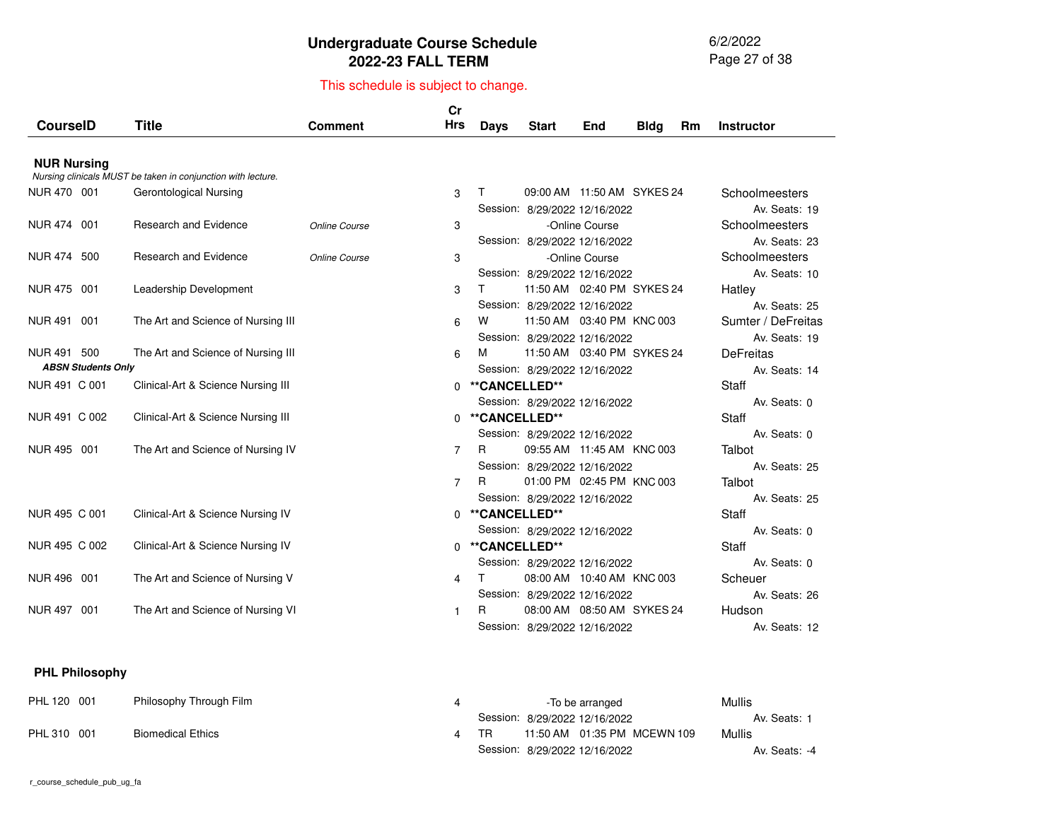6/2/2022 Page 27 of 38

# This schedule is subject to change.

|                           |                                                              |                | cr             |                 |                                                               |                |             |           |                                 |
|---------------------------|--------------------------------------------------------------|----------------|----------------|-----------------|---------------------------------------------------------------|----------------|-------------|-----------|---------------------------------|
| <b>CourselD</b>           | <b>Title</b>                                                 | <b>Comment</b> | <b>Hrs</b>     | Days            | <b>Start</b>                                                  | End            | <b>Bldg</b> | <b>Rm</b> | <b>Instructor</b>               |
|                           |                                                              |                |                |                 |                                                               |                |             |           |                                 |
| <b>NUR Nursing</b>        | Nursing clinicals MUST be taken in conjunction with lecture. |                |                |                 |                                                               |                |             |           |                                 |
| NUR 470 001               |                                                              |                |                |                 | 09:00 AM 11:50 AM SYKES 24                                    |                |             |           |                                 |
|                           | Gerontological Nursing                                       |                | 3              | т               |                                                               |                |             |           | Schoolmeesters<br>Av. Seats: 19 |
| NUR 474 001               | <b>Research and Evidence</b>                                 | Online Course  | 3              |                 | Session: 8/29/2022 12/16/2022                                 | -Online Course |             |           | Schoolmeesters                  |
|                           |                                                              |                |                |                 | Session: 8/29/2022 12/16/2022                                 |                |             |           | Av. Seats: 23                   |
| NUR 474 500               | <b>Research and Evidence</b>                                 | Online Course  | 3              |                 |                                                               | -Online Course |             |           | Schoolmeesters                  |
|                           |                                                              |                |                |                 |                                                               |                |             |           | Av. Seats: 10                   |
| NUR 475 001               | Leadership Development                                       |                | 3              | т               | Session: 8/29/2022 12/16/2022<br>11:50 AM  02:40 PM  SYKES 24 |                |             |           | Hatley                          |
|                           |                                                              |                |                |                 | Session: 8/29/2022 12/16/2022                                 |                |             |           | Av. Seats: 25                   |
| NUR 491 001               | The Art and Science of Nursing III                           |                | 6              | w               | 11:50 AM 03:40 PM KNC 003                                     |                |             |           | Sumter / DeFreitas              |
|                           |                                                              |                |                |                 | Session: 8/29/2022 12/16/2022                                 |                |             |           | Av. Seats: 19                   |
| NUR 491 500               | The Art and Science of Nursing III                           |                | 6              | м               | 11:50 AM  03:40 PM  SYKES 24                                  |                |             |           | <b>DeFreitas</b>                |
| <b>ABSN Students Only</b> |                                                              |                |                |                 |                                                               |                |             |           | Av. Seats: 14                   |
| NUR 491 C 001             | Clinical-Art & Science Nursing III                           |                |                | 0 **CANCELLED** | Session: 8/29/2022 12/16/2022                                 |                |             |           | <b>Staff</b>                    |
|                           |                                                              |                |                |                 |                                                               |                |             |           |                                 |
| NUR 491 C 002             |                                                              |                | $\Omega$       | **CANCELLED**   | Session: 8/29/2022 12/16/2022                                 |                |             |           | Av. Seats: 0<br>Staff           |
|                           | Clinical-Art & Science Nursing III                           |                |                |                 |                                                               |                |             |           |                                 |
| NUR 495 001               | The Art and Science of Nursing IV                            |                |                | R               | Session: 8/29/2022 12/16/2022<br>09:55 AM 11:45 AM KNC 003    |                |             |           | Av. Seats: 0<br>Talbot          |
|                           |                                                              |                | $\overline{7}$ |                 |                                                               |                |             |           |                                 |
|                           |                                                              |                |                | R               | Session: 8/29/2022 12/16/2022<br>01:00 PM 02:45 PM KNC 003    |                |             |           | Av. Seats: 25                   |
|                           |                                                              |                | 7              |                 |                                                               |                |             |           | Talbot                          |
|                           |                                                              |                |                |                 | Session: 8/29/2022 12/16/2022                                 |                |             |           | Av. Seats: 25                   |
| NUR 495 C 001             | Clinical-Art & Science Nursing IV                            |                |                | 0 **CANCELLED** |                                                               |                |             |           | Staff                           |
|                           |                                                              |                |                |                 | Session: 8/29/2022 12/16/2022                                 |                |             |           | Av. Seats: 0                    |
| NUR 495 C 002             | Clinical-Art & Science Nursing IV                            |                | $\Omega$       | **CANCELLED**   |                                                               |                |             |           | Staff                           |
|                           |                                                              |                |                |                 | Session: 8/29/2022 12/16/2022                                 |                |             |           | Av. Seats: 0                    |
| NUR 496 001               | The Art and Science of Nursing V                             |                | 4              |                 | 08:00 AM 10:40 AM KNC 003                                     |                |             |           | Scheuer                         |
|                           |                                                              |                |                |                 | Session: 8/29/2022 12/16/2022                                 |                |             |           | Av. Seats: 26                   |
| NUR 497 001               | The Art and Science of Nursing VI                            |                | 1              | R               | 08:00 AM 08:50 AM SYKES 24                                    |                |             |           | Hudson                          |
|                           |                                                              |                |                |                 | Session: 8/29/2022 12/16/2022                                 |                |             |           | Av. Seats: 12                   |

#### **PHL Philosophy**

PHL 120 001

PHL 310 001

| Philosophy Through Film  | -To be arranged                     | Mullis        |
|--------------------------|-------------------------------------|---------------|
|                          | Session: 8/29/2022 12/16/2022       | Av. Seats: 1  |
| <b>Biomedical Ethics</b> | 11:50 AM  01:35 PM  MCEWN 109<br>TR | Mullis        |
|                          | Session: 8/29/2022 12/16/2022       | Av. Seats: -4 |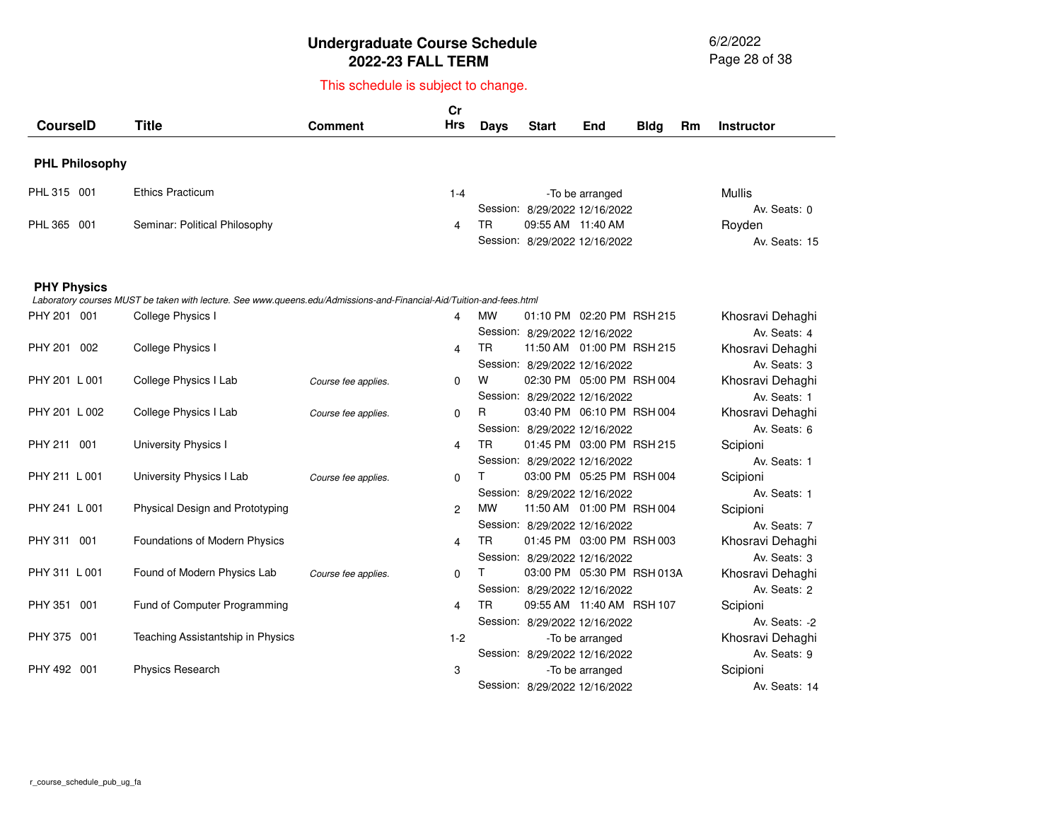6/2/2022 Page 28 of 38

| <b>CourseID</b>       | <b>Title</b>                                                                                                         | <b>Comment</b>      | Cr<br><b>Hrs</b> | Days      | <b>Start</b>                  | End                          | <b>Bldg</b> | Rm | <b>Instructor</b> |
|-----------------------|----------------------------------------------------------------------------------------------------------------------|---------------------|------------------|-----------|-------------------------------|------------------------------|-------------|----|-------------------|
| <b>PHL Philosophy</b> |                                                                                                                      |                     |                  |           |                               |                              |             |    |                   |
| PHL 315 001           | <b>Ethics Practicum</b>                                                                                              |                     | $1 - 4$          |           |                               | -To be arranged              |             |    | Mullis            |
|                       |                                                                                                                      |                     |                  |           | Session: 8/29/2022 12/16/2022 |                              |             |    | Av. Seats: 0      |
| PHL 365 001           | Seminar: Political Philosophy                                                                                        |                     | 4                | TR.       | 09:55 AM 11:40 AM             |                              |             |    | Royden            |
|                       |                                                                                                                      |                     |                  |           | Session: 8/29/2022 12/16/2022 |                              |             |    | Av. Seats: 15     |
| <b>PHY Physics</b>    | Laboratory courses MUST be taken with lecture. See www.queens.edu/Admissions-and-Financial-Aid/Tuition-and-fees.html |                     |                  |           |                               |                              |             |    |                   |
| PHY 201 001           | College Physics I                                                                                                    |                     | 4                | <b>MW</b> | 01:10 PM 02:20 PM RSH 215     |                              |             |    | Khosravi Dehaghi  |
|                       |                                                                                                                      |                     |                  |           | Session: 8/29/2022 12/16/2022 |                              |             |    | Av. Seats: 4      |
| PHY 201<br>002        | College Physics I                                                                                                    |                     | 4                | TR        |                               | 11:50 AM  01:00 PM  RSH  215 |             |    | Khosravi Dehaghi  |
|                       |                                                                                                                      |                     |                  |           | Session: 8/29/2022 12/16/2022 |                              |             |    | Av. Seats: 3      |
| PHY 201 L 001         | College Physics I Lab                                                                                                | Course fee applies. | $\Omega$         | w         |                               | 02:30 PM 05:00 PM RSH 004    |             |    | Khosravi Dehaghi  |
|                       |                                                                                                                      |                     |                  |           | Session: 8/29/2022 12/16/2022 |                              |             |    | Av. Seats: 1      |
| PHY 201 L 002         | College Physics I Lab                                                                                                | Course fee applies. | $\Omega$         | R         |                               | 03:40 PM 06:10 PM RSH 004    |             |    | Khosravi Dehaghi  |
|                       |                                                                                                                      |                     |                  |           | Session: 8/29/2022 12/16/2022 |                              |             |    | Av. Seats: 6      |
| PHY 211 001           | <b>University Physics I</b>                                                                                          |                     | 4                | TR        |                               | 01:45 PM 03:00 PM RSH 215    |             |    | Scipioni          |
|                       |                                                                                                                      |                     |                  |           | Session: 8/29/2022 12/16/2022 |                              |             |    | Av. Seats: 1      |
| PHY 211 L 001         | University Physics I Lab                                                                                             | Course fee applies. | $\mathbf 0$      | Τ         |                               | 03:00 PM 05:25 PM RSH 004    |             |    | Scipioni          |
|                       |                                                                                                                      |                     |                  |           | Session: 8/29/2022 12/16/2022 |                              |             |    | Av. Seats: 1      |
| PHY 241 L 001         | Physical Design and Prototyping                                                                                      |                     | 2                | <b>MW</b> |                               | 11:50 AM  01:00 PM  RSH  004 |             |    | Scipioni          |
|                       |                                                                                                                      |                     |                  |           | Session: 8/29/2022 12/16/2022 |                              |             |    | Av. Seats: 7      |
| PHY 311 001           | Foundations of Modern Physics                                                                                        |                     | 4                | TR.       |                               | 01:45 PM 03:00 PM RSH 003    |             |    | Khosravi Dehaghi  |
|                       |                                                                                                                      |                     |                  |           | Session: 8/29/2022 12/16/2022 |                              |             |    | Av. Seats: 3      |
| PHY 311 L 001         | Found of Modern Physics Lab                                                                                          | Course fee applies. | 0                | т         |                               | 03:00 PM 05:30 PM RSH 013A   |             |    | Khosravi Dehaghi  |
|                       |                                                                                                                      |                     |                  |           | Session: 8/29/2022 12/16/2022 |                              |             |    | Av. Seats: 2      |
| PHY 351<br>001        | Fund of Computer Programming                                                                                         |                     | 4                | TR.       |                               | 09:55 AM 11:40 AM RSH 107    |             |    | Scipioni          |
|                       |                                                                                                                      |                     |                  |           | Session: 8/29/2022 12/16/2022 |                              |             |    | Av. Seats: -2     |
| PHY 375 001           | Teaching Assistantship in Physics                                                                                    |                     | $1 - 2$          |           |                               | -To be arranged              |             |    | Khosravi Dehaghi  |
|                       |                                                                                                                      |                     |                  |           | Session: 8/29/2022 12/16/2022 |                              |             |    | Av. Seats: 9      |
| PHY 492 001           | <b>Physics Research</b>                                                                                              |                     | 3                |           |                               | -To be arranged              |             |    | Scipioni          |
|                       |                                                                                                                      |                     |                  |           | Session: 8/29/2022 12/16/2022 |                              |             |    | Av. Seats: 14     |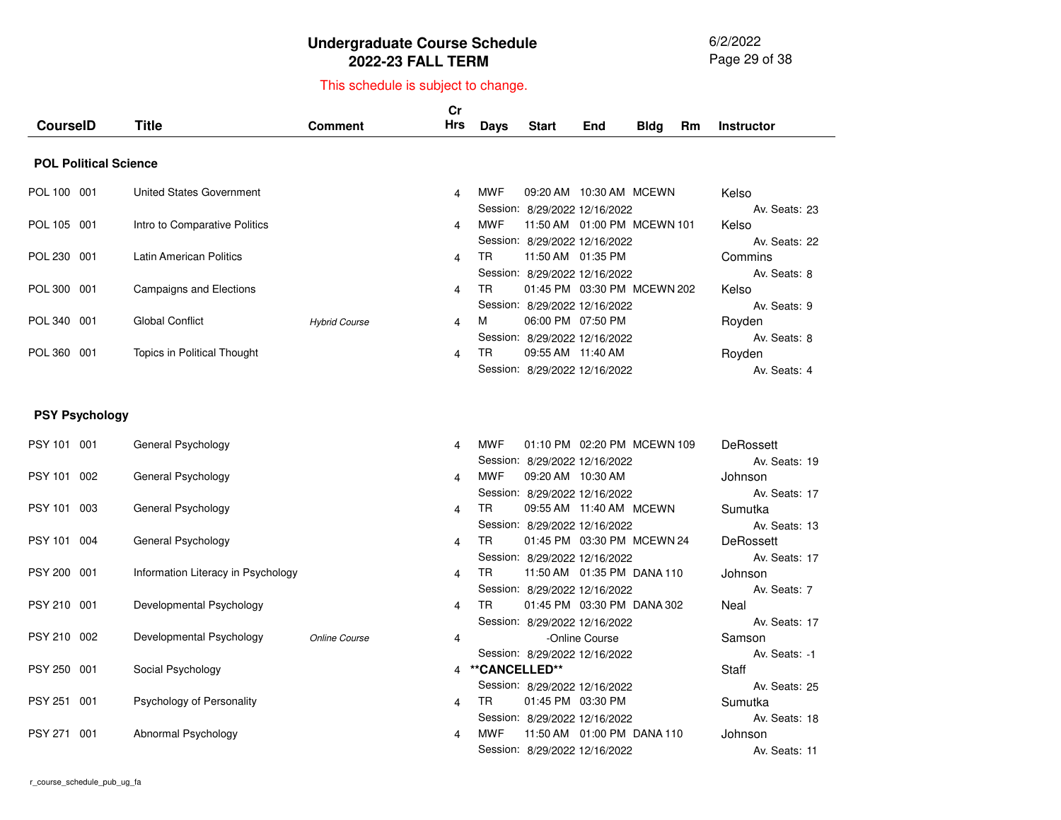6/2/2022 Page 29 of 38

| <b>CourseID</b> |                              | <b>Title</b>                       | <b>Comment</b>       | cr<br><b>Hrs</b> | <b>Days</b>   | <b>Start</b>                                                    | End            | <b>Bldg</b> | Rm | <b>Instructor</b>                 |
|-----------------|------------------------------|------------------------------------|----------------------|------------------|---------------|-----------------------------------------------------------------|----------------|-------------|----|-----------------------------------|
|                 | <b>POL Political Science</b> |                                    |                      |                  |               |                                                                 |                |             |    |                                   |
| POL 100 001     |                              | <b>United States Government</b>    |                      | 4                | MWF           | 09:20 AM  10:30 AM  MCEWN<br>Session: 8/29/2022 12/16/2022      |                |             |    | Kelso<br>Av. Seats: 23            |
| POL 105 001     |                              | Intro to Comparative Politics      |                      | 4                | <b>MWF</b>    | 11:50 AM  01:00 PM  MCEWN  101<br>Session: 8/29/2022 12/16/2022 |                |             |    | Kelso<br>Av. Seats: 22            |
| POL 230 001     |                              | <b>Latin American Politics</b>     |                      | 4                | TR.           | 11:50 AM 01:35 PM<br>Session: 8/29/2022 12/16/2022              |                |             |    | Commins<br>Av. Seats: 8           |
| POL 300 001     |                              | Campaigns and Elections            |                      | 4                | TR            | 01:45 PM 03:30 PM MCEWN 202<br>Session: 8/29/2022 12/16/2022    |                |             |    | Kelso<br>Av. Seats: 9             |
| POL 340 001     |                              | <b>Global Conflict</b>             | <b>Hybrid Course</b> | 4                | м             | 06:00 PM 07:50 PM<br>Session: 8/29/2022 12/16/2022              |                |             |    | Royden<br>Av. Seats: 8            |
| POL 360 001     |                              | Topics in Political Thought        |                      | 4                | TR            | 09:55 AM 11:40 AM<br>Session: 8/29/2022 12/16/2022              |                |             |    | Royden<br>Av. Seats: 4            |
|                 | <b>PSY Psychology</b>        |                                    |                      |                  |               |                                                                 |                |             |    |                                   |
| PSY 101 001     |                              | General Psychology                 |                      | 4                | <b>MWF</b>    | 01:10 PM 02:20 PM MCEWN 109<br>Session: 8/29/2022 12/16/2022    |                |             |    | <b>DeRossett</b><br>Av. Seats: 19 |
| PSY 101 002     |                              | General Psychology                 |                      | 4                | <b>MWF</b>    | 09:20 AM 10:30 AM<br>Session: 8/29/2022 12/16/2022              |                |             |    | Johnson<br>Av. Seats: 17          |
| PSY 101 003     |                              | General Psychology                 |                      | 4                | TR            | 09:55 AM 11:40 AM MCEWN<br>Session: 8/29/2022 12/16/2022        |                |             |    | Sumutka<br>Av. Seats: 13          |
| PSY 101 004     |                              | General Psychology                 |                      | 4                | <b>TR</b>     | 01:45 PM 03:30 PM MCEWN 24<br>Session: 8/29/2022 12/16/2022     |                |             |    | DeRossett<br>Av. Seats: 17        |
| PSY 200 001     |                              | Information Literacy in Psychology |                      | 4                | <b>TR</b>     | 11:50 AM  01:35 PM  DANA  110<br>Session: 8/29/2022 12/16/2022  |                |             |    | Johnson<br>Av. Seats: 7           |
| PSY 210 001     |                              | Developmental Psychology           |                      | 4                | TR.           | 01:45 PM 03:30 PM DANA 302<br>Session: 8/29/2022 12/16/2022     |                |             |    | Neal<br>Av. Seats: 17             |
| PSY 210 002     |                              | Developmental Psychology           | Online Course        | 4                |               | Session: 8/29/2022 12/16/2022                                   | -Online Course |             |    | Samson<br>Av. Seats: -1           |
| PSY 250 001     |                              | Social Psychology                  |                      | 4                | **CANCELLED** | Session: 8/29/2022 12/16/2022                                   |                |             |    | Staff<br>Av. Seats: 25            |
| PSY 251 001     |                              | Psychology of Personality          |                      | 4                | <b>TR</b>     | 01:45 PM 03:30 PM<br>Session: 8/29/2022 12/16/2022              |                |             |    | Sumutka<br>Av. Seats: 18          |
| PSY 271         | 001                          | Abnormal Psychology                |                      | 4                | <b>MWF</b>    | 11:50 AM  01:00 PM  DANA  110<br>Session: 8/29/2022 12/16/2022  |                |             |    | Johnson<br>Av. Seats: 11          |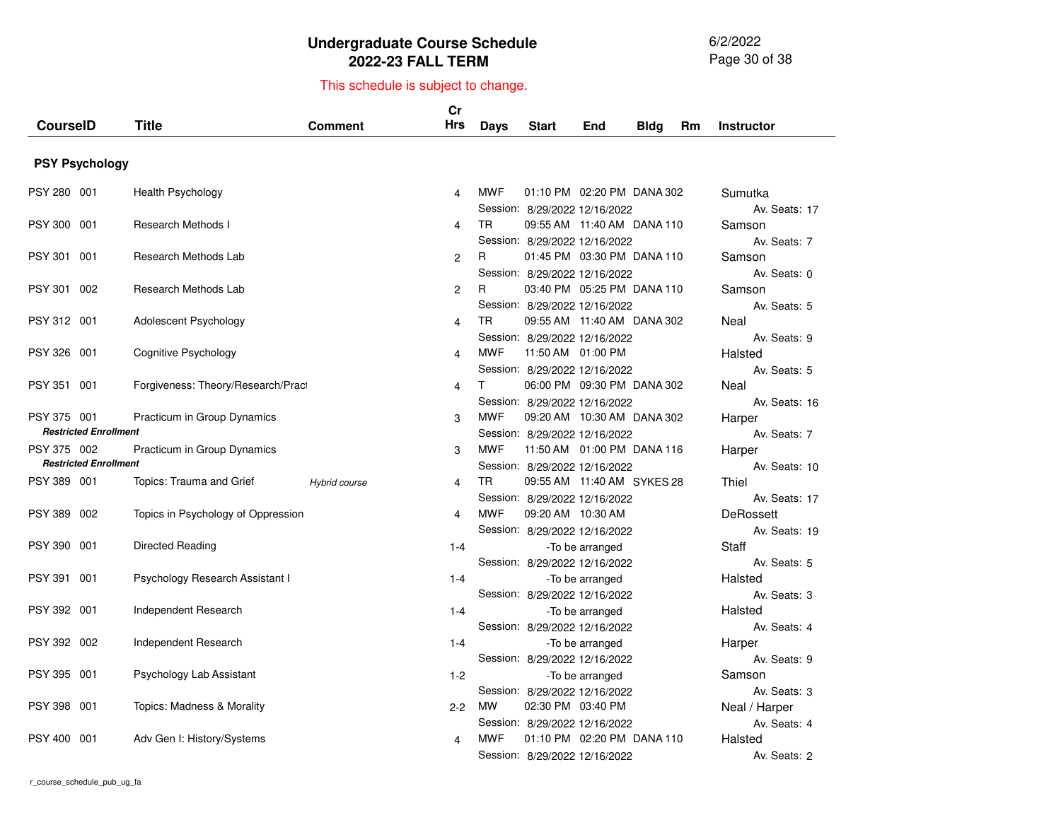6/2/2022 Page 30 of 38

| <b>PSY Psychology</b><br><b>MWF</b><br>PSY 280 001<br><b>Health Psychology</b><br>01:10 PM 02:20 PM DANA 302<br>Sumutka<br>4<br>Session: 8/29/2022 12/16/2022<br>Av. Seats: 17<br><b>TR</b><br>PSY 300<br>001<br><b>Research Methods I</b><br>09:55 AM 11:40 AM DANA 110<br>Samson<br>4<br>Session: 8/29/2022 12/16/2022<br>Av. Seats: 7<br>PSY 301 001<br>Research Methods Lab<br>01:45 PM 03:30 PM DANA 110<br>2<br>R.<br>Samson<br>Session: 8/29/2022 12/16/2022<br>Av. Seats: 0<br>03:40 PM 05:25 PM DANA 110<br><b>PSY 301</b><br>002<br>Research Methods Lab<br>R<br>2<br>Samson<br>Session: 8/29/2022 12/16/2022<br>Av. Seats: 5<br><b>TR</b><br>PSY 312 001<br>Adolescent Psychology<br>09:55 AM 11:40 AM DANA 302<br>$\overline{4}$<br>Neal<br>Session: 8/29/2022 12/16/2022<br>Av. Seats: 9<br><b>PSY 326</b><br>001<br>Cognitive Psychology<br><b>MWF</b><br>11:50 AM  01:00 PM<br>Halsted<br>4<br>Session: 8/29/2022 12/16/2022<br>Av. Seats: 5<br><b>PSY 351</b><br>001<br>Forgiveness: Theory/Research/Pract<br>т<br>06:00 PM 09:30 PM DANA 302<br>Neal<br>4<br>Session: 8/29/2022 12/16/2022<br>Av. Seats: 16<br><b>MWF</b><br>PSY 375 001<br>Practicum in Group Dynamics<br>09:20 AM 10:30 AM DANA 302<br>3<br>Harper<br><b>Restricted Enrollment</b><br>Av. Seats: 7<br>Session: 8/29/2022 12/16/2022<br><b>MWF</b><br>PSY 375 002<br>Practicum in Group Dynamics<br>11:50 AM  01:00 PM  DANA  116<br>3<br>Harper<br><b>Restricted Enrollment</b><br>Session: 8/29/2022 12/16/2022<br>Av. Seats: 10<br><b>TR</b><br>09:55 AM 11:40 AM SYKES 28<br>PSY 389 001<br>Topics: Trauma and Grief<br>Thiel<br>Hybrid course<br>4<br>Session: 8/29/2022 12/16/2022<br>Av. Seats: 17<br><b>MWF</b><br><b>PSY 389</b><br>002<br>09:20 AM 10:30 AM<br>DeRossett<br>Topics in Psychology of Oppression<br>4<br>Session: 8/29/2022 12/16/2022<br>Av. Seats: 19<br><b>PSY 390</b><br>001<br>Directed Reading<br>Staff<br>$1 - 4$<br>-To be arranged<br>Session: 8/29/2022 12/16/2022<br>Av. Seats: 5<br>PSY 391<br>001<br>Psychology Research Assistant I<br>Halsted<br>$1 - 4$<br>-To be arranged<br>Session: 8/29/2022 12/16/2022<br>Av. Seats: 3<br>PSY 392 001<br>Independent Research<br>Halsted<br>$1 - 4$<br>-To be arranged<br>Session: 8/29/2022 12/16/2022<br>Av. Seats: 4<br>PSY 392 002<br>Independent Research<br>Harper<br>$1 - 4$<br>-To be arranged<br>Session: 8/29/2022 12/16/2022<br>Av. Seats: 9<br><b>PSY 395</b><br>001<br>Psychology Lab Assistant<br>$1 - 2$<br>Samson<br>-To be arranged<br>Session: 8/29/2022 12/16/2022<br>Av. Seats: 3<br><b>PSY 398</b><br>001<br>Topics: Madness & Morality<br><b>MW</b><br>02:30 PM 03:40 PM<br>$2 - 2$<br>Neal / Harper<br>Session: 8/29/2022 12/16/2022<br>Av. Seats: 4 | <b>CourseID</b>       | <b>Title</b>               | Comment | cr<br><b>Hrs</b> | Days       | <b>Start</b> | End | Bldg | Rm | <b>Instructor</b> |
|--------------------------------------------------------------------------------------------------------------------------------------------------------------------------------------------------------------------------------------------------------------------------------------------------------------------------------------------------------------------------------------------------------------------------------------------------------------------------------------------------------------------------------------------------------------------------------------------------------------------------------------------------------------------------------------------------------------------------------------------------------------------------------------------------------------------------------------------------------------------------------------------------------------------------------------------------------------------------------------------------------------------------------------------------------------------------------------------------------------------------------------------------------------------------------------------------------------------------------------------------------------------------------------------------------------------------------------------------------------------------------------------------------------------------------------------------------------------------------------------------------------------------------------------------------------------------------------------------------------------------------------------------------------------------------------------------------------------------------------------------------------------------------------------------------------------------------------------------------------------------------------------------------------------------------------------------------------------------------------------------------------------------------------------------------------------------------------------------------------------------------------------------------------------------------------------------------------------------------------------------------------------------------------------------------------------------------------------------------------------------------------------------------------------------------------------------------------------------------------------------------------------------------------------------------------------------------------------------------------------------------------------------------------------------------------------------------------------------------------------|-----------------------|----------------------------|---------|------------------|------------|--------------|-----|------|----|-------------------|
|                                                                                                                                                                                                                                                                                                                                                                                                                                                                                                                                                                                                                                                                                                                                                                                                                                                                                                                                                                                                                                                                                                                                                                                                                                                                                                                                                                                                                                                                                                                                                                                                                                                                                                                                                                                                                                                                                                                                                                                                                                                                                                                                                                                                                                                                                                                                                                                                                                                                                                                                                                                                                                                                                                                                            |                       |                            |         |                  |            |              |     |      |    |                   |
|                                                                                                                                                                                                                                                                                                                                                                                                                                                                                                                                                                                                                                                                                                                                                                                                                                                                                                                                                                                                                                                                                                                                                                                                                                                                                                                                                                                                                                                                                                                                                                                                                                                                                                                                                                                                                                                                                                                                                                                                                                                                                                                                                                                                                                                                                                                                                                                                                                                                                                                                                                                                                                                                                                                                            |                       |                            |         |                  |            |              |     |      |    |                   |
|                                                                                                                                                                                                                                                                                                                                                                                                                                                                                                                                                                                                                                                                                                                                                                                                                                                                                                                                                                                                                                                                                                                                                                                                                                                                                                                                                                                                                                                                                                                                                                                                                                                                                                                                                                                                                                                                                                                                                                                                                                                                                                                                                                                                                                                                                                                                                                                                                                                                                                                                                                                                                                                                                                                                            |                       |                            |         |                  |            |              |     |      |    |                   |
|                                                                                                                                                                                                                                                                                                                                                                                                                                                                                                                                                                                                                                                                                                                                                                                                                                                                                                                                                                                                                                                                                                                                                                                                                                                                                                                                                                                                                                                                                                                                                                                                                                                                                                                                                                                                                                                                                                                                                                                                                                                                                                                                                                                                                                                                                                                                                                                                                                                                                                                                                                                                                                                                                                                                            |                       |                            |         |                  |            |              |     |      |    |                   |
|                                                                                                                                                                                                                                                                                                                                                                                                                                                                                                                                                                                                                                                                                                                                                                                                                                                                                                                                                                                                                                                                                                                                                                                                                                                                                                                                                                                                                                                                                                                                                                                                                                                                                                                                                                                                                                                                                                                                                                                                                                                                                                                                                                                                                                                                                                                                                                                                                                                                                                                                                                                                                                                                                                                                            |                       |                            |         |                  |            |              |     |      |    |                   |
|                                                                                                                                                                                                                                                                                                                                                                                                                                                                                                                                                                                                                                                                                                                                                                                                                                                                                                                                                                                                                                                                                                                                                                                                                                                                                                                                                                                                                                                                                                                                                                                                                                                                                                                                                                                                                                                                                                                                                                                                                                                                                                                                                                                                                                                                                                                                                                                                                                                                                                                                                                                                                                                                                                                                            |                       |                            |         |                  |            |              |     |      |    |                   |
|                                                                                                                                                                                                                                                                                                                                                                                                                                                                                                                                                                                                                                                                                                                                                                                                                                                                                                                                                                                                                                                                                                                                                                                                                                                                                                                                                                                                                                                                                                                                                                                                                                                                                                                                                                                                                                                                                                                                                                                                                                                                                                                                                                                                                                                                                                                                                                                                                                                                                                                                                                                                                                                                                                                                            |                       |                            |         |                  |            |              |     |      |    |                   |
|                                                                                                                                                                                                                                                                                                                                                                                                                                                                                                                                                                                                                                                                                                                                                                                                                                                                                                                                                                                                                                                                                                                                                                                                                                                                                                                                                                                                                                                                                                                                                                                                                                                                                                                                                                                                                                                                                                                                                                                                                                                                                                                                                                                                                                                                                                                                                                                                                                                                                                                                                                                                                                                                                                                                            |                       |                            |         |                  |            |              |     |      |    |                   |
|                                                                                                                                                                                                                                                                                                                                                                                                                                                                                                                                                                                                                                                                                                                                                                                                                                                                                                                                                                                                                                                                                                                                                                                                                                                                                                                                                                                                                                                                                                                                                                                                                                                                                                                                                                                                                                                                                                                                                                                                                                                                                                                                                                                                                                                                                                                                                                                                                                                                                                                                                                                                                                                                                                                                            |                       |                            |         |                  |            |              |     |      |    |                   |
|                                                                                                                                                                                                                                                                                                                                                                                                                                                                                                                                                                                                                                                                                                                                                                                                                                                                                                                                                                                                                                                                                                                                                                                                                                                                                                                                                                                                                                                                                                                                                                                                                                                                                                                                                                                                                                                                                                                                                                                                                                                                                                                                                                                                                                                                                                                                                                                                                                                                                                                                                                                                                                                                                                                                            |                       |                            |         |                  |            |              |     |      |    |                   |
|                                                                                                                                                                                                                                                                                                                                                                                                                                                                                                                                                                                                                                                                                                                                                                                                                                                                                                                                                                                                                                                                                                                                                                                                                                                                                                                                                                                                                                                                                                                                                                                                                                                                                                                                                                                                                                                                                                                                                                                                                                                                                                                                                                                                                                                                                                                                                                                                                                                                                                                                                                                                                                                                                                                                            |                       |                            |         |                  |            |              |     |      |    |                   |
|                                                                                                                                                                                                                                                                                                                                                                                                                                                                                                                                                                                                                                                                                                                                                                                                                                                                                                                                                                                                                                                                                                                                                                                                                                                                                                                                                                                                                                                                                                                                                                                                                                                                                                                                                                                                                                                                                                                                                                                                                                                                                                                                                                                                                                                                                                                                                                                                                                                                                                                                                                                                                                                                                                                                            |                       |                            |         |                  |            |              |     |      |    |                   |
|                                                                                                                                                                                                                                                                                                                                                                                                                                                                                                                                                                                                                                                                                                                                                                                                                                                                                                                                                                                                                                                                                                                                                                                                                                                                                                                                                                                                                                                                                                                                                                                                                                                                                                                                                                                                                                                                                                                                                                                                                                                                                                                                                                                                                                                                                                                                                                                                                                                                                                                                                                                                                                                                                                                                            |                       |                            |         |                  |            |              |     |      |    |                   |
|                                                                                                                                                                                                                                                                                                                                                                                                                                                                                                                                                                                                                                                                                                                                                                                                                                                                                                                                                                                                                                                                                                                                                                                                                                                                                                                                                                                                                                                                                                                                                                                                                                                                                                                                                                                                                                                                                                                                                                                                                                                                                                                                                                                                                                                                                                                                                                                                                                                                                                                                                                                                                                                                                                                                            |                       |                            |         |                  |            |              |     |      |    |                   |
|                                                                                                                                                                                                                                                                                                                                                                                                                                                                                                                                                                                                                                                                                                                                                                                                                                                                                                                                                                                                                                                                                                                                                                                                                                                                                                                                                                                                                                                                                                                                                                                                                                                                                                                                                                                                                                                                                                                                                                                                                                                                                                                                                                                                                                                                                                                                                                                                                                                                                                                                                                                                                                                                                                                                            |                       |                            |         |                  |            |              |     |      |    |                   |
|                                                                                                                                                                                                                                                                                                                                                                                                                                                                                                                                                                                                                                                                                                                                                                                                                                                                                                                                                                                                                                                                                                                                                                                                                                                                                                                                                                                                                                                                                                                                                                                                                                                                                                                                                                                                                                                                                                                                                                                                                                                                                                                                                                                                                                                                                                                                                                                                                                                                                                                                                                                                                                                                                                                                            |                       |                            |         |                  |            |              |     |      |    |                   |
|                                                                                                                                                                                                                                                                                                                                                                                                                                                                                                                                                                                                                                                                                                                                                                                                                                                                                                                                                                                                                                                                                                                                                                                                                                                                                                                                                                                                                                                                                                                                                                                                                                                                                                                                                                                                                                                                                                                                                                                                                                                                                                                                                                                                                                                                                                                                                                                                                                                                                                                                                                                                                                                                                                                                            |                       |                            |         |                  |            |              |     |      |    |                   |
|                                                                                                                                                                                                                                                                                                                                                                                                                                                                                                                                                                                                                                                                                                                                                                                                                                                                                                                                                                                                                                                                                                                                                                                                                                                                                                                                                                                                                                                                                                                                                                                                                                                                                                                                                                                                                                                                                                                                                                                                                                                                                                                                                                                                                                                                                                                                                                                                                                                                                                                                                                                                                                                                                                                                            |                       |                            |         |                  |            |              |     |      |    |                   |
|                                                                                                                                                                                                                                                                                                                                                                                                                                                                                                                                                                                                                                                                                                                                                                                                                                                                                                                                                                                                                                                                                                                                                                                                                                                                                                                                                                                                                                                                                                                                                                                                                                                                                                                                                                                                                                                                                                                                                                                                                                                                                                                                                                                                                                                                                                                                                                                                                                                                                                                                                                                                                                                                                                                                            |                       |                            |         |                  |            |              |     |      |    |                   |
|                                                                                                                                                                                                                                                                                                                                                                                                                                                                                                                                                                                                                                                                                                                                                                                                                                                                                                                                                                                                                                                                                                                                                                                                                                                                                                                                                                                                                                                                                                                                                                                                                                                                                                                                                                                                                                                                                                                                                                                                                                                                                                                                                                                                                                                                                                                                                                                                                                                                                                                                                                                                                                                                                                                                            |                       |                            |         |                  |            |              |     |      |    |                   |
|                                                                                                                                                                                                                                                                                                                                                                                                                                                                                                                                                                                                                                                                                                                                                                                                                                                                                                                                                                                                                                                                                                                                                                                                                                                                                                                                                                                                                                                                                                                                                                                                                                                                                                                                                                                                                                                                                                                                                                                                                                                                                                                                                                                                                                                                                                                                                                                                                                                                                                                                                                                                                                                                                                                                            |                       |                            |         |                  |            |              |     |      |    |                   |
|                                                                                                                                                                                                                                                                                                                                                                                                                                                                                                                                                                                                                                                                                                                                                                                                                                                                                                                                                                                                                                                                                                                                                                                                                                                                                                                                                                                                                                                                                                                                                                                                                                                                                                                                                                                                                                                                                                                                                                                                                                                                                                                                                                                                                                                                                                                                                                                                                                                                                                                                                                                                                                                                                                                                            |                       |                            |         |                  |            |              |     |      |    |                   |
|                                                                                                                                                                                                                                                                                                                                                                                                                                                                                                                                                                                                                                                                                                                                                                                                                                                                                                                                                                                                                                                                                                                                                                                                                                                                                                                                                                                                                                                                                                                                                                                                                                                                                                                                                                                                                                                                                                                                                                                                                                                                                                                                                                                                                                                                                                                                                                                                                                                                                                                                                                                                                                                                                                                                            |                       |                            |         |                  |            |              |     |      |    |                   |
|                                                                                                                                                                                                                                                                                                                                                                                                                                                                                                                                                                                                                                                                                                                                                                                                                                                                                                                                                                                                                                                                                                                                                                                                                                                                                                                                                                                                                                                                                                                                                                                                                                                                                                                                                                                                                                                                                                                                                                                                                                                                                                                                                                                                                                                                                                                                                                                                                                                                                                                                                                                                                                                                                                                                            |                       |                            |         |                  |            |              |     |      |    |                   |
|                                                                                                                                                                                                                                                                                                                                                                                                                                                                                                                                                                                                                                                                                                                                                                                                                                                                                                                                                                                                                                                                                                                                                                                                                                                                                                                                                                                                                                                                                                                                                                                                                                                                                                                                                                                                                                                                                                                                                                                                                                                                                                                                                                                                                                                                                                                                                                                                                                                                                                                                                                                                                                                                                                                                            |                       |                            |         |                  |            |              |     |      |    |                   |
|                                                                                                                                                                                                                                                                                                                                                                                                                                                                                                                                                                                                                                                                                                                                                                                                                                                                                                                                                                                                                                                                                                                                                                                                                                                                                                                                                                                                                                                                                                                                                                                                                                                                                                                                                                                                                                                                                                                                                                                                                                                                                                                                                                                                                                                                                                                                                                                                                                                                                                                                                                                                                                                                                                                                            |                       |                            |         |                  |            |              |     |      |    |                   |
|                                                                                                                                                                                                                                                                                                                                                                                                                                                                                                                                                                                                                                                                                                                                                                                                                                                                                                                                                                                                                                                                                                                                                                                                                                                                                                                                                                                                                                                                                                                                                                                                                                                                                                                                                                                                                                                                                                                                                                                                                                                                                                                                                                                                                                                                                                                                                                                                                                                                                                                                                                                                                                                                                                                                            |                       |                            |         |                  |            |              |     |      |    |                   |
|                                                                                                                                                                                                                                                                                                                                                                                                                                                                                                                                                                                                                                                                                                                                                                                                                                                                                                                                                                                                                                                                                                                                                                                                                                                                                                                                                                                                                                                                                                                                                                                                                                                                                                                                                                                                                                                                                                                                                                                                                                                                                                                                                                                                                                                                                                                                                                                                                                                                                                                                                                                                                                                                                                                                            |                       |                            |         |                  |            |              |     |      |    |                   |
|                                                                                                                                                                                                                                                                                                                                                                                                                                                                                                                                                                                                                                                                                                                                                                                                                                                                                                                                                                                                                                                                                                                                                                                                                                                                                                                                                                                                                                                                                                                                                                                                                                                                                                                                                                                                                                                                                                                                                                                                                                                                                                                                                                                                                                                                                                                                                                                                                                                                                                                                                                                                                                                                                                                                            |                       |                            |         |                  |            |              |     |      |    |                   |
|                                                                                                                                                                                                                                                                                                                                                                                                                                                                                                                                                                                                                                                                                                                                                                                                                                                                                                                                                                                                                                                                                                                                                                                                                                                                                                                                                                                                                                                                                                                                                                                                                                                                                                                                                                                                                                                                                                                                                                                                                                                                                                                                                                                                                                                                                                                                                                                                                                                                                                                                                                                                                                                                                                                                            |                       |                            |         |                  |            |              |     |      |    |                   |
|                                                                                                                                                                                                                                                                                                                                                                                                                                                                                                                                                                                                                                                                                                                                                                                                                                                                                                                                                                                                                                                                                                                                                                                                                                                                                                                                                                                                                                                                                                                                                                                                                                                                                                                                                                                                                                                                                                                                                                                                                                                                                                                                                                                                                                                                                                                                                                                                                                                                                                                                                                                                                                                                                                                                            |                       |                            |         |                  |            |              |     |      |    |                   |
|                                                                                                                                                                                                                                                                                                                                                                                                                                                                                                                                                                                                                                                                                                                                                                                                                                                                                                                                                                                                                                                                                                                                                                                                                                                                                                                                                                                                                                                                                                                                                                                                                                                                                                                                                                                                                                                                                                                                                                                                                                                                                                                                                                                                                                                                                                                                                                                                                                                                                                                                                                                                                                                                                                                                            |                       |                            |         |                  |            |              |     |      |    |                   |
|                                                                                                                                                                                                                                                                                                                                                                                                                                                                                                                                                                                                                                                                                                                                                                                                                                                                                                                                                                                                                                                                                                                                                                                                                                                                                                                                                                                                                                                                                                                                                                                                                                                                                                                                                                                                                                                                                                                                                                                                                                                                                                                                                                                                                                                                                                                                                                                                                                                                                                                                                                                                                                                                                                                                            |                       |                            |         |                  |            |              |     |      |    |                   |
|                                                                                                                                                                                                                                                                                                                                                                                                                                                                                                                                                                                                                                                                                                                                                                                                                                                                                                                                                                                                                                                                                                                                                                                                                                                                                                                                                                                                                                                                                                                                                                                                                                                                                                                                                                                                                                                                                                                                                                                                                                                                                                                                                                                                                                                                                                                                                                                                                                                                                                                                                                                                                                                                                                                                            |                       |                            |         |                  |            |              |     |      |    |                   |
| 01:10 PM 02:20 PM DANA 110                                                                                                                                                                                                                                                                                                                                                                                                                                                                                                                                                                                                                                                                                                                                                                                                                                                                                                                                                                                                                                                                                                                                                                                                                                                                                                                                                                                                                                                                                                                                                                                                                                                                                                                                                                                                                                                                                                                                                                                                                                                                                                                                                                                                                                                                                                                                                                                                                                                                                                                                                                                                                                                                                                                 | <b>PSY 400</b><br>001 | Adv Gen I: History/Systems |         | 4                | <b>MWF</b> |              |     |      |    | Halsted           |
| Session: 8/29/2022 12/16/2022<br>Av. Seats: 2                                                                                                                                                                                                                                                                                                                                                                                                                                                                                                                                                                                                                                                                                                                                                                                                                                                                                                                                                                                                                                                                                                                                                                                                                                                                                                                                                                                                                                                                                                                                                                                                                                                                                                                                                                                                                                                                                                                                                                                                                                                                                                                                                                                                                                                                                                                                                                                                                                                                                                                                                                                                                                                                                              |                       |                            |         |                  |            |              |     |      |    |                   |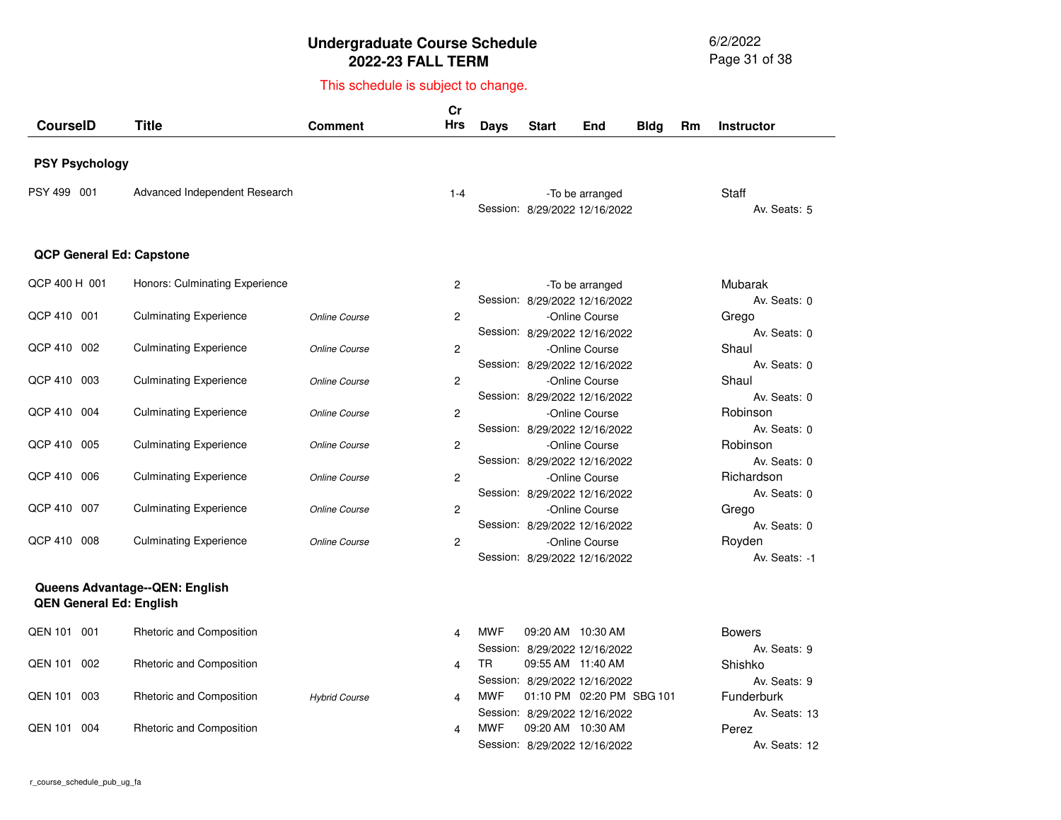6/2/2022 Page 31 of 38

| <b>CourseID</b>       | <b>Title</b>                                                     | <b>Comment</b>       | cr<br>Hrs               | <b>Days</b> | <b>Start</b> | End                                                        | <b>Bldg</b> | <b>Rm</b> | <b>Instructor</b>                  |
|-----------------------|------------------------------------------------------------------|----------------------|-------------------------|-------------|--------------|------------------------------------------------------------|-------------|-----------|------------------------------------|
| <b>PSY Psychology</b> |                                                                  |                      |                         |             |              |                                                            |             |           |                                    |
| PSY 499 001           | Advanced Independent Research                                    |                      | $1 - 4$                 |             |              | -To be arranged<br>Session: 8/29/2022 12/16/2022           |             |           | Staff<br>Av. Seats: 5              |
|                       | <b>QCP General Ed: Capstone</b>                                  |                      |                         |             |              |                                                            |             |           |                                    |
| QCP 400 H 001         | Honors: Culminating Experience                                   |                      | 2                       |             |              | -To be arranged<br>Session: 8/29/2022 12/16/2022           |             |           | Mubarak<br>Av. Seats: 0            |
| QCP 410 001           | <b>Culminating Experience</b>                                    | Online Course        | $\overline{c}$          |             |              | -Online Course<br>Session: 8/29/2022 12/16/2022            |             |           | Grego<br>Av. Seats: 0              |
| QCP 410 002           | <b>Culminating Experience</b>                                    | Online Course        | $\overline{c}$          |             |              | -Online Course<br>Session: 8/29/2022 12/16/2022            |             |           | Shaul<br>Av. Seats: 0              |
| QCP 410 003           | <b>Culminating Experience</b>                                    | <b>Online Course</b> | $\overline{c}$          |             |              | -Online Course<br>Session: 8/29/2022 12/16/2022            |             |           | Shaul<br>Av. Seats: 0              |
| QCP 410 004           | <b>Culminating Experience</b>                                    | Online Course        | $\overline{c}$          |             |              | -Online Course<br>Session: 8/29/2022 12/16/2022            |             |           | Robinson<br>Av. Seats: 0           |
| QCP 410 005           | <b>Culminating Experience</b>                                    | Online Course        | $\overline{c}$          |             |              | -Online Course<br>Session: 8/29/2022 12/16/2022            |             |           | Robinson<br>Av. Seats: 0           |
| QCP 410 006           | <b>Culminating Experience</b>                                    | Online Course        | 2                       |             |              | -Online Course<br>Session: 8/29/2022 12/16/2022            |             |           | Richardson<br>Av. Seats: 0         |
| QCP 410 007           | <b>Culminating Experience</b>                                    | Online Course        | $\overline{c}$          |             |              | -Online Course<br>Session: 8/29/2022 12/16/2022            |             |           | Grego<br>Av. Seats: 0              |
| QCP 410 008           | <b>Culminating Experience</b>                                    | Online Course        | 2                       |             |              | -Online Course<br>Session: 8/29/2022 12/16/2022            |             |           | Royden<br>Av. Seats: -1            |
|                       | Queens Advantage--QEN: English<br><b>QEN General Ed: English</b> |                      |                         |             |              |                                                            |             |           |                                    |
| QEN 101 001           | Rhetoric and Composition                                         |                      | 4                       | <b>MWF</b>  |              | 09:20 AM 10:30 AM<br>Session: 8/29/2022 12/16/2022         |             |           | <b>Bowers</b><br>Av. Seats: 9      |
| QEN 101 002           | Rhetoric and Composition                                         |                      | $\overline{\mathbf{4}}$ | <b>TR</b>   |              | 09:55 AM 11:40 AM<br>Session: 8/29/2022 12/16/2022         |             |           | Shishko<br>Av. Seats: 9            |
| QEN 101 003           | Rhetoric and Composition                                         | <b>Hybrid Course</b> | 4                       | <b>MWF</b>  |              | 01:10 PM 02:20 PM SBG 101<br>Session: 8/29/2022 12/16/2022 |             |           | <b>Funderburk</b><br>Av. Seats: 13 |
| QEN 101 004           | Rhetoric and Composition                                         |                      | 4                       | <b>MWF</b>  |              | 09:20 AM 10:30 AM<br>Session: 8/29/2022 12/16/2022         |             |           | Perez<br>Av. Seats: 12             |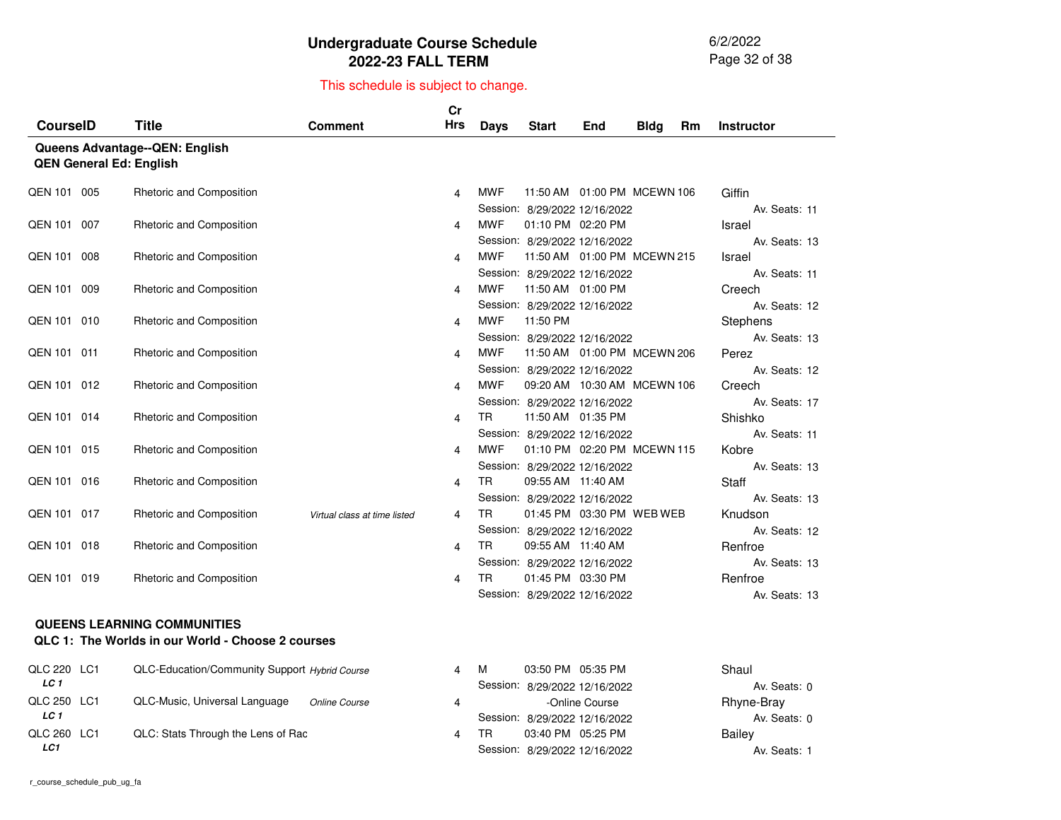6/2/2022 Page 32 of 38

#### This schedule is subject to change.

|                 |                                 |                              | Cr<br><b>Hrs</b> |             |                               |                                |             |    |                        |
|-----------------|---------------------------------|------------------------------|------------------|-------------|-------------------------------|--------------------------------|-------------|----|------------------------|
| <b>CourselD</b> | <b>Title</b>                    | <b>Comment</b>               |                  | <b>Days</b> | <b>Start</b>                  | End                            | <b>Bldg</b> | Rm | <b>Instructor</b>      |
|                 | Queens Advantage--QEN: English  |                              |                  |             |                               |                                |             |    |                        |
|                 | <b>QEN General Ed: English</b>  |                              |                  |             |                               |                                |             |    |                        |
| QEN 101 005     | <b>Rhetoric and Composition</b> |                              | 4                | <b>MWF</b>  |                               | 11:50 AM  01:00 PM  MCEWN 106  |             |    | Giffin                 |
|                 |                                 |                              |                  |             | Session: 8/29/2022 12/16/2022 |                                |             |    | Av. Seats: 11          |
| QEN 101 007     | Rhetoric and Composition        |                              | 4                | <b>MWF</b>  | 01:10 PM 02:20 PM             |                                |             |    | Israel                 |
|                 |                                 |                              |                  |             | Session: 8/29/2022 12/16/2022 |                                |             |    | Av. Seats: 13          |
| QEN 101 008     | Rhetoric and Composition        |                              | 4                | <b>MWF</b>  |                               | 11:50 AM  01:00 PM  MCEWN  215 |             |    | Israel                 |
|                 |                                 |                              |                  |             | Session: 8/29/2022 12/16/2022 |                                |             |    | Av. Seats: 11          |
| QEN 101 009     | Rhetoric and Composition        |                              | 4                | <b>MWF</b>  | 11:50 AM 01:00 PM             |                                |             |    | Creech                 |
|                 |                                 |                              |                  |             | Session: 8/29/2022 12/16/2022 |                                |             |    | Av. Seats: 12          |
| QEN 101 010     | Rhetoric and Composition        |                              | 4                | <b>MWF</b>  | 11:50 PM                      |                                |             |    | <b>Stephens</b>        |
|                 |                                 |                              |                  |             | Session: 8/29/2022 12/16/2022 |                                |             |    | Av. Seats: 13          |
| QEN 101 011     | Rhetoric and Composition        |                              | 4                | <b>MWF</b>  |                               | 11:50 AM  01:00 PM  MCEWN  206 |             |    | Perez                  |
|                 |                                 |                              |                  |             | Session: 8/29/2022 12/16/2022 |                                |             |    | Av. Seats: 12          |
| QEN 101 012     | Rhetoric and Composition        |                              | 4                | <b>MWF</b>  |                               | 09:20 AM 10:30 AM MCEWN 106    |             |    | Creech                 |
|                 |                                 |                              |                  |             | Session: 8/29/2022 12/16/2022 |                                |             |    | Av. Seats: 17          |
| QEN 101 014     | Rhetoric and Composition        |                              | 4                | <b>TR</b>   | 11:50 AM 01:35 PM             |                                |             |    | Shishko                |
| QEN 101 015     | Rhetoric and Composition        |                              | 4                | <b>MWF</b>  | Session: 8/29/2022 12/16/2022 | 01:10 PM 02:20 PM MCEWN 115    |             |    | Av. Seats: 11<br>Kobre |
|                 |                                 |                              |                  |             | Session: 8/29/2022 12/16/2022 |                                |             |    | Av. Seats: 13          |
| QEN 101 016     | Rhetoric and Composition        |                              | 4                | TR.         | 09:55 AM 11:40 AM             |                                |             |    | Staff                  |
|                 |                                 |                              |                  |             | Session: 8/29/2022 12/16/2022 |                                |             |    | Av. Seats: 13          |
| QEN 101 017     | Rhetoric and Composition        | Virtual class at time listed | 4                | <b>TR</b>   |                               | 01:45 PM 03:30 PM WEB WEB      |             |    | Knudson                |
|                 |                                 |                              |                  |             | Session: 8/29/2022 12/16/2022 |                                |             |    | Av. Seats: 12          |
| QEN 101 018     | Rhetoric and Composition        |                              | 4                | <b>TR</b>   | 09:55 AM 11:40 AM             |                                |             |    | Renfroe                |
|                 |                                 |                              |                  |             | Session: 8/29/2022 12/16/2022 |                                |             |    | Av. Seats: 13          |
| QEN 101 019     | Rhetoric and Composition        |                              | 4                | <b>TR</b>   | 01:45 PM 03:30 PM             |                                |             |    | Renfroe                |
|                 |                                 |                              |                  |             | Session: 8/29/2022 12/16/2022 |                                |             |    | Av. Seats: 13          |
|                 |                                 |                              |                  |             |                               |                                |             |    |                        |

#### **QUEENS LEARNING COMMUNITIES**

#### **QLC 1: The Worlds in our World - Choose 2 courses**

| QLC 220 LC1 | QLC-Education/Community Support Hybrid Course         | M  | 03:50 PM 05:35 PM             | Shaul        |
|-------------|-------------------------------------------------------|----|-------------------------------|--------------|
| LC 1        |                                                       |    | Session: 8/29/2022 12/16/2022 | Av. Seats: 0 |
| QLC 250 LC1 | QLC-Music, Universal Language<br><b>Online Course</b> |    | -Online Course                | Rhyne-Bray   |
| LC 1        |                                                       |    | Session: 8/29/2022 12/16/2022 | Av. Seats: 0 |
| QLC 260 LC1 | QLC: Stats Through the Lens of Rac                    | TR | 03:40 PM 05:25 PM             | Bailey       |
| LC1         |                                                       |    | Session: 8/29/2022 12/16/2022 | Av. Seats: 1 |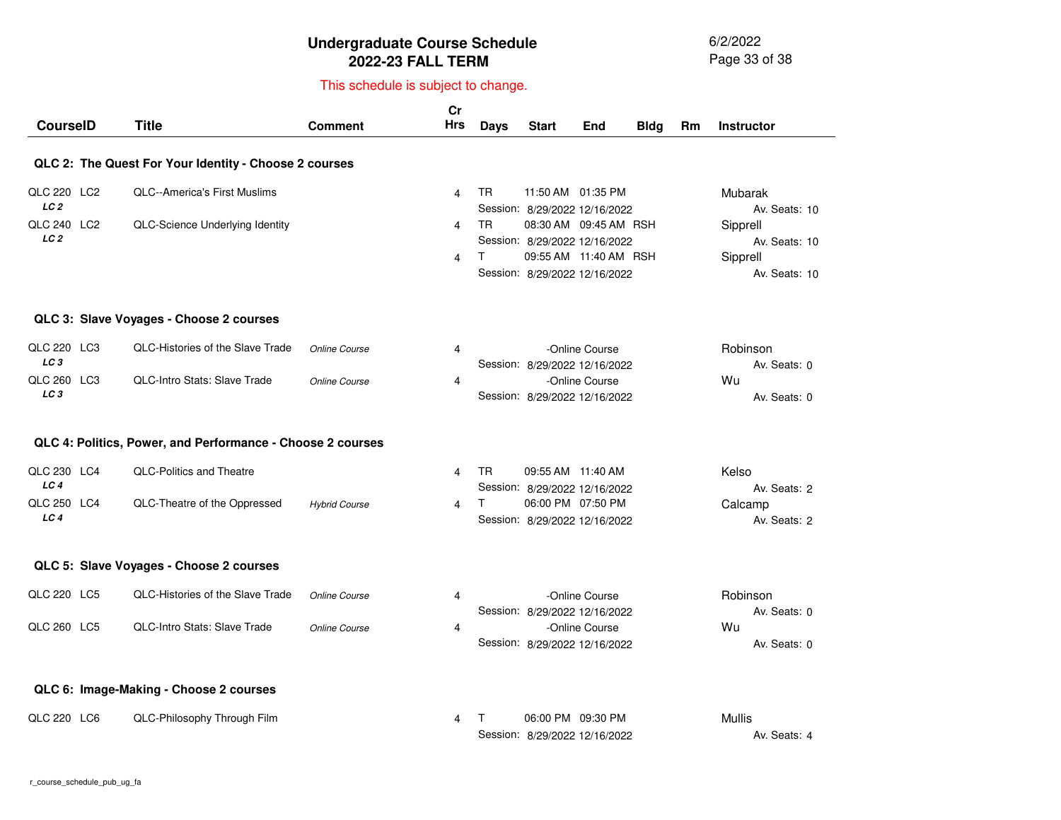6/2/2022 Page 33 of 38

| <b>CourseID</b>                       | <b>Title</b>                                               | <b>Comment</b>       | Cr<br><b>Hrs</b> | <b>Days</b>     | <b>Start</b>                                                                                                     | End            | <b>Bldg</b> | <b>Rm</b> | <b>Instructor</b>                                      |
|---------------------------------------|------------------------------------------------------------|----------------------|------------------|-----------------|------------------------------------------------------------------------------------------------------------------|----------------|-------------|-----------|--------------------------------------------------------|
|                                       | QLC 2: The Quest For Your Identity - Choose 2 courses      |                      |                  |                 |                                                                                                                  |                |             |           |                                                        |
| QLC 220 LC2<br>LC <sub>2</sub>        | <b>QLC--America's First Muslims</b>                        |                      | 4                | TR.             | 11:50 AM 01:35 PM<br>Session: 8/29/2022 12/16/2022                                                               |                |             |           | Mubarak<br>Av. Seats: 10                               |
| <b>QLC 240 LC2</b><br>LC <sub>2</sub> | QLC-Science Underlying Identity                            |                      | 4<br>4           | <b>TR</b><br>T. | 08:30 AM 09:45 AM RSH<br>Session: 8/29/2022 12/16/2022<br>09:55 AM 11:40 AM RSH<br>Session: 8/29/2022 12/16/2022 |                |             |           | Sipprell<br>Av. Seats: 10<br>Sipprell<br>Av. Seats: 10 |
|                                       | QLC 3: Slave Voyages - Choose 2 courses                    |                      |                  |                 |                                                                                                                  |                |             |           |                                                        |
| QLC 220 LC3<br>LC <sub>3</sub>        | QLC-Histories of the Slave Trade                           | Online Course        | 4                |                 | Session: 8/29/2022 12/16/2022                                                                                    | -Online Course |             |           | Robinson<br>Av. Seats: 0                               |
| QLC 260 LC3<br>LC <sub>3</sub>        | <b>QLC-Intro Stats: Slave Trade</b>                        | <b>Online Course</b> | 4                |                 | Session: 8/29/2022 12/16/2022                                                                                    | -Online Course |             |           | Wu<br>Av. Seats: 0                                     |
|                                       | QLC 4: Politics, Power, and Performance - Choose 2 courses |                      |                  |                 |                                                                                                                  |                |             |           |                                                        |
| QLC 230 LC4<br>LC <sub>4</sub>        | <b>QLC-Politics and Theatre</b>                            |                      | 4                | <b>TR</b>       | 09:55 AM 11:40 AM<br>Session: 8/29/2022 12/16/2022                                                               |                |             |           | Kelso<br>Av. Seats: 2                                  |
| QLC 250 LC4<br>LC <sub>4</sub>        | QLC-Theatre of the Oppressed                               | <b>Hybrid Course</b> | 4                | T.              | 06:00 PM 07:50 PM<br>Session: 8/29/2022 12/16/2022                                                               |                |             |           | Calcamp<br>Av. Seats: 2                                |
|                                       | QLC 5: Slave Voyages - Choose 2 courses                    |                      |                  |                 |                                                                                                                  |                |             |           |                                                        |
| QLC 220 LC5                           | QLC-Histories of the Slave Trade                           | Online Course        | 4                |                 | Session: 8/29/2022 12/16/2022                                                                                    | -Online Course |             |           | Robinson<br>Av. Seats: 0                               |
| QLC 260 LC5                           | <b>QLC-Intro Stats: Slave Trade</b>                        | Online Course        | $\overline{4}$   |                 | Session: 8/29/2022 12/16/2022                                                                                    | -Online Course |             |           | Wu<br>Av. Seats: 0                                     |
|                                       | QLC 6: Image-Making - Choose 2 courses                     |                      |                  |                 |                                                                                                                  |                |             |           |                                                        |
| QLC 220 LC6                           | QLC-Philosophy Through Film                                |                      | 4                | т               | 06:00 PM 09:30 PM<br>Session: 8/29/2022 12/16/2022                                                               |                |             |           | Mullis<br>Av. Seats: 4                                 |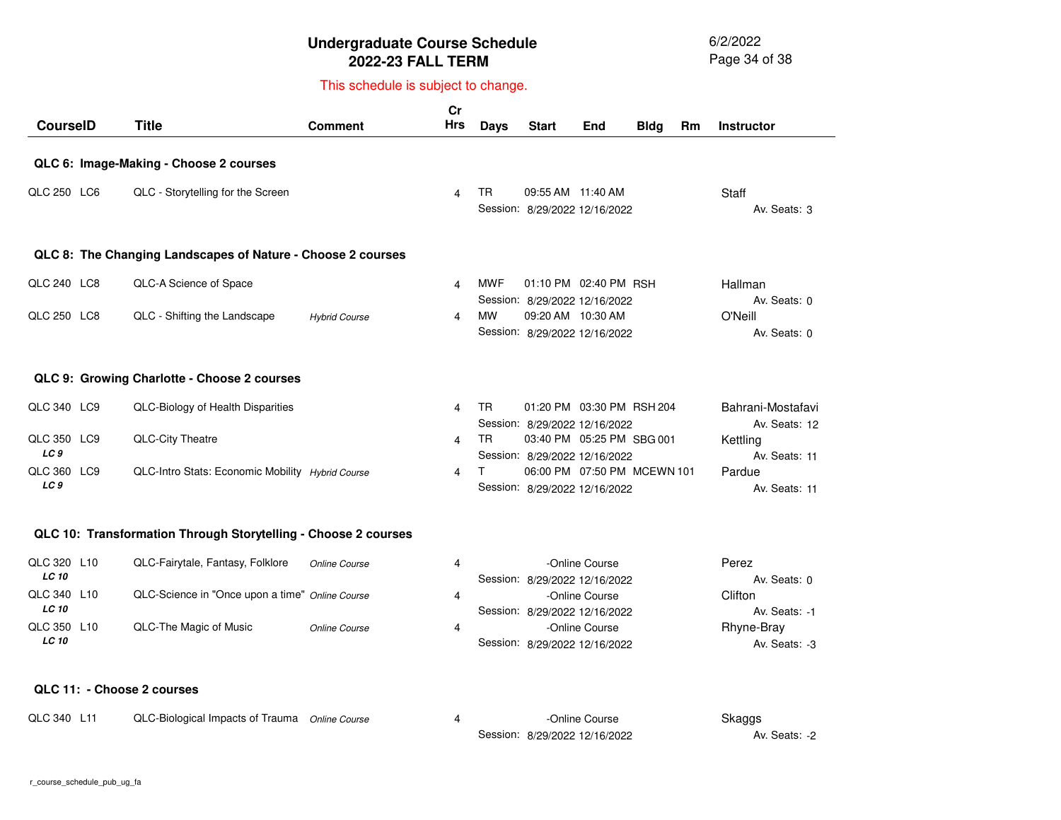6/2/2022 Page 34 of 38

#### This schedule is subject to change.

| <b>CourseID</b>                | <b>Title</b>                                                | <b>Comment</b>       | Cr<br><b>Hrs</b> | <b>Days</b> | <b>Start</b>                                                 | End | <b>Bldg</b> | Rm | <b>Instructor</b>                  |
|--------------------------------|-------------------------------------------------------------|----------------------|------------------|-------------|--------------------------------------------------------------|-----|-------------|----|------------------------------------|
|                                | QLC 6: Image-Making - Choose 2 courses                      |                      |                  |             |                                                              |     |             |    |                                    |
| QLC 250 LC6                    | QLC - Storytelling for the Screen                           |                      | 4                | TR.         | 09:55 AM 11:40 AM<br>Session: 8/29/2022 12/16/2022           |     |             |    | Staff<br>Av. Seats: 3              |
|                                | QLC 8: The Changing Landscapes of Nature - Choose 2 courses |                      |                  |             |                                                              |     |             |    |                                    |
| QLC 240 LC8                    | QLC-A Science of Space                                      |                      | 4                | <b>MWF</b>  | 01:10 PM 02:40 PM RSH<br>Session: 8/29/2022 12/16/2022       |     |             |    | Hallman<br>Av. Seats: 0            |
| QLC 250 LC8                    | QLC - Shifting the Landscape                                | <b>Hybrid Course</b> | 4                | <b>MW</b>   | 09:20 AM 10:30 AM<br>Session: 8/29/2022 12/16/2022           |     |             |    | O'Neill<br>Av. Seats: 0            |
|                                | QLC 9: Growing Charlotte - Choose 2 courses                 |                      |                  |             |                                                              |     |             |    |                                    |
| QLC 340 LC9                    | QLC-Biology of Health Disparities                           |                      | 4                | <b>TR</b>   | 01:20 PM 03:30 PM RSH 204<br>Session: 8/29/2022 12/16/2022   |     |             |    | Bahrani-Mostafavi<br>Av. Seats: 12 |
| QLC 350 LC9<br>LC <sub>9</sub> | <b>QLC-City Theatre</b>                                     |                      | 4                | <b>TR</b>   | 03:40 PM 05:25 PM SBG 001<br>Session: 8/29/2022 12/16/2022   |     |             |    | Kettling<br>Av. Seats: 11          |
| QLC 360 LC9<br>LC <sub>9</sub> | QLC-Intro Stats: Economic Mobility Hybrid Course            |                      | 4                |             | 06:00 PM 07:50 PM MCEWN 101<br>Session: 8/29/2022 12/16/2022 |     |             |    | Pardue<br>Av. Seats: 11            |
|                                | OLO 10. Transformation Through Clandelling Chappe Converse  |                      |                  |             |                                                              |     |             |    |                                    |

#### **QLC 10: Transformation Through Storytelling - Choose 2 courses**

| QLC 320 L10  | QLC-Fairytale, Fantasy, Folklore                | Online Course | 4 | -Online Course                | Perez         |
|--------------|-------------------------------------------------|---------------|---|-------------------------------|---------------|
| <b>LC 10</b> |                                                 |               |   | Session: 8/29/2022 12/16/2022 | Av. Seats: 0  |
| QLC 340 L10  | QLC-Science in "Once upon a time" Online Course |               | 4 | -Online Course                | Clifton       |
| <b>LC 10</b> |                                                 |               |   | Session: 8/29/2022 12/16/2022 | Av. Seats: -1 |
| QLC 350 L10  | QLC-The Magic of Music                          | Online Course | 4 | -Online Course                | Rhyne-Bray    |
| <b>LC 10</b> |                                                 |               |   | Session: 8/29/2022 12/16/2022 | Av. Seats: -3 |

#### **QLC 11: - Choose 2 courses**

| QLC 340 L11 | QLC-Biological Impacts of Trauma | <b>Online Course</b> | Online Course                 | Skaggs        |
|-------------|----------------------------------|----------------------|-------------------------------|---------------|
|             |                                  |                      | Session: 8/29/2022 12/16/2022 | Av. Seats: -2 |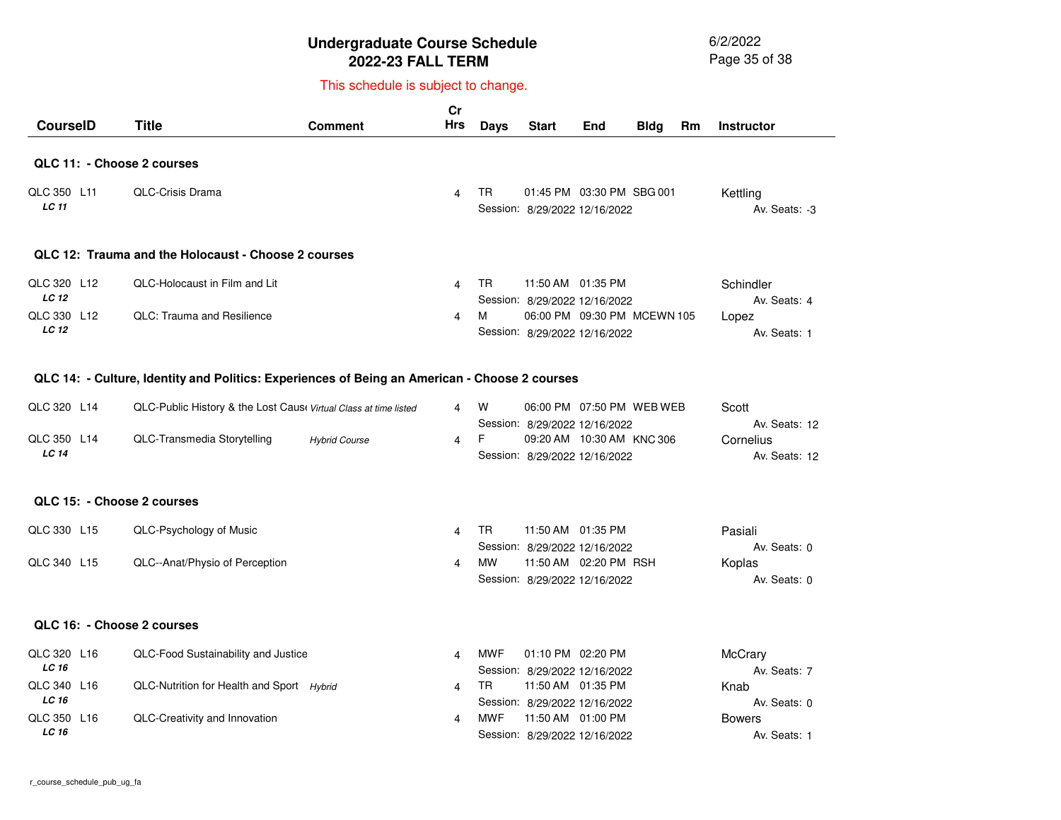6/2/2022 Page 35 of 38

#### This schedule is subject to change.

| <b>CourselD</b>             | <b>Title</b>                                        | <b>Comment</b> | Cr<br>Hrs      | Days | <b>Start</b>                                                 | <b>End</b> | <b>Bldg</b> | Rm | <b>Instructor</b>         |
|-----------------------------|-----------------------------------------------------|----------------|----------------|------|--------------------------------------------------------------|------------|-------------|----|---------------------------|
| QLC 11: - Choose 2 courses  |                                                     |                |                |      |                                                              |            |             |    |                           |
| QLC 350 L11<br><b>LC</b> 11 | <b>QLC-Crisis Drama</b>                             |                | $\overline{4}$ | TR.  | 01:45 PM 03:30 PM SBG 001<br>Session: 8/29/2022 12/16/2022   |            |             |    | Kettling<br>Av. Seats: -3 |
|                             | QLC 12: Trauma and the Holocaust - Choose 2 courses |                |                |      |                                                              |            |             |    |                           |
| QLC 320 L12<br><b>LC 12</b> | <b>QLC-Holocaust in Film and Lit</b>                |                | 4              | TR.  | 11:50 AM 01:35 PM<br>Session: 8/29/2022 12/16/2022           |            |             |    | Schindler<br>Av. Seats: 4 |
| QLC 330 L12<br><b>LC 12</b> | <b>OLC: Trauma and Resilience</b>                   |                | 4              | м    | 06:00 PM 09:30 PM MCEWN 105<br>Session: 8/29/2022 12/16/2022 |            |             |    | Lopez<br>Av. Seats: 1     |

#### **QLC 14: - Culture, Identity and Politics: Experiences of Being an American - Choose 2 courses**

| QLC 320 L14  | QLC-Public History & the Lost Cause Virtual Class at time listed |                      | 4   | W |                               | 06:00 PM 07:50 PM WEB WEB | Scott         |
|--------------|------------------------------------------------------------------|----------------------|-----|---|-------------------------------|---------------------------|---------------|
|              |                                                                  |                      |     |   | Session: 8/29/2022 12/16/2022 |                           | Av. Seats: 12 |
| QLC 350 L14  | QLC-Transmedia Storytelling                                      | <b>Hybrid Course</b> | 4 F |   | 09:20 AM 10:30 AM KNC 306     |                           | Cornelius     |
| <b>LC 14</b> |                                                                  |                      |     |   | Session: 8/29/2022 12/16/2022 |                           | Av. Seats: 12 |

#### **QLC 15: - Choose 2 courses**

| QLC 330 L15 | QLC-Psychology of Music        | TR.       | 11:50 AM  01:35 PM |                               | Pasiali      |
|-------------|--------------------------------|-----------|--------------------|-------------------------------|--------------|
|             |                                |           |                    | Session: 8/29/2022 12/16/2022 | Av. Seats: 0 |
| QLC 340 L15 | QLC--Anat/Physio of Perception | <b>MW</b> |                    | 11:50 AM  02:20 PM  RSH       | Koplas       |
|             |                                |           |                    | Session: 8/29/2022 12/16/2022 | Av. Seats: 0 |

#### **QLC 16: - Choose 2 courses**

| QLC 320 L16 | QLC-Food Sustainability and Justice       | MWF | 01:10 PM 02:20 PM             | McCrary       |
|-------------|-------------------------------------------|-----|-------------------------------|---------------|
| LC 16       |                                           |     | Session: 8/29/2022 12/16/2022 | Av. Seats: 7  |
| QLC 340 L16 | QLC-Nutrition for Health and Sport Hybrid | TR  | 11:50 AM  01:35 PM            | Knab          |
| LC 16       |                                           |     | Session: 8/29/2022 12/16/2022 | Av. Seats: 0  |
| QLC 350 L16 | QLC-Creativity and Innovation             | MWF | 11:50 AM  01:00 PM            | <b>Bowers</b> |
| LC 16       |                                           |     | Session: 8/29/2022 12/16/2022 | Av. Seats: 1  |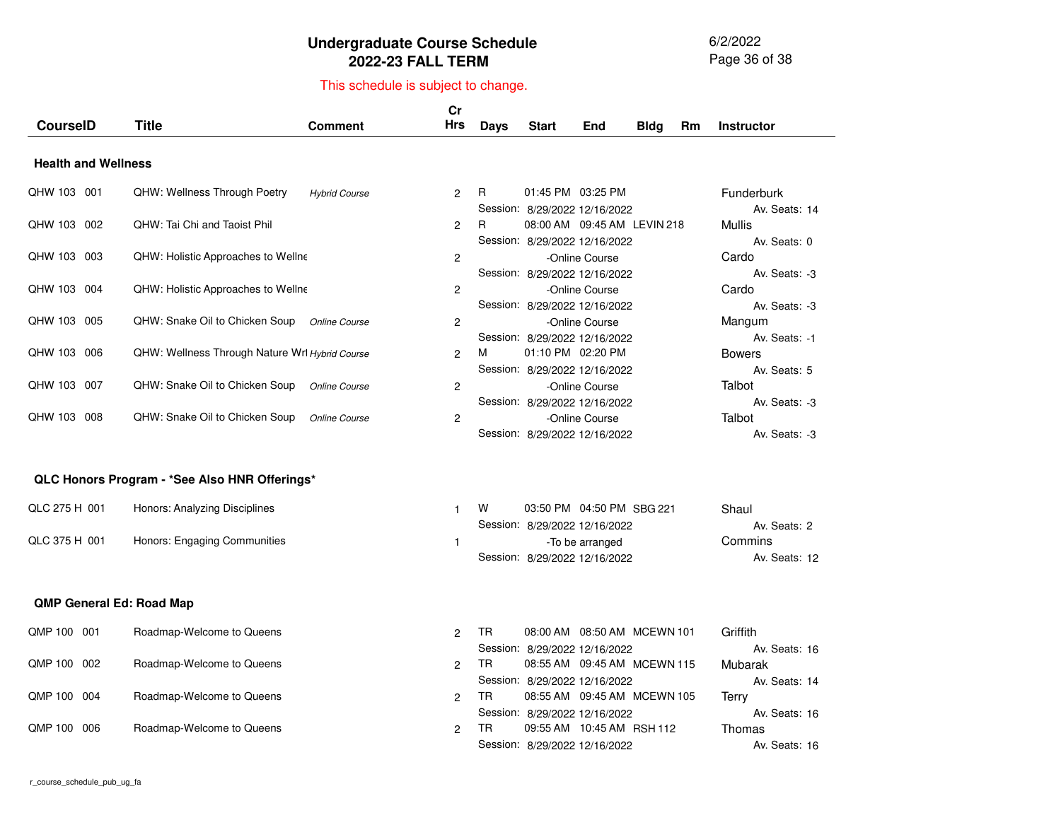6/2/2022 Page 36 of 38

| <b>CourseID</b>                 | <b>Title</b>                                   | <b>Comment</b>       | cr<br><b>Hrs</b> | <b>Days</b> | <b>Start</b>                                                   | End                           | <b>Bldg</b> | Rm | <b>Instructor</b>                        |
|---------------------------------|------------------------------------------------|----------------------|------------------|-------------|----------------------------------------------------------------|-------------------------------|-------------|----|------------------------------------------|
| <b>Health and Wellness</b>      |                                                |                      |                  |             |                                                                |                               |             |    |                                          |
| QHW 103 001                     | <b>QHW: Wellness Through Poetry</b>            | <b>Hybrid Course</b> | 2                | R           | 01:45 PM 03:25 PM<br>Session: 8/29/2022 12/16/2022             |                               |             |    | <b>Funderburk</b><br>Av. Seats: 14       |
| QHW 103 002                     | QHW: Tai Chi and Taoist Phil                   |                      | 2                | R           | Session: 8/29/2022 12/16/2022                                  | 08:00 AM 09:45 AM LEVIN 218   |             |    | Mullis<br>Av. Seats: 0                   |
| QHW 103 003                     | <b>QHW: Holistic Approaches to Wellne</b>      |                      | 2                |             | Session: 8/29/2022 12/16/2022                                  | -Online Course                |             |    | Cardo<br>Av. Seats: -3                   |
| QHW 103 004                     | <b>QHW: Holistic Approaches to Wellne</b>      |                      | 2                |             | Session: 8/29/2022 12/16/2022                                  | -Online Course                |             |    | Cardo<br>Av. Seats: -3                   |
| QHW 103 005                     | QHW: Snake Oil to Chicken Soup                 | Online Course        | 2                |             | Session: 8/29/2022 12/16/2022                                  | -Online Course                |             |    | Mangum<br>Av. Seats: -1                  |
| QHW 103 006                     | QHW: Wellness Through Nature Wrl Hybrid Course |                      | 2                | м           | 01:10 PM 02:20 PM<br>Session: 8/29/2022 12/16/2022             |                               |             |    | <b>Bowers</b><br>Av. Seats: 5            |
| QHW 103 007                     | QHW: Snake Oil to Chicken Soup                 | Online Course        | 2                |             | Session: 8/29/2022 12/16/2022                                  | -Online Course                |             |    | Talbot<br>Av. Seats: -3                  |
| QHW 103 008                     | QHW: Snake Oil to Chicken Soup                 | Online Course        | 2                |             | Session: 8/29/2022 12/16/2022                                  | -Online Course                |             |    | Talbot<br>Av. Seats: -3                  |
|                                 | QLC Honors Program - *See Also HNR Offerings*  |                      |                  |             |                                                                |                               |             |    |                                          |
| QLC 275 H 001                   | Honors: Analyzing Disciplines                  |                      | $\mathbf{1}$     | W           |                                                                | 03:50 PM 04:50 PM SBG 221     |             |    | Shaul                                    |
| QLC 375 H 001                   | Honors: Engaging Communities                   |                      | $\mathbf{1}$     |             | Session: 8/29/2022 12/16/2022<br>Session: 8/29/2022 12/16/2022 | -To be arranged               |             |    | Av. Seats: 2<br>Commins<br>Av. Seats: 12 |
| <b>QMP General Ed: Road Map</b> |                                                |                      |                  |             |                                                                |                               |             |    |                                          |
| QMP 100 001                     | Roadmap-Welcome to Queens                      |                      | $\overline{c}$   | <b>TR</b>   | Session: 8/29/2022 12/16/2022                                  | 08:00 AM  08:50 AM  MCEWN 101 |             |    | Griffith<br>Av. Seats: 16                |
| QMP 100 002                     | Roadmap-Welcome to Queens                      |                      | $\overline{c}$   | TR.         | Session: 8/29/2022 12/16/2022                                  | 08:55 AM  09:45 AM  MCEWN 115 |             |    | Mubarak<br>Av. Seats: 14                 |
| QMP 100 004                     | Roadmap-Welcome to Queens                      |                      | 2                | <b>TR</b>   | Session: 8/29/2022 12/16/2022                                  | 08:55 AM  09:45 AM  MCEWN 105 |             |    | Terry<br>Av. Seats: 16                   |
| QMP 100<br>006                  | Roadmap-Welcome to Queens                      |                      | $\overline{2}$   | TR.         | Session: 8/29/2022 12/16/2022                                  | 09:55 AM 10:45 AM RSH 112     |             |    | Thomas<br>Av. Seats: 16                  |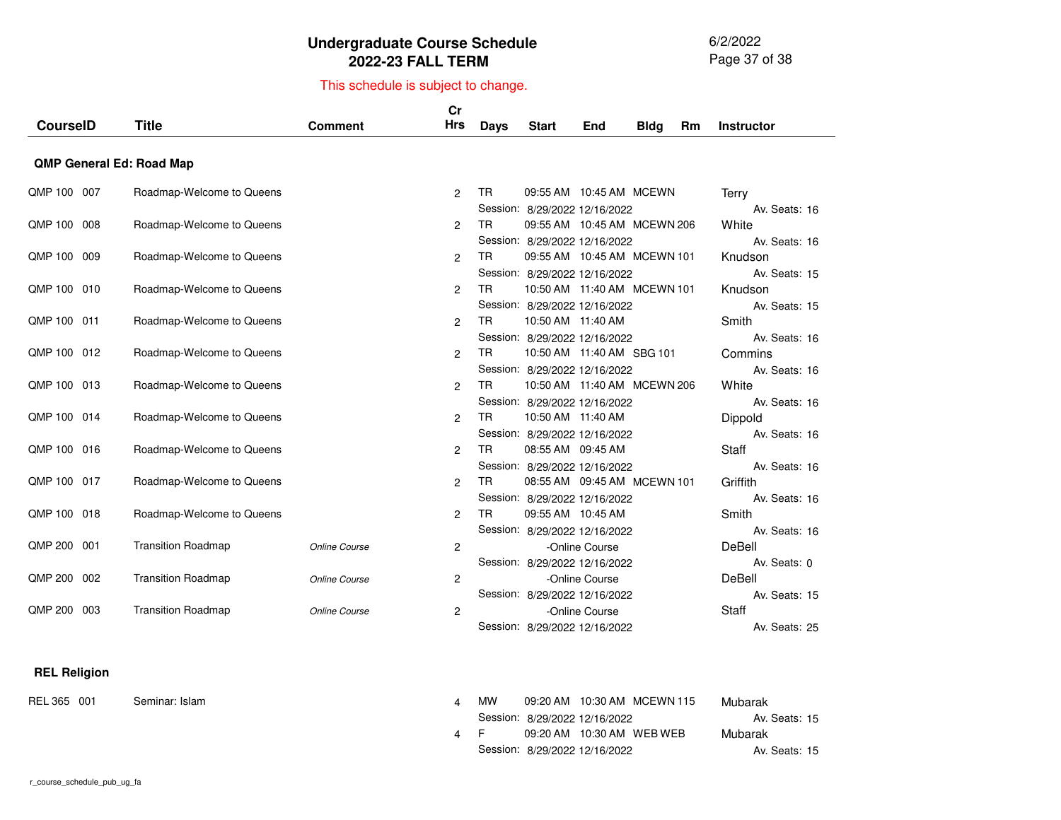6/2/2022 Page 37 of 38

# This schedule is subject to change.

| <b>CourselD</b> | <b>Title</b>                    | <b>Comment</b> | cr<br>Hrs      | <b>Days</b> | <b>Start</b>                                                    | <b>End</b>     | <b>Bldg</b> | <b>Rm</b> | <b>Instructor</b>             |
|-----------------|---------------------------------|----------------|----------------|-------------|-----------------------------------------------------------------|----------------|-------------|-----------|-------------------------------|
|                 | <b>QMP General Ed: Road Map</b> |                |                |             |                                                                 |                |             |           |                               |
| QMP 100 007     | Roadmap-Welcome to Queens       |                | $\overline{2}$ | TR.         | 09:55 AM  10:45 AM  MCEWN<br>Session: 8/29/2022 12/16/2022      |                |             |           | Terry<br>Av. Seats: 16        |
| QMP 100 008     | Roadmap-Welcome to Queens       |                | $\overline{2}$ | <b>TR</b>   | 09:55 AM  10:45 AM  MCEWN  206<br>Session: 8/29/2022 12/16/2022 |                |             |           | White<br>Av. Seats: 16        |
| QMP 100 009     | Roadmap-Welcome to Queens       |                | $\overline{2}$ | <b>TR</b>   | 09:55 AM  10:45 AM  MCEWN 101<br>Session: 8/29/2022 12/16/2022  |                |             |           | Knudson<br>Av. Seats: 15      |
| QMP 100 010     | Roadmap-Welcome to Queens       |                | $\overline{2}$ | <b>TR</b>   | 10:50 AM  11:40 AM  MCEWN 101<br>Session: 8/29/2022 12/16/2022  |                |             |           | Knudson<br>Av. Seats: 15      |
| QMP 100 011     | Roadmap-Welcome to Queens       |                | $\overline{2}$ | <b>TR</b>   | 10:50 AM 11:40 AM<br>Session: 8/29/2022 12/16/2022              |                |             |           | Smith<br>Av. Seats: 16        |
| QMP 100 012     | Roadmap-Welcome to Queens       |                | $\overline{2}$ | TR.         | 10:50 AM 11:40 AM SBG 101<br>Session: 8/29/2022 12/16/2022      |                |             |           | Commins<br>Av. Seats: 16      |
| QMP 100 013     | Roadmap-Welcome to Queens       |                | $\overline{2}$ | <b>TR</b>   | 10:50 AM  11:40 AM  MCEWN  206<br>Session: 8/29/2022 12/16/2022 |                |             |           | White<br>Av. Seats: 16        |
| QMP 100 014     | Roadmap-Welcome to Queens       |                | $\overline{2}$ | TR          | 10:50 AM 11:40 AM<br>Session: 8/29/2022 12/16/2022              |                |             |           | Dippold<br>Av. Seats: 16      |
| QMP 100 016     | Roadmap-Welcome to Queens       |                | $\overline{2}$ | <b>TR</b>   | 08:55 AM 09:45 AM<br>Session: 8/29/2022 12/16/2022              |                |             |           | Staff<br>Av. Seats: 16        |
| QMP 100 017     | Roadmap-Welcome to Queens       |                | $\overline{2}$ | TR.         | 08:55 AM 09:45 AM MCEWN 101<br>Session: 8/29/2022 12/16/2022    |                |             |           | Griffith<br>Av. Seats: 16     |
| QMP 100 018     | Roadmap-Welcome to Queens       |                | $\overline{2}$ | <b>TR</b>   | 09:55 AM 10:45 AM<br>Session: 8/29/2022 12/16/2022              |                |             |           | Smith<br>Av. Seats: 16        |
| QMP 200 001     | <b>Transition Roadmap</b>       | Online Course  | $\overline{2}$ |             | Session: 8/29/2022 12/16/2022                                   | -Online Course |             |           | DeBell<br>Av. Seats: 0        |
| QMP 200 002     | <b>Transition Roadmap</b>       | Online Course  | $\overline{2}$ |             | Session: 8/29/2022 12/16/2022                                   | -Online Course |             |           | DeBell<br>Av. Seats: 15       |
| QMP 200 003     | <b>Transition Roadmap</b>       | Online Course  | $\overline{2}$ |             | Session: 8/29/2022 12/16/2022                                   | -Online Course |             |           | <b>Staff</b><br>Av. Seats: 25 |

#### **REL Religion**

REL 365 001 Seminar: Islam

| m |     | МW |                               | 09:20 AM  10:30 AM  MCEWN 115 | Mubarak       |  |
|---|-----|----|-------------------------------|-------------------------------|---------------|--|
|   |     |    | Session: 8/29/2022 12/16/2022 |                               | Av. Seats: 15 |  |
|   | 4 F |    |                               |                               | Mubarak       |  |
|   |     |    | Session: 8/29/2022 12/16/2022 |                               | Av. Seats: 15 |  |